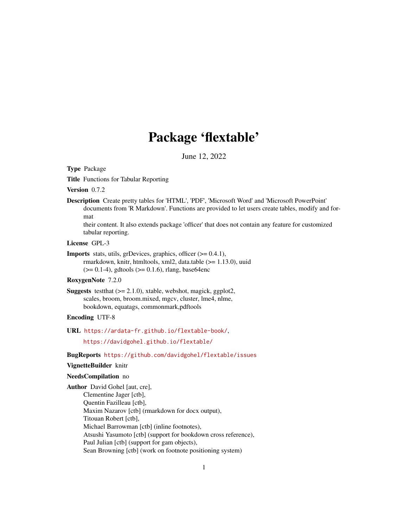# Package 'flextable'

June 12, 2022

<span id="page-0-0"></span>Type Package

Title Functions for Tabular Reporting

Version 0.7.2

Description Create pretty tables for 'HTML', 'PDF', 'Microsoft Word' and 'Microsoft PowerPoint' documents from 'R Markdown'. Functions are provided to let users create tables, modify and format

their content. It also extends package 'officer' that does not contain any feature for customized tabular reporting.

# License GPL-3

```
Imports stats, utils, grDevices, graphics, officer (>= 0.4.1),
      rmarkdown, knitr, htmltools, xml2, data.table (>= 1.13.0), uuid
```
 $(>= 0.1-4)$ , gdtools  $(>= 0.1.6)$ , rlang, base64enc

# RoxygenNote 7.2.0

**Suggests** test that  $(>= 2.1.0)$ , xtable, webshot, magick, ggplot2, scales, broom, broom.mixed, mgcv, cluster, lme4, nlme, bookdown, equatags, commonmark,pdftools

# Encoding UTF-8

URL <https://ardata-fr.github.io/flextable-book/>,

<https://davidgohel.github.io/flextable/>

# BugReports <https://github.com/davidgohel/flextable/issues>

# VignetteBuilder knitr

### NeedsCompilation no

Author David Gohel [aut, cre], Clementine Jager [ctb], Quentin Fazilleau [ctb], Maxim Nazarov [ctb] (rmarkdown for docx output), Titouan Robert [ctb], Michael Barrowman [ctb] (inline footnotes), Atsushi Yasumoto [ctb] (support for bookdown cross reference), Paul Julian [ctb] (support for gam objects), Sean Browning [ctb] (work on footnote positioning system)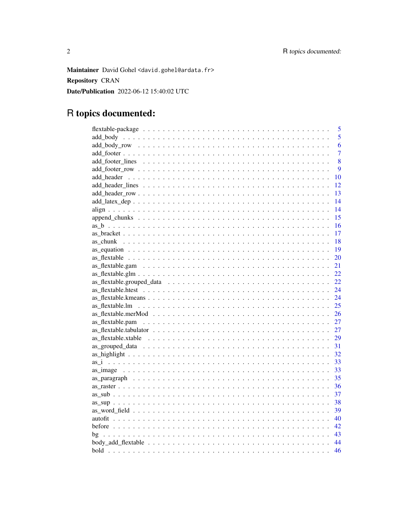Maintainer David Gohel <david.gohel@ardata.fr> **Repository CRAN** Date/Publication 2022-06-12 15:40:02 UTC

# R topics documented:

|                                                                                                                  | 5              |
|------------------------------------------------------------------------------------------------------------------|----------------|
|                                                                                                                  | 5              |
|                                                                                                                  | 6              |
|                                                                                                                  | $\overline{7}$ |
|                                                                                                                  | 8              |
|                                                                                                                  | 9              |
|                                                                                                                  | 10             |
|                                                                                                                  | 12             |
|                                                                                                                  | 13             |
|                                                                                                                  | 14             |
|                                                                                                                  | 14             |
|                                                                                                                  | 15             |
|                                                                                                                  | 16             |
|                                                                                                                  | 17             |
|                                                                                                                  | 18             |
|                                                                                                                  | 19             |
|                                                                                                                  | 20             |
|                                                                                                                  | 21             |
|                                                                                                                  | 22             |
|                                                                                                                  | 22             |
|                                                                                                                  | 24             |
|                                                                                                                  | 24             |
|                                                                                                                  | 25             |
|                                                                                                                  | 26             |
|                                                                                                                  | 27             |
|                                                                                                                  | 27             |
| as flextable.xtable $\ldots \ldots \ldots \ldots \ldots \ldots \ldots \ldots \ldots \ldots \ldots \ldots \ldots$ | 29             |
|                                                                                                                  | 31             |
|                                                                                                                  | 32             |
|                                                                                                                  | 33             |
|                                                                                                                  | 33             |
|                                                                                                                  | 35             |
|                                                                                                                  | 36             |
|                                                                                                                  | 37             |
|                                                                                                                  | 38             |
|                                                                                                                  | 39             |
|                                                                                                                  | 40             |
|                                                                                                                  | 42             |
|                                                                                                                  | 43             |
|                                                                                                                  | 44             |
|                                                                                                                  | 46             |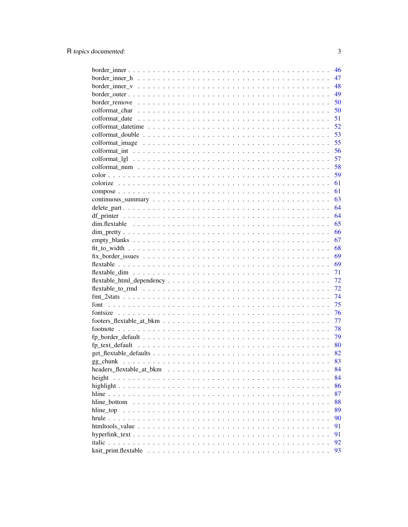|                                                                                                               | 46 |
|---------------------------------------------------------------------------------------------------------------|----|
|                                                                                                               | 47 |
| border inner $v_1, \ldots, v_n, \ldots, v_n, \ldots, v_n, \ldots, v_n, \ldots, v_n, \ldots, v_n, \ldots, v_n$ | 48 |
|                                                                                                               | 49 |
|                                                                                                               | 50 |
|                                                                                                               | 50 |
|                                                                                                               | 51 |
|                                                                                                               | 52 |
|                                                                                                               | 53 |
|                                                                                                               | 55 |
|                                                                                                               | 56 |
|                                                                                                               | 57 |
|                                                                                                               | 58 |
|                                                                                                               | 59 |
|                                                                                                               | 61 |
|                                                                                                               | 61 |
|                                                                                                               | 63 |
|                                                                                                               | 64 |
|                                                                                                               | 64 |
|                                                                                                               | 65 |
|                                                                                                               | 66 |
|                                                                                                               | 67 |
|                                                                                                               | 68 |
|                                                                                                               | 69 |
|                                                                                                               | 69 |
|                                                                                                               | 71 |
|                                                                                                               | 72 |
|                                                                                                               | 72 |
|                                                                                                               | 74 |
|                                                                                                               | 75 |
|                                                                                                               | 76 |
|                                                                                                               | 77 |
|                                                                                                               | 78 |
|                                                                                                               | 79 |
|                                                                                                               | 80 |
|                                                                                                               | 82 |
|                                                                                                               | 83 |
|                                                                                                               | 84 |
| height                                                                                                        | 84 |
|                                                                                                               | 86 |
|                                                                                                               | 87 |
| hline bottom                                                                                                  | 88 |
| hline top                                                                                                     | 89 |
|                                                                                                               | 90 |
|                                                                                                               | 91 |
|                                                                                                               | 91 |
| <i>italic</i> .                                                                                               | 92 |
|                                                                                                               | 93 |

 $\overline{3}$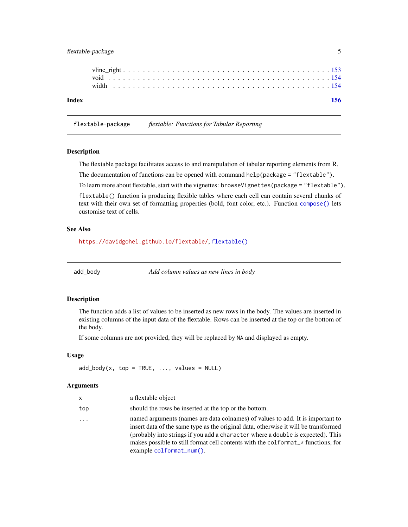# <span id="page-4-0"></span>flextable-package 5

| Index |  |  |  |  |  |  |  |  |  |  |  |  |  |  |  |  |  |  |  | 156 |  |
|-------|--|--|--|--|--|--|--|--|--|--|--|--|--|--|--|--|--|--|--|-----|--|
|       |  |  |  |  |  |  |  |  |  |  |  |  |  |  |  |  |  |  |  |     |  |
|       |  |  |  |  |  |  |  |  |  |  |  |  |  |  |  |  |  |  |  |     |  |

flextable-package *flextable: Functions for Tabular Reporting*

#### Description

The flextable package facilitates access to and manipulation of tabular reporting elements from R.

The documentation of functions can be opened with command help(package =  $"flextable"$ ).

To learn more about flextable, start with the vignettes: browseVignettes(package = "flextable").

flextable() function is producing flexible tables where each cell can contain several chunks of text with their own set of formatting properties (bold, font color, etc.). Function [compose\(\)](#page-60-1) lets customise text of cells.

# See Also

<https://davidgohel.github.io/flextable/>, [flextable\(\)](#page-68-1)

<span id="page-4-1"></span>

add\_body *Add column values as new lines in body*

### Description

The function adds a list of values to be inserted as new rows in the body. The values are inserted in existing columns of the input data of the flextable. Rows can be inserted at the top or the bottom of the body.

If some columns are not provided, they will be replaced by NA and displayed as empty.

# Usage

 $add\_body(x, top = TRUE, ..., values = NULL)$ 

### Arguments

| x   | a flextable object                                                                                                                                                                                                                                                                                                                                                       |
|-----|--------------------------------------------------------------------------------------------------------------------------------------------------------------------------------------------------------------------------------------------------------------------------------------------------------------------------------------------------------------------------|
| top | should the rows be inserted at the top or the bottom.                                                                                                                                                                                                                                                                                                                    |
| .   | named arguments (names are data colnames) of values to add. It is important to<br>insert data of the same type as the original data, otherwise it will be transformed<br>(probably into strings if you add a character where a double is expected). This<br>makes possible to still format cell contents with the colformat_* functions, for<br>example colformat_num(). |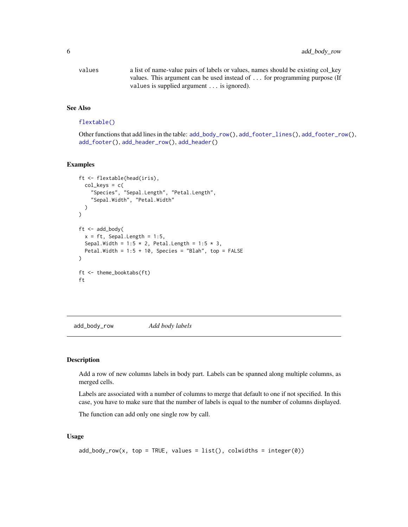<span id="page-5-0"></span>6 add\_body\_row

| values | a list of name-value pairs of labels or values, names should be existing col_key |
|--------|----------------------------------------------------------------------------------|
|        | values. This argument can be used instead of for programming purpose (If         |
|        | values is supplied argument $\ldots$ is ignored).                                |

# See Also

# [flextable\(\)](#page-68-1)

Other functions that add lines in the table: [add\\_body\\_row\(](#page-5-1)), [add\\_footer\\_lines\(](#page-7-1)), [add\\_footer\\_row\(](#page-8-1)), [add\\_footer\(](#page-6-1)), [add\\_header\\_row\(](#page-12-1)), [add\\_header\(](#page-9-1))

# Examples

```
ft <- flextable(head(iris),
  col\_keys = c("Species", "Sepal.Length", "Petal.Length",
    "Sepal.Width", "Petal.Width"
  )
)
ft < -add\_body(x = ft, Sepal.Length = 1:5,
  Sepal.Width = 1:5 * 2, Petal.Length = 1:5 * 3,
  Petal.Width = 1:5 + 10, Species = "Blah", top = FALSE
)
ft <- theme_booktabs(ft)
ft
```
<span id="page-5-1"></span>add\_body\_row *Add body labels*

#### Description

Add a row of new columns labels in body part. Labels can be spanned along multiple columns, as merged cells.

Labels are associated with a number of columns to merge that default to one if not specified. In this case, you have to make sure that the number of labels is equal to the number of columns displayed.

The function can add only one single row by call.

### Usage

```
add\_body\_row(x, top = TRUE, values = list(), columns = integer(0))
```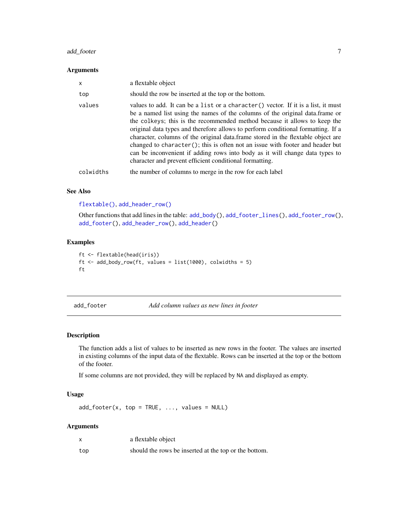# <span id="page-6-0"></span>add\_footer 7

### Arguments

| $\times$  | a flextable object                                                                                                                                                                                                                                                                                                                                                                                                                                                                                                                                                                                                                                    |
|-----------|-------------------------------------------------------------------------------------------------------------------------------------------------------------------------------------------------------------------------------------------------------------------------------------------------------------------------------------------------------------------------------------------------------------------------------------------------------------------------------------------------------------------------------------------------------------------------------------------------------------------------------------------------------|
| top       | should the row be inserted at the top or the bottom.                                                                                                                                                                                                                                                                                                                                                                                                                                                                                                                                                                                                  |
| values    | values to add. It can be a list or a character () vector. If it is a list, it must<br>be a named list using the names of the columns of the original data. frame or<br>the colleges; this is the recommended method because it allows to keep the<br>original data types and therefore allows to perform conditional formatting. If a<br>character, columns of the original data.frame stored in the flextable object are<br>changed to character(); this is often not an issue with footer and header but<br>can be inconvenient if adding rows into body as it will change data types to<br>character and prevent efficient conditional formatting. |
| colwidths | the number of columns to merge in the row for each label                                                                                                                                                                                                                                                                                                                                                                                                                                                                                                                                                                                              |

# See Also

[flextable\(\)](#page-68-1), [add\\_header\\_row\(\)](#page-12-1)

Other functions that add lines in the table: [add\\_body\(](#page-4-1)), [add\\_footer\\_lines\(](#page-7-1)), [add\\_footer\\_row\(](#page-8-1)), [add\\_footer\(](#page-6-1)), [add\\_header\\_row\(](#page-12-1)), [add\\_header\(](#page-9-1))

# Examples

```
ft <- flextable(head(iris))
ft <- add_body_row(ft, values = list(1000), colwidths = 5)
ft
```
<span id="page-6-1"></span>add\_footer *Add column values as new lines in footer*

# Description

The function adds a list of values to be inserted as new rows in the footer. The values are inserted in existing columns of the input data of the flextable. Rows can be inserted at the top or the bottom of the footer.

If some columns are not provided, they will be replaced by NA and displayed as empty.

# Usage

 $add\_footer(x, top = TRUE, ..., values = NULL)$ 

### Arguments

|     | a flextable object                                    |
|-----|-------------------------------------------------------|
| top | should the rows be inserted at the top or the bottom. |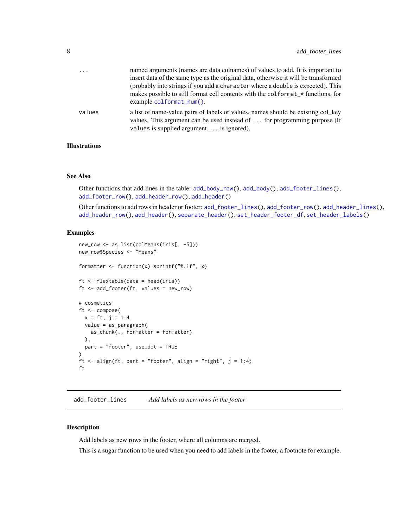<span id="page-7-0"></span>

| $\cdot$ $\cdot$ $\cdot$ | named arguments (names are data colnames) of values to add. It is important to<br>insert data of the same type as the original data, otherwise it will be transformed<br>(probably into strings if you add a character where a double is expected). This<br>makes possible to still format cell contents with the colformat_* functions, for<br>$example$ colformat_num(). |
|-------------------------|----------------------------------------------------------------------------------------------------------------------------------------------------------------------------------------------------------------------------------------------------------------------------------------------------------------------------------------------------------------------------|
| values                  | a list of name-value pairs of labels or values, names should be existing col key<br>values. This argument can be used instead of  for programming purpose (If<br>values is supplied argument is ignored).                                                                                                                                                                  |

# Illustrations

### See Also

Other functions that add lines in the table: [add\\_body\\_row\(](#page-5-1)), [add\\_body\(](#page-4-1)), [add\\_footer\\_lines\(](#page-7-1)), [add\\_footer\\_row\(](#page-8-1)), [add\\_header\\_row\(](#page-12-1)), [add\\_header\(](#page-9-1))

Other functions to add rows in header or footer:  $add\_footer\_lines(), add\_footer\_row(), add\_header\_lines(),$ [add\\_header\\_row\(](#page-12-1)), [add\\_header\(](#page-9-1)), [separate\\_header\(](#page-119-1)), [set\\_header\\_footer\\_df](#page-126-1), [set\\_header\\_labels\(](#page-127-1))

### Examples

```
new_row <- as.list(colMeans(iris[, -5]))
new_row$Species <- "Means"
formatter <- function(x) sprintf("%.1f", x)
ft <- flextable(data = head(iris))
ft <- add_footer(ft, values = new_row)
# cosmetics
ft <- compose(
 x = ft, j = 1:4,value = as_paragraph(
    as_{\text{c}}chunk(., formatter = formatter)
  ),
  part = "footer", use_dot = TRUE
\lambdaft \le - align(ft, part = "footer", align = "right", j = 1:4)
ft
```
<span id="page-7-1"></span>add\_footer\_lines *Add labels as new rows in the footer*

# Description

Add labels as new rows in the footer, where all columns are merged.

This is a sugar function to be used when you need to add labels in the footer, a footnote for example.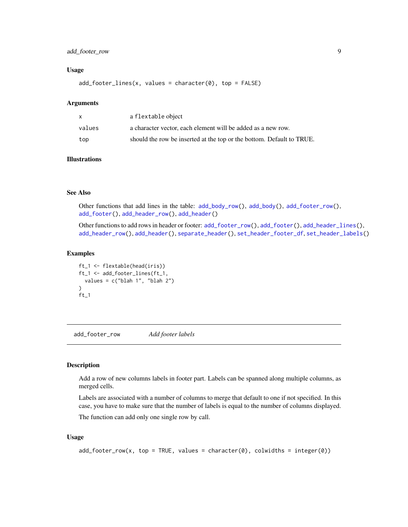# <span id="page-8-0"></span>add\_footer\_row 9

### Usage

 $add\_footer\_lines(x, values = character(0), top = FALSE)$ 

### Arguments

| x      | a flextable object                                                    |
|--------|-----------------------------------------------------------------------|
| values | a character vector, each element will be added as a new row.          |
| top    | should the row be inserted at the top or the bottom. Default to TRUE. |

### Illustrations

### See Also

Other functions that add lines in the table: [add\\_body\\_row\(](#page-5-1)), [add\\_body\(](#page-4-1)), [add\\_footer\\_row\(](#page-8-1)), [add\\_footer\(](#page-6-1)), [add\\_header\\_row\(](#page-12-1)), [add\\_header\(](#page-9-1))

Other functions to add rows in header or footer: [add\\_footer\\_row\(](#page-8-1)), [add\\_footer\(](#page-6-1)), [add\\_header\\_lines\(](#page-11-1)), [add\\_header\\_row\(](#page-12-1)), [add\\_header\(](#page-9-1)), [separate\\_header\(](#page-119-1)), [set\\_header\\_footer\\_df](#page-126-1), [set\\_header\\_labels\(](#page-127-1))

# Examples

```
ft_1 <- flextable(head(iris))
ft_1 <- add_footer_lines(ft_1,
  values = c("blab 1", "blab 2"))
ft_1
```
<span id="page-8-1"></span>add\_footer\_row *Add footer labels*

#### Description

Add a row of new columns labels in footer part. Labels can be spanned along multiple columns, as merged cells.

Labels are associated with a number of columns to merge that default to one if not specified. In this case, you have to make sure that the number of labels is equal to the number of columns displayed.

The function can add only one single row by call.

# Usage

 $add\_footer\_row(x, top = TRUE, values = character(0), colwidths = integer(0))$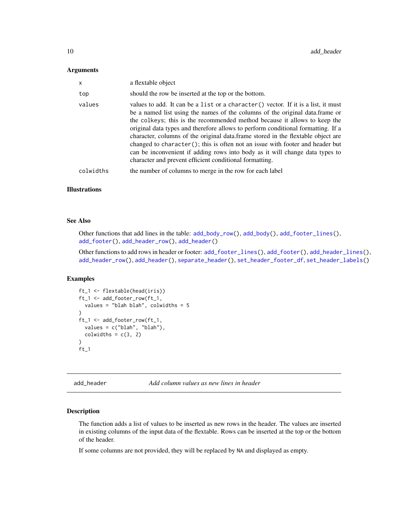#### <span id="page-9-0"></span>Arguments

| $\mathsf{x}$ | a flextable object                                                                                                                                                                                                                                                                                                                                                                                                                                                                                                                                                                                                                                    |
|--------------|-------------------------------------------------------------------------------------------------------------------------------------------------------------------------------------------------------------------------------------------------------------------------------------------------------------------------------------------------------------------------------------------------------------------------------------------------------------------------------------------------------------------------------------------------------------------------------------------------------------------------------------------------------|
| top          | should the row be inserted at the top or the bottom.                                                                                                                                                                                                                                                                                                                                                                                                                                                                                                                                                                                                  |
| values       | values to add. It can be a list or a character () vector. If it is a list, it must<br>be a named list using the names of the columns of the original data. frame or<br>the colleges; this is the recommended method because it allows to keep the<br>original data types and therefore allows to perform conditional formatting. If a<br>character, columns of the original data.frame stored in the flextable object are<br>changed to character(); this is often not an issue with footer and header but<br>can be inconvenient if adding rows into body as it will change data types to<br>character and prevent efficient conditional formatting. |
| colwidths    | the number of columns to merge in the row for each label                                                                                                                                                                                                                                                                                                                                                                                                                                                                                                                                                                                              |

### Illustrations

### See Also

Other functions that add lines in the table: [add\\_body\\_row\(](#page-5-1)), [add\\_body\(](#page-4-1)), [add\\_footer\\_lines\(](#page-7-1)), [add\\_footer\(](#page-6-1)), [add\\_header\\_row\(](#page-12-1)), [add\\_header\(](#page-9-1))

Other functions to add rows in header or footer:  $add\_footer\_lines(), add\_footer(), add\_header\_lines(),$ [add\\_header\\_row\(](#page-12-1)), [add\\_header\(](#page-9-1)), [separate\\_header\(](#page-119-1)), [set\\_header\\_footer\\_df](#page-126-1), [set\\_header\\_labels\(](#page-127-1))

# Examples

```
ft_1 <- flextable(head(iris))
ft_1 <- add_footer_row(ft_1,
  values = "blah blah", colwidths = 5
)
ft_1 <- add_footer_row(ft_1,
  values = c("blah", "blah"),
  colwidths = c(3, 2))
ft_1
```
<span id="page-9-1"></span>add\_header *Add column values as new lines in header*

### Description

The function adds a list of values to be inserted as new rows in the header. The values are inserted in existing columns of the input data of the flextable. Rows can be inserted at the top or the bottom of the header.

If some columns are not provided, they will be replaced by NA and displayed as empty.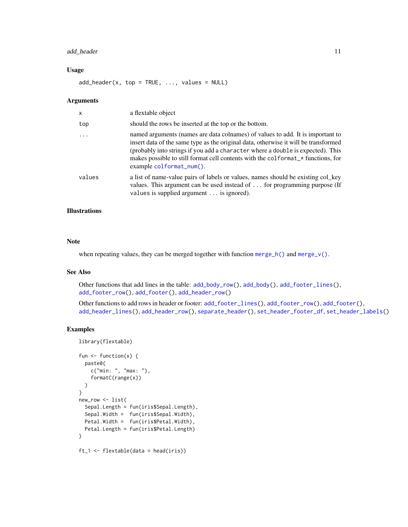# add\_header 11

### Usage

 $add\_header(x, top = TRUE, ..., values = NULL)$ 

### Arguments

| X        | a flextable object                                                                                                                                                                                                                                                                                                                                                         |
|----------|----------------------------------------------------------------------------------------------------------------------------------------------------------------------------------------------------------------------------------------------------------------------------------------------------------------------------------------------------------------------------|
| top      | should the rows be inserted at the top or the bottom.                                                                                                                                                                                                                                                                                                                      |
| $\cdots$ | named arguments (names are data colnames) of values to add. It is important to<br>insert data of the same type as the original data, otherwise it will be transformed<br>(probably into strings if you add a character where a double is expected). This<br>makes possible to still format cell contents with the colformat_* functions, for<br>$example$ colformat_num(). |
| values   | a list of name-value pairs of labels or values, names should be existing colley<br>values. This argument can be used instead of $\dots$ for programming purpose (If<br>values is supplied argument $\ldots$ is ignored).                                                                                                                                                   |

### Illustrations

# Note

when repeating values, they can be merged together with function merge<sub>n</sub>h() and merge<sub>n</sub>v().

### See Also

Other functions that add lines in the table: [add\\_body\\_row\(](#page-5-1)), [add\\_body\(](#page-4-1)), [add\\_footer\\_lines\(](#page-7-1)), [add\\_footer\\_row\(](#page-8-1)), [add\\_footer\(](#page-6-1)), [add\\_header\\_row\(](#page-12-1))

Other functions to add rows in header or footer: [add\\_footer\\_lines\(](#page-7-1)), [add\\_footer\\_row\(](#page-8-1)), [add\\_footer\(](#page-6-1)), [add\\_header\\_lines\(](#page-11-1)), [add\\_header\\_row\(](#page-12-1)), [separate\\_header\(](#page-119-1)), [set\\_header\\_footer\\_df](#page-126-1), [set\\_header\\_labels\(](#page-127-1))

```
library(flextable)
fun \leq function(x) {
  paste0(
    c("min: ", "max: "),
    formatC(range(x))
  )
}
new_row <- list(
  Sepal.Length = fun(iris$Sepal.Length),
  Sepal.Width = fun(iris$Sepal.Width),
  Petal.Width = fun(iris$Petal.Width),
  Petal.Length = fun(iris$Petal.Length)
)
ft_1 <- flextable(data = head(iris))
```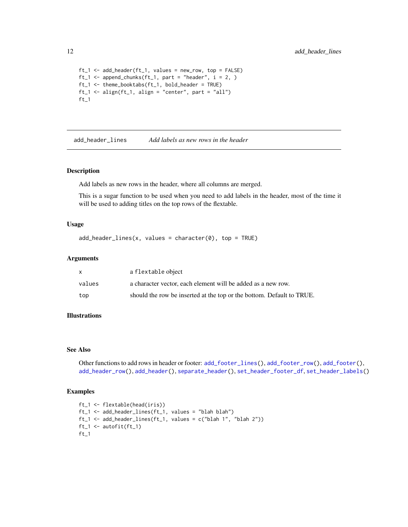```
ft_1 \leftarrow add\_header(ft_1, values = new\_row, top = FALSE)ft_1 \leftarrow append_{chunks}(ft_1, part = "header", i = 2, )ft_1 <- theme_booktabs(ft_1, bold_header = TRUE)
ft_1 <- align(ft_1, align = "center", part = "all")ft_1
```
<span id="page-11-1"></span>add\_header\_lines *Add labels as new rows in the header*

### Description

Add labels as new rows in the header, where all columns are merged.

This is a sugar function to be used when you need to add labels in the header, most of the time it will be used to adding titles on the top rows of the flextable.

#### Usage

```
add\_header\_lines(x, values = character(0), top = TRUE)
```
### Arguments

|        | a flextable object                                                    |
|--------|-----------------------------------------------------------------------|
| values | a character vector, each element will be added as a new row.          |
| top    | should the row be inserted at the top or the bottom. Default to TRUE. |

# Illustrations

#### See Also

Other functions to add rows in header or footer: [add\\_footer\\_lines\(](#page-7-1)), [add\\_footer\\_row\(](#page-8-1)), [add\\_footer\(](#page-6-1)), [add\\_header\\_row\(](#page-12-1)), [add\\_header\(](#page-9-1)), [separate\\_header\(](#page-119-1)), [set\\_header\\_footer\\_df](#page-126-1), [set\\_header\\_labels\(](#page-127-1))

```
ft_1 <- flextable(head(iris))
ft_1 <- add_header_lines(ft_1, values = "blah blah")
ft_1 <- add_header_lines(ft_1, values = c("blah 1", "blah 2"))ft_1 <- autofit(ft_1)
ft_1
```
<span id="page-11-0"></span>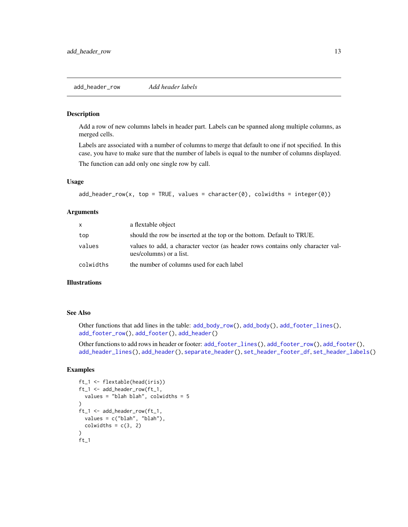### <span id="page-12-1"></span><span id="page-12-0"></span>Description

Add a row of new columns labels in header part. Labels can be spanned along multiple columns, as merged cells.

Labels are associated with a number of columns to merge that default to one if not specified. In this case, you have to make sure that the number of labels is equal to the number of columns displayed.

The function can add only one single row by call.

### Usage

```
add\_header\_row(x, top = TRUE, values = character(0), colwidths = integer(0))
```
### Arguments

| X         | a flextable object                                                                                        |
|-----------|-----------------------------------------------------------------------------------------------------------|
| top       | should the row be inserted at the top or the bottom. Default to TRUE.                                     |
| values    | values to add, a character vector (as header rows contains only character val-<br>ues/columns) or a list. |
| colwidths | the number of columns used for each label                                                                 |

# Illustrations

#### See Also

Other functions that add lines in the table: [add\\_body\\_row\(](#page-5-1)), [add\\_body\(](#page-4-1)), [add\\_footer\\_lines\(](#page-7-1)), [add\\_footer\\_row\(](#page-8-1)), [add\\_footer\(](#page-6-1)), [add\\_header\(](#page-9-1))

Other functions to add rows in header or footer: [add\\_footer\\_lines\(](#page-7-1)), [add\\_footer\\_row\(](#page-8-1)), [add\\_footer\(](#page-6-1)), [add\\_header\\_lines\(](#page-11-1)), [add\\_header\(](#page-9-1)), [separate\\_header\(](#page-119-1)), [set\\_header\\_footer\\_df](#page-126-1), [set\\_header\\_labels\(](#page-127-1))

```
ft_1 <- flextable(head(iris))
ft_1 <- add_header_row(ft_1,
 values = "blah blah", colwidths = 5
)
ft_1 <- add_header_row(ft_1,
 values = c("blah", "blah"),
 colwidths = c(3, 2))
ft_1
```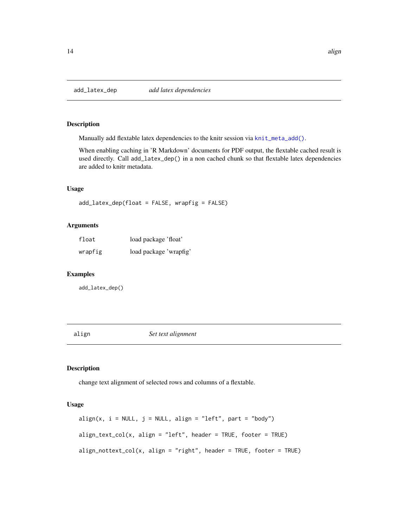<span id="page-13-0"></span>

# Description

Manually add flextable latex dependencies to the knitr session via [knit\\_meta\\_add\(\)](#page-0-0).

When enabling caching in 'R Markdown' documents for PDF output, the flextable cached result is used directly. Call add\_latex\_dep() in a non cached chunk so that flextable latex dependencies are added to knitr metadata.

# Usage

add\_latex\_dep(float = FALSE, wrapfig = FALSE)

# Arguments

| float   | load package 'float'   |
|---------|------------------------|
| wrapfig | load package 'wrapfig' |

### Examples

add\_latex\_dep()

align *Set text alignment*

# Description

change text alignment of selected rows and columns of a flextable.

# Usage

```
align(x, i = NULL, j = NULL, align = "left", part = "body")align\_text\_col(x, align = "left", header = TRUE, footer = TRUE)align\_nottext\_col(x, align = "right", header = TRUE, footer = TRUE)
```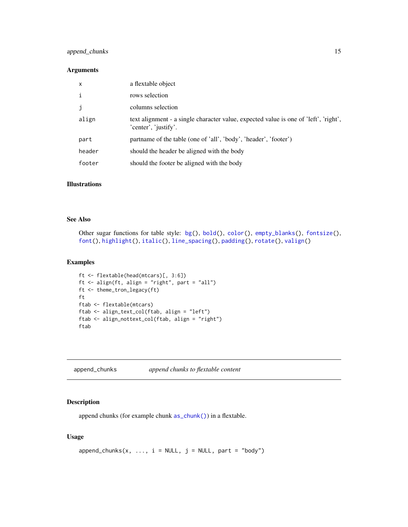# <span id="page-14-0"></span>append\_chunks 15

# Arguments

| X      | a flextable object                                                                                           |
|--------|--------------------------------------------------------------------------------------------------------------|
| i      | rows selection                                                                                               |
| j      | columns selection                                                                                            |
| align  | text alignment - a single character value, expected value is one of 'left', 'right',<br>'center', 'justify'. |
| part   | partname of the table (one of 'all', 'body', 'header', 'footer')                                             |
| header | should the header be aligned with the body                                                                   |
| footer | should the footer be aligned with the body                                                                   |
|        |                                                                                                              |

### Illustrations

# See Also

```
Other sugar functions for table style: bg(), bold(), color(), empty_blanks(), fontsize(),
font(), highlight(), italic(), line_spacing(), padding(), rotate(), valign()
```
# Examples

```
ft <- flextable(head(mtcars)[, 3:6])
ft <- align(ft, align = "right", part = "all")
ft <- theme_tron_legacy(ft)
ft
ftab <- flextable(mtcars)
ftab <- align_text_col(ftab, align = "left")
ftab <- align_nottext_col(ftab, align = "right")
ftab
```
<span id="page-14-1"></span>append\_chunks *append chunks to flextable content*

# Description

append chunks (for example chunk [as\\_chunk\(\)](#page-17-1)) in a flextable.

### Usage

```
append{\_}chunks(x, ..., i = NULL, j = NULL, part = "body")
```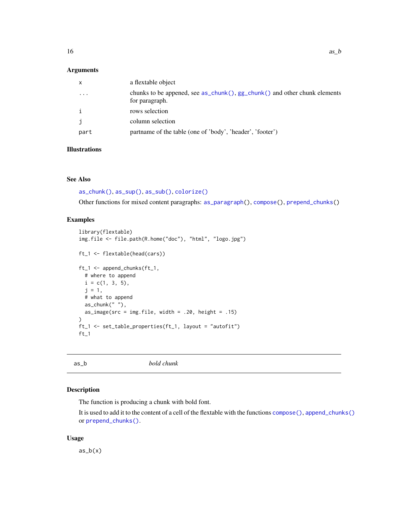# <span id="page-15-0"></span>Arguments

| $\mathsf{x}$            | a flextable object                                                                          |
|-------------------------|---------------------------------------------------------------------------------------------|
| $\cdot$ $\cdot$ $\cdot$ | chunks to be appened, see as_chunk(), gg_chunk() and other chunk elements<br>for paragraph. |
| i                       | rows selection                                                                              |
| j                       | column selection                                                                            |
| part                    | partname of the table (one of 'body', 'header', 'footer')                                   |

# Illustrations

# See Also

```
as_chunk(), as_sup(), as_sub(), colorize()
```
Other functions for mixed content paragraphs: [as\\_paragraph\(](#page-34-1)), [compose\(](#page-60-1)), [prepend\\_chunks\(](#page-111-1))

# Examples

```
library(flextable)
img.file <- file.path(R.home("doc"), "html", "logo.jpg")
ft_1 <- flextable(head(cars))
ft_1 <- append_chunks(ft_1,
  # where to append
  i = c(1, 3, 5),j = 1,
  # what to append
  as\_chunk(" " ),
  as_image(src = img.file, width = .20, height = .15)
)
ft_1 <- set_table_properties(ft_1, layout = "autofit")
ft_1
```
<span id="page-15-1"></span>

as\_b *bold chunk*

# Description

The function is producing a chunk with bold font.

It is used to add it to the content of a cell of the flextable with the functions [compose\(\)](#page-60-1), [append\\_chunks\(\)](#page-14-1) or [prepend\\_chunks\(\)](#page-111-1).

#### Usage

 $as_b(x)$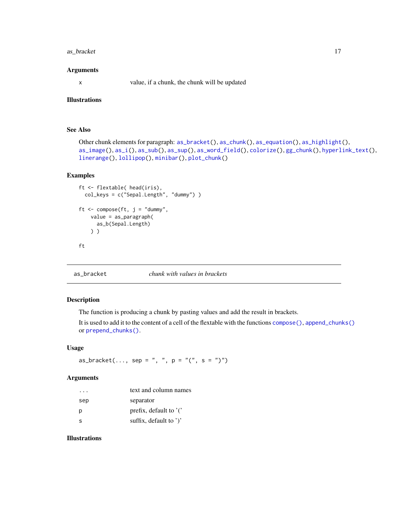# <span id="page-16-0"></span>as\_bracket 17

#### Arguments

x value, if a chunk, the chunk will be updated

# Illustrations

# See Also

```
Other chunk elements for paragraph: as_bracket(), as_chunk(), as_equation(), as_highlight(),
as_image(), as_i(), as_sub(), as_sup(), as_word_field(), colorize(), gg_chunk(), hyperlink_text(),
linerange(), lollipop(), minibar(), plot_chunk()
```
# Examples

```
ft <- flextable( head(iris),
  col_keys = c("Sepal.Length", "dummy") )
ft \leq compose(ft, j = "dummy",
   value = as_paragraph(
      as_b(Sepal.Length)
   ) )
ft
```
<span id="page-16-1"></span>as\_bracket *chunk with values in brackets*

# Description

The function is producing a chunk by pasting values and add the result in brackets.

It is used to add it to the content of a cell of the flextable with the functions [compose\(\)](#page-60-1), [append\\_chunks\(\)](#page-14-1) or [prepend\\_chunks\(\)](#page-111-1).

#### Usage

 $as\_bracket(..., sep = ", ", p = "(", s = ")"$ 

# Arguments

| $\cdot$ $\cdot$ $\cdot$ | text and column names     |
|-------------------------|---------------------------|
| sep                     | separator                 |
| р                       | prefix, default to $'$ .  |
| S.                      | suffix, default to $'$ )' |

# Illustrations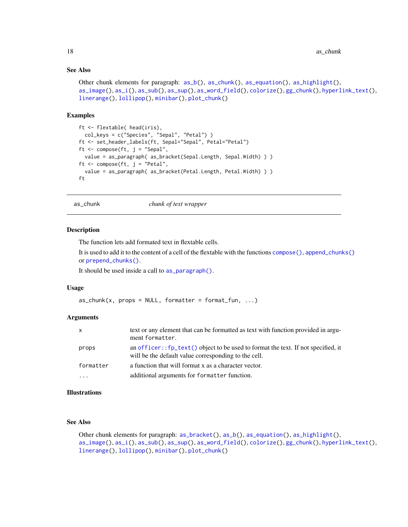### <span id="page-17-0"></span>See Also

```
Other chunk elements for paragraph: as_b(), as_chunk(), as_equation(), as_highlight(),
as_image(), as_i(), as_sub(), as_sup(), as_word_field(), colorize(), gg_chunk(), hyperlink_text(),
linerange(), lollipop(), minibar(), plot_chunk()
```
#### Examples

```
ft <- flextable( head(iris),
  col_keys = c("Species", "Sepal", "Petal") )
ft <- set_header_labels(ft, Sepal="Sepal", Petal="Petal")
ft \leq compose(ft, j = "Sepal",
  value = as_paragraph( as_bracket(Sepal.Length, Sepal.Width) ) )
ft \leq compose(ft, j = "Petal",
  value = as_paragraph( as_bracket(Petal.Length, Petal.Width) ) )
ft
```
<span id="page-17-1"></span>as\_chunk *chunk of text wrapper*

#### Description

The function lets add formated text in flextable cells.

It is used to add it to the content of a cell of the flextable with the functions [compose\(\)](#page-60-1), [append\\_chunks\(\)](#page-14-1) or [prepend\\_chunks\(\)](#page-111-1).

It should be used inside a call to [as\\_paragraph\(\)](#page-34-1).

### Usage

```
as\_chunk(x, propos = NULL, formatter = format_fun, ...)
```
### Arguments

| $\mathsf{x}$ | text or any element that can be formatted as text with function provided in argu-<br>ment formatter.                                                 |
|--------------|------------------------------------------------------------------------------------------------------------------------------------------------------|
| props        | an officer:: $fp_{\text{text}}()$ object to be used to format the text. If not specified, it<br>will be the default value corresponding to the cell. |
| formatter    | a function that will format x as a character vector.                                                                                                 |
| $\cdots$     | additional arguments for formatter function.                                                                                                         |

# Illustrations

# See Also

Other chunk elements for paragraph: [as\\_bracket\(](#page-16-1)), [as\\_b\(](#page-15-1)), [as\\_equation\(](#page-18-1)), [as\\_highlight\(](#page-31-1)), [as\\_image\(](#page-32-1)), [as\\_i\(](#page-32-2)), [as\\_sub\(](#page-36-1)), [as\\_sup\(](#page-37-1)), [as\\_word\\_field\(](#page-38-1)), [colorize\(](#page-60-2)), [gg\\_chunk\(](#page-82-1)), [hyperlink\\_text\(](#page-90-1)), [linerange\(](#page-96-1)), [lollipop\(](#page-98-1)), [minibar\(](#page-104-1)), [plot\\_chunk\(](#page-110-1))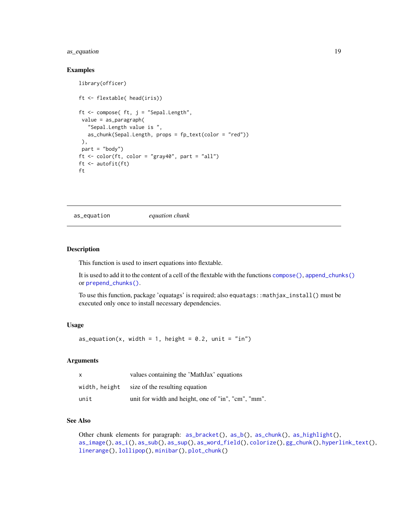# <span id="page-18-0"></span>as\_equation 19

### Examples

```
library(officer)
ft <- flextable( head(iris))
ft \leq compose( ft, j = "Sepal.Length",
 value = as_paragraph(
   "Sepal.Length value is ",
  as_chunk(Sepal.Length, props = fp_text(color = "red"))
 ),
part = "body")ft \le color(ft, color = "gray40", part = "all")
ft <- autofit(ft)
ft
```
<span id="page-18-1"></span>as\_equation *equation chunk*

### Description

This function is used to insert equations into flextable.

It is used to add it to the content of a cell of the flextable with the functions [compose\(\)](#page-60-1), [append\\_chunks\(\)](#page-14-1) or [prepend\\_chunks\(\)](#page-111-1).

To use this function, package 'equatags' is required; also equatags::mathjax\_install() must be executed only once to install necessary dependencies.

# Usage

as\_equation(x, width = 1, height =  $0.2$ , unit = "in")

### Arguments

| x             | values containing the 'MathJax' equations           |
|---------------|-----------------------------------------------------|
| width, height | size of the resulting equation                      |
| unit          | unit for width and height, one of "in", "cm", "mm". |

# See Also

Other chunk elements for paragraph: [as\\_bracket\(](#page-16-1)), [as\\_b\(](#page-15-1)), [as\\_chunk\(](#page-17-1)), [as\\_highlight\(](#page-31-1)), [as\\_image\(](#page-32-1)), [as\\_i\(](#page-32-2)), [as\\_sub\(](#page-36-1)), [as\\_sup\(](#page-37-1)), [as\\_word\\_field\(](#page-38-1)), [colorize\(](#page-60-2)), [gg\\_chunk\(](#page-82-1)), [hyperlink\\_text\(](#page-90-1)), [linerange\(](#page-96-1)), [lollipop\(](#page-98-1)), [minibar\(](#page-104-1)), [plot\\_chunk\(](#page-110-1))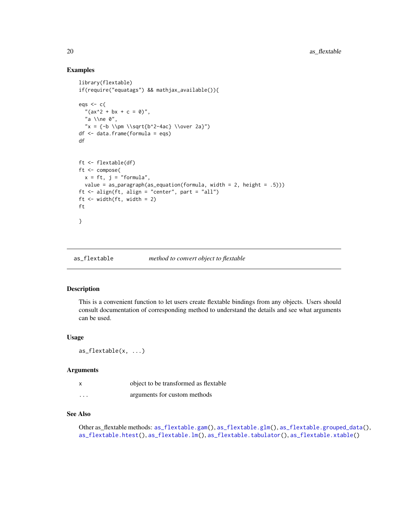### Examples

```
library(flextable)
if(require("equatags") && mathjax_available()){
egs \leftarrow c("(ax^2 + bx + c = 0)",
  "a \\ne 0",
  "x = {-b \l\pm \l\sqrt{b^2-4ac} \l\over 2a}")df <- data.frame(formula = eqs)
df
ft <- flextable(df)
ft <- compose(
 x = ft, j = "formula",value = as_paragraph(as_equation(formula, width = 2, height = .5)))
ft <- align(ft, align = "center", part = "all")
ft <- width(ft, width = 2)
ft
}
```
<span id="page-19-1"></span>as\_flextable *method to convert object to flextable*

# Description

This is a convenient function to let users create flextable bindings from any objects. Users should consult documentation of corresponding method to understand the details and see what arguments can be used.

# Usage

```
as_flextable(x, ...)
```
### Arguments

|          | object to be transformed as flextable |
|----------|---------------------------------------|
| $\cdots$ | arguments for custom methods          |

# See Also

Other as\_flextable methods: [as\\_flextable.gam\(](#page-20-1)), [as\\_flextable.glm\(](#page-21-1)), [as\\_flextable.grouped\\_data\(](#page-21-2)), [as\\_flextable.htest\(](#page-23-1)), [as\\_flextable.lm\(](#page-24-1)), [as\\_flextable.tabulator\(](#page-26-1)), [as\\_flextable.xtable\(](#page-28-1))

<span id="page-19-0"></span>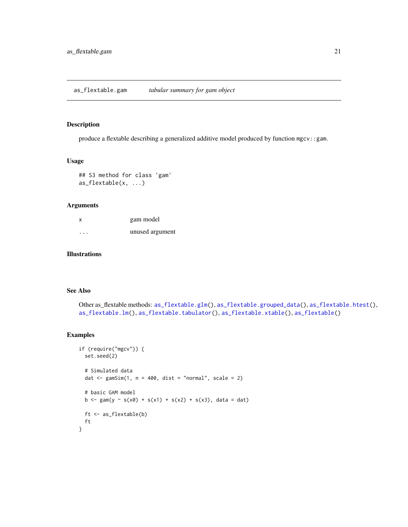### <span id="page-20-1"></span><span id="page-20-0"></span>Description

produce a flextable describing a generalized additive model produced by function mgcv::gam.

# Usage

```
## S3 method for class 'gam'
as_flextable(x, ...)
```
# Arguments

| x                       | gam model       |
|-------------------------|-----------------|
| $\cdot$ $\cdot$ $\cdot$ | unused argument |

# Illustrations

# See Also

```
Other as_flextable methods: as_flextable.glm(), as_flextable.grouped_data(), as_flextable.htest(),
as_flextable.lm(), as_flextable.tabulator(), as_flextable.xtable(), as_flextable()
```

```
if (require("mgcv")) {
  set.seed(2)
  # Simulated data
  dat \le gamSim(1, n = 400, dist = "normal", scale = 2)
  # basic GAM model
  b \leq-gam(y \sim s(x0) + s(x1) + s(x2) + s(x3), data = dat)
  ft <- as_flextable(b)
  ft
}
```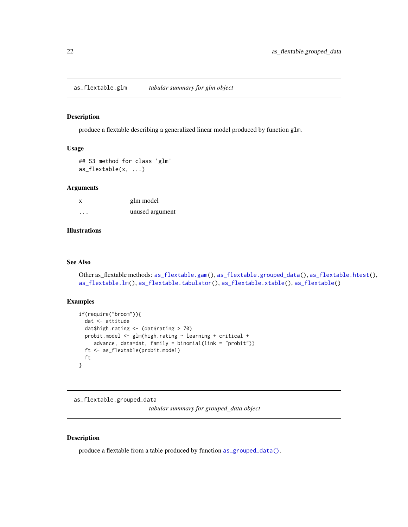<span id="page-21-1"></span><span id="page-21-0"></span>as\_flextable.glm *tabular summary for glm object*

# Description

produce a flextable describing a generalized linear model produced by function glm.

### Usage

```
## S3 method for class 'glm'
as_flextable(x, ...)
```
#### Arguments

| X       | glm model       |
|---------|-----------------|
| $\cdot$ | unused argument |

# Illustrations

### See Also

```
Other as_flextable methods: as_flextable.gam(), as_flextable.grouped_data(), as_flextable.htest(),
as_flextable.lm(), as_flextable.tabulator(), as_flextable.xtable(), as_flextable()
```
### Examples

```
if(require("broom")){
 dat <- attitude
 dat$high.rating <- (dat$rating > 70)
 probit.model <- glm(high.rating ~ learning + critical +
    advance, data=dat, family = binomial(link = "probit"))
 ft <- as_flextable(probit.model)
 ft
}
```
<span id="page-21-2"></span>as\_flextable.grouped\_data

*tabular summary for grouped\_data object*

### Description

produce a flextable from a table produced by function [as\\_grouped\\_data\(\)](#page-30-1).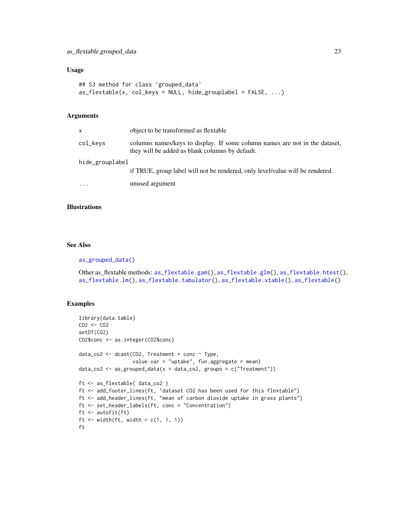# Usage

```
## S3 method for class 'grouped_data'
as_flextable(x, col_keys = NULL, hide_grouplabel = FALSE, ...)
```
### Arguments

| X.              | object to be transformed as flextable                                                                                          |
|-----------------|--------------------------------------------------------------------------------------------------------------------------------|
| col_kevs        | columns names/keys to display. If some column names are not in the dataset,<br>they will be added as blank columns by default. |
| hide_grouplabel |                                                                                                                                |
|                 | if TRUE, group label will not be rendered, only level/value will be rendered.                                                  |
| .               | unused argument                                                                                                                |

### **Illustrations**

# See Also

#### [as\\_grouped\\_data\(\)](#page-30-1)

Other as\_flextable methods: [as\\_flextable.gam\(](#page-20-1)), [as\\_flextable.glm\(](#page-21-1)), [as\\_flextable.htest\(](#page-23-1)), [as\\_flextable.lm\(](#page-24-1)), [as\\_flextable.tabulator\(](#page-26-1)), [as\\_flextable.xtable\(](#page-28-1)), [as\\_flextable\(](#page-19-1))

```
library(data.table)
CO2 <- CO2
setDT(CO2)
CO2$conc <- as.integer(CO2$conc)
data_co2 <- dcast(CO2, Treatment + conc ~ Type,
                  value.var = "uptake", fun.aggregate = mean)
data_co2 <- as_grouped_data(x = data_co2, groups = c("Treatment"))ft <- as_flextable( data_co2 )
ft <- add_footer_lines(ft, "dataset CO2 has been used for this flextable")
ft <- add_header_lines(ft, "mean of carbon dioxide uptake in grass plants")
ft <- set_header_labels(ft, conc = "Concentration")
ft <- autofit(ft)
ft \le width(ft, width = c(1, 1, 1))
ft
```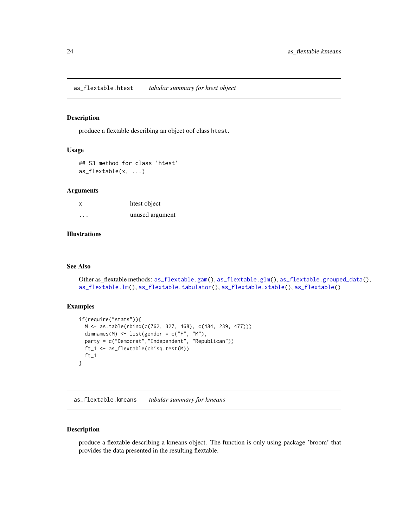<span id="page-23-1"></span><span id="page-23-0"></span>as\_flextable.htest *tabular summary for htest object*

### Description

produce a flextable describing an object oof class htest.

### Usage

```
## S3 method for class 'htest'
as_flextable(x, ...)
```
### Arguments

| x       | htest object    |
|---------|-----------------|
| $\cdot$ | unused argument |

# Illustrations

### See Also

```
Other as_flextable methods: as_flextable.gam(), as_flextable.glm(), as_flextable.grouped_data(),
as_flextable.lm(), as_flextable.tabulator(), as_flextable.xtable(), as_flextable()
```
# Examples

```
if(require("stats")){
 M <- as.table(rbind(c(762, 327, 468), c(484, 239, 477)))
  dimnames(M) <- list(gender = c("F", "M"),
  party = c("Democrat","Independent", "Republican"))
 ft_1 <- as_flextable(chisq.test(M))
 ft_1}
```
as\_flextable.kmeans *tabular summary for kmeans*

# Description

produce a flextable describing a kmeans object. The function is only using package 'broom' that provides the data presented in the resulting flextable.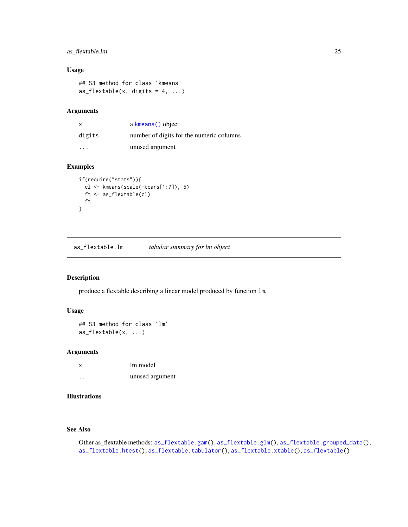# <span id="page-24-0"></span>as\_flextable.lm 25

# Usage

## S3 method for class 'kmeans' as\_flextable(x, digits =  $4, ...$ )

# Arguments

| $\mathsf{x}$ | a kmeans () object                       |
|--------------|------------------------------------------|
| digits       | number of digits for the numeric columns |
| .            | unused argument                          |

### Examples

```
if(require("stats")){
  cl <- kmeans(scale(mtcars[1:7]), 5)
  ft <- as_flextable(cl)
 ft
}
```
<span id="page-24-1"></span>as\_flextable.lm *tabular summary for lm object*

# Description

produce a flextable describing a linear model produced by function lm.

# Usage

```
## S3 method for class 'lm'
as_flextable(x, ...)
```
# Arguments

| x | lm model        |
|---|-----------------|
| . | unused argument |

# Illustrations

### See Also

Other as\_flextable methods: [as\\_flextable.gam\(](#page-20-1)), [as\\_flextable.glm\(](#page-21-1)), [as\\_flextable.grouped\\_data\(](#page-21-2)), [as\\_flextable.htest\(](#page-23-1)), [as\\_flextable.tabulator\(](#page-26-1)), [as\\_flextable.xtable\(](#page-28-1)), [as\\_flextable\(](#page-19-1))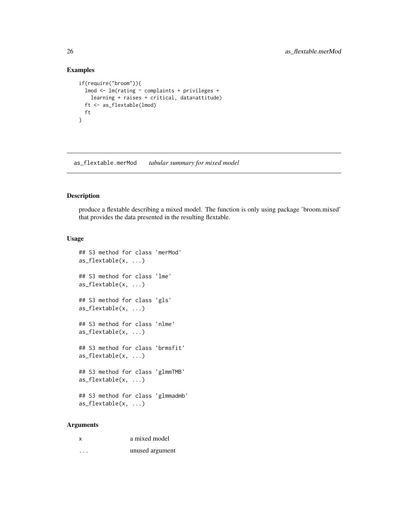# Examples

```
if(require("broom")){
 lmod <- lm(rating ~ complaints + privileges +
   learning + raises + critical, data=attitude)
 ft <- as_flextable(lmod)
 ft
}
```
as\_flextable.merMod *tabular summary for mixed model*

# Description

produce a flextable describing a mixed model. The function is only using package 'broom.mixed' that provides the data presented in the resulting flextable.

### Usage

```
## S3 method for class 'merMod'
as_flextable(x, ...)
## S3 method for class 'lme'
as_flextable(x, ...)
## S3 method for class 'gls'
as_flextable(x, ...)
## S3 method for class 'nlme'
as_flextable(x, ...)
## S3 method for class 'brmsfit'
as_flextable(x, ...)
## S3 method for class 'glmmTMB'
as_flextable(x, ...)
## S3 method for class 'glmmadmb'
as_flextable(x, ...)
```
# Arguments

| X. | a mixed model   |
|----|-----------------|
| .  | unused argument |

<span id="page-25-0"></span>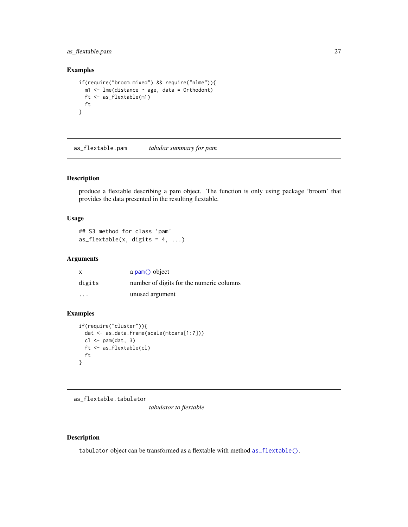# <span id="page-26-0"></span>as\_flextable.pam 27

# Examples

```
if(require("broom.mixed") && require("nlme")){
  m1 <- lme(distance \sim age, data = Orthodont)
  ft <- as_flextable(m1)
  ft
}
```
as\_flextable.pam *tabular summary for pam*

# Description

produce a flextable describing a pam object. The function is only using package 'broom' that provides the data presented in the resulting flextable.

# Usage

```
## S3 method for class 'pam'
as_flextable(x, digits = 4, ...)
```
# Arguments

| X                       | a pam() object                           |
|-------------------------|------------------------------------------|
| digits                  | number of digits for the numeric columns |
| $\cdot$ $\cdot$ $\cdot$ | unused argument                          |

# Examples

```
if(require("cluster")){
  dat <- as.data.frame(scale(mtcars[1:7]))
  cl \leftarrow pam(data, 3)ft <- as_flextable(cl)
  ft
}
```
<span id="page-26-1"></span>as\_flextable.tabulator

*tabulator to flextable*

# Description

tabulator object can be transformed as a flextable with method [as\\_flextable\(\)](#page-19-1).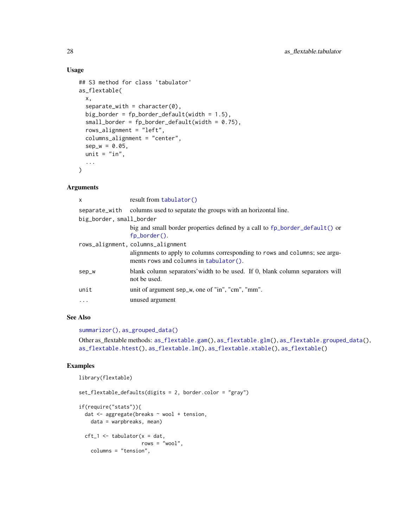# Usage

```
## S3 method for class 'tabulator'
as_flextable(
  x,
  separate_with = character(0),
  big_border = fp\_border\_default(width = 1.5),
  small\_border = fp\_border\_default(width = 0.75),
  rows_alignment = "left",
  columns_alignment = "center",
  sep_w = 0.05,
  unit = "in",...
\mathcal{L}
```
# Arguments

| $\times$                 | result from tabulator()                                                                                                                                       |
|--------------------------|---------------------------------------------------------------------------------------------------------------------------------------------------------------|
| separate_with            | columns used to sepatate the groups with an horizontal line.                                                                                                  |
| big_border, small_border |                                                                                                                                                               |
|                          | big and small border properties defined by a call to $fp\_border\_default()$ or<br>fo border $()$ .                                                           |
|                          | rows_alignment, columns_alignment<br>alignments to apply to columns corresponding to rows and columns; see argu-<br>ments rows and columns in $tabulator()$ . |
| sep_w                    | blank column separators' width to be used. If 0, blank column separators will<br>not be used.                                                                 |
| unit                     | unit of argument sep_w, one of "in", "cm", "mm".                                                                                                              |
| $\ddotsc$                | unused argument                                                                                                                                               |

# See Also

```
summarizor(), as_grouped_data()
```

```
Other as_flextable methods: as_flextable.gam(), as_flextable.glm(), as_flextable.grouped_data(),
as_flextable.htest(), as_flextable.lm(), as_flextable.xtable(), as_flextable()
```

```
library(flextable)
```

```
set_flextable_defaults(digits = 2, border.color = "gray")
if(require("stats")){
 dat <- aggregate(breaks ~ wool + tension,
   data = warpbreaks, mean)
 cft_1 \leftarrow tabulator(x = dat,rows = "wood",
```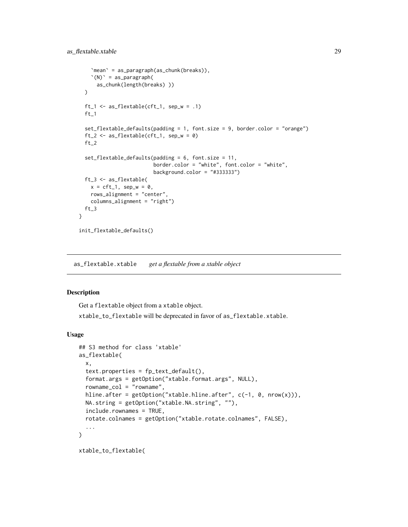```
`mean` = as_paragraph(as_chunk(breaks)),
    '(N)' = as\_paramph(as_chunk(length(breaks) ))
 \lambdaft_1 <- as_flextable(cft_1, sep_w = .1)
 ft_1set_flextable_defaults(padding = 1, font.size = 9, border.color = "orange")
 ft_2 \leftarrow as_flextable(cft_1, sep_w = 0)ft_2set_flextable_defaults(padding = 6, font.size = 11,
                         border.color = "white", font.color = "white",
                         background.color = "#333333")
 ft_3 <- as_flextable(
   x = cft_1, sep_w = 0,
   rows_alignment = "center",
   columns_alignment = "right")
 ft_3}
init_flextable_defaults()
```
<span id="page-28-1"></span>as\_flextable.xtable *get a flextable from a xtable object*

# Description

Get a flextable object from a xtable object.

xtable\_to\_flextable will be deprecated in favor of as\_flextable.xtable.

### Usage

```
## S3 method for class 'xtable'
as_flextable(
 x,
  text.properties = fp_text_default(),
  format.args = getOption("xtable.format.args", NULL),
  rowname_col = "rowname",
 hline.after = getOption("xtable.hline.after", c(-1, 0, nrow(x))),
 NA.string = getOption("xtable.NA.string", ""),
  include.rownames = TRUE,
  rotate.colnames = getOption("xtable.rotate.colnames", FALSE),
  ...
\mathcal{L}
```
xtable\_to\_flextable(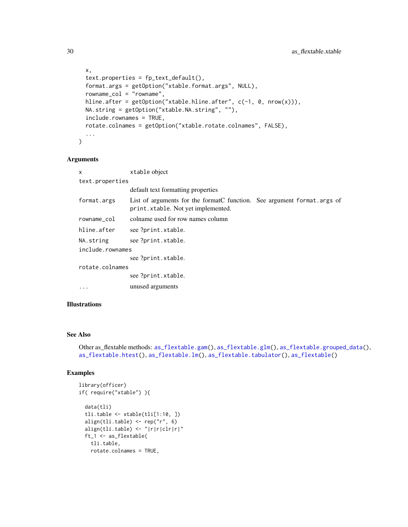```
x,
  text.properties = fp_text_default(),
  format.args = getOption("xtable.format.args", NULL),
  rowname_col = "rowname",
  hline.after = getOption("xtable.hline.after", c(-1, 0, nrow(x))),
  NA.string = getOption("xtable.NA.string", ""),
  include.rownames = TRUE,
  rotate.colnames = getOption("xtable.rotate.colnames", FALSE),
  ...
\mathcal{L}
```
# Arguments

| $\mathsf{x}$     | xtable object                                                                                                 |  |
|------------------|---------------------------------------------------------------------------------------------------------------|--|
| text.properties  |                                                                                                               |  |
|                  | default text formatting properties                                                                            |  |
| format.args      | List of arguments for the format function. See argument format. args of<br>print.xtable. Not yet implemented. |  |
| rowname_col      | colname used for row names column                                                                             |  |
| hline.after      | see ?print.xtable.                                                                                            |  |
| NA.string        | see ?print.xtable.                                                                                            |  |
| include.rownames |                                                                                                               |  |
|                  | see ?print.xtable.                                                                                            |  |
| rotate.colnames  |                                                                                                               |  |
|                  | see ?print.xtable.                                                                                            |  |
| $\cdots$         | unused arguments                                                                                              |  |

# Illustrations

# See Also

Other as\_flextable methods: [as\\_flextable.gam\(](#page-20-1)), [as\\_flextable.glm\(](#page-21-1)), [as\\_flextable.grouped\\_data\(](#page-21-2)), [as\\_flextable.htest\(](#page-23-1)), [as\\_flextable.lm\(](#page-24-1)), [as\\_flextable.tabulator\(](#page-26-1)), [as\\_flextable\(](#page-19-1))

```
library(officer)
if( require("xtable") ){
  data(tli)
  tli.table <- xtable(tli[1:10, ])
  align(tli.table) <- rep("r", 6)
  align(tli.table) <- "|r|r|clr|r|"
  ft_1 <- as_flextable(
   tli.table,
   rotate.colnames = TRUE,
```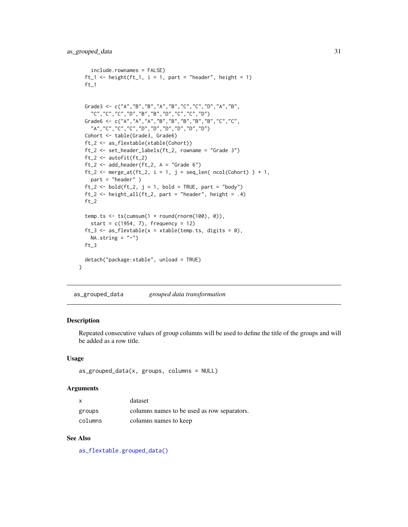```
include.rownames = FALSE)
ft_1 <- height(ft_1, i = 1, part = "header", height = 1)
ft_1Grade3 <- c("A","B","B","A","B","C","C","D","A","B",
  "C","C","C","D","B","B","D","C","C","D")
Grade6 <- c("A","A","A","B","B","B","B","B","C","C",
  "A","C","C","C","D","D","D","D","D","D")
Cohort <- table(Grade3, Grade6)
ft_2 <- as_flextable(xtable(Cohort))
ft_2 <- set_header_labels(ft_2, rowname = "Grade 3")
ft_2 <- autofit(ft_2)
ft_2 < - add\_header(ft_2, A = "Grade 6")ft_2 \leftarrow merge_at(ft_2, i = 1, j = seq_length(\text{ncol}(\text{Cohort})) + 1,part = "header" )
ft_2 \leftarrow bold (ft_2, j = 1, bold = TRUE, part = "body")ft_2 \leftarrow height\_all (ft_2, part = "header", height = .4)ft_2temp.ts <- ts(cumsum(1 + round(rnorm(100), 0)),
 start = c(1954, 7), frequency = 12)
ft_3 <- as_flextable(x = xtable(temp.ts, digits = 0),
 NA.string = "-")ft_3detach("package:xtable", unload = TRUE)
```
<span id="page-30-1"></span>as\_grouped\_data *grouped data transformation*

### Description

}

Repeated consecutive values of group columns will be used to define the title of the groups and will be added as a row title.

#### Usage

```
as\_grouped\_data(x, groups, columns = NULL)
```
### Arguments

| X       | dataset                                     |
|---------|---------------------------------------------|
| groups  | columns names to be used as row separators. |
| columns | columns names to keep                       |

# See Also

[as\\_flextable.grouped\\_data\(\)](#page-21-2)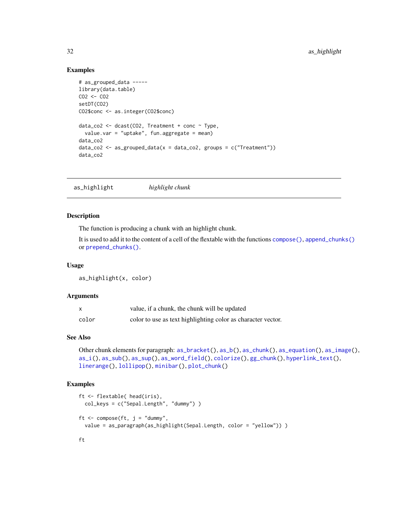### Examples

```
# as_grouped_data -----
library(data.table)
CO2 <- CO2
setDT(CO2)
CO2$conc <- as.integer(CO2$conc)
data_co2 <- dcast(CO2, Treatment + conc ~ Type,
  value.var = "uptake", fun.aggregate = mean)
data_co2
data_{02} < -as_{grouped\_data(x = data_{02}, groups = c("Treatment"))data_co2
```
<span id="page-31-1"></span>as\_highlight *highlight chunk*

# Description

The function is producing a chunk with an highlight chunk.

It is used to add it to the content of a cell of the flextable with the functions [compose\(\)](#page-60-1), [append\\_chunks\(\)](#page-14-1) or [prepend\\_chunks\(\)](#page-111-1).

#### Usage

as\_highlight(x, color)

### Arguments

|       | value, if a chunk, the chunk will be updated                 |
|-------|--------------------------------------------------------------|
| color | color to use as text highlighting color as character vector. |

# See Also

```
Other chunk elements for paragraph: as_bracket(), as_b(), as_chunk(), as_equation(), as_image(),
as_i(), as_sub(), as_sup(), as_word_field(), colorize(), gg_chunk(), hyperlink_text(),
linerange(), lollipop(), minibar(), plot_chunk()
```
# Examples

```
ft <- flextable( head(iris),
  col_keys = c("Sepal.Length", "dummy") )
ft \leq compose(ft, j = "dummy",
  value = as_paragraph(as_highlight(Sepal.Length, color = "yellow")) )
```
ft

<span id="page-31-0"></span>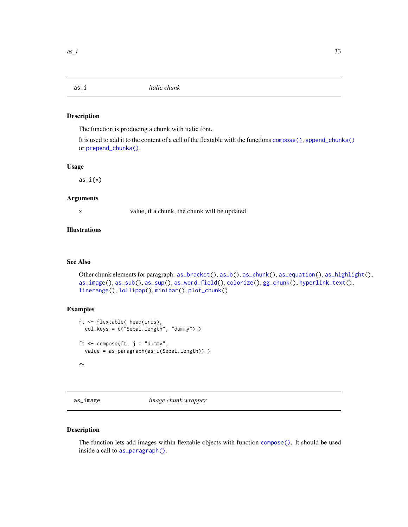<span id="page-32-2"></span><span id="page-32-0"></span>

### Description

The function is producing a chunk with italic font.

It is used to add it to the content of a cell of the flextable with the functions [compose\(\)](#page-60-1), [append\\_chunks\(\)](#page-14-1) or [prepend\\_chunks\(\)](#page-111-1).

#### Usage

 $as_i(x)$ 

### Arguments

x value, if a chunk, the chunk will be updated

# Illustrations

### See Also

```
Other chunk elements for paragraph: as\_bracket(), as\_b(), as\_chunk(), as\_equation(), as\_highlight(),as_image(), as_sub(), as_sup(), as_word_field(), colorize(), gg_chunk(), hyperlink_text(),
linerange(), lollipop(), minibar(), plot_chunk()
```
### Examples

```
ft <- flextable( head(iris),
 col_keys = c("Sepal.Length", "dummy") )
ft \leq compose(ft, j = "dummy",
 value = as_paragraph(as_i(Sepal.Length)) )
ft
```
<span id="page-32-1"></span>as\_image *image chunk wrapper*

### Description

The function lets add images within flextable objects with function [compose\(\)](#page-60-1). It should be used inside a call to [as\\_paragraph\(\)](#page-34-1).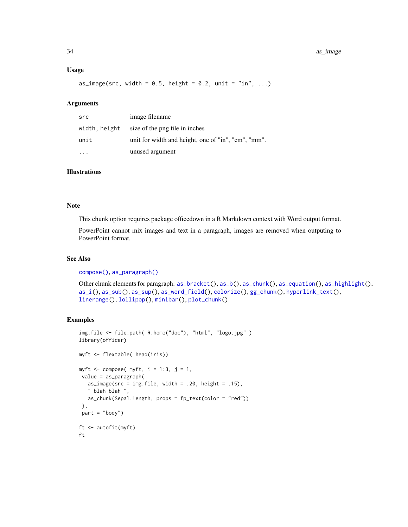### Usage

as\_image(src, width =  $0.5$ , height =  $0.2$ , unit = "in", ...)

### Arguments

| src           | image filename                                      |
|---------------|-----------------------------------------------------|
| width, height | size of the png file in inches                      |
| unit          | unit for width and height, one of "in", "cm", "mm". |
|               | unused argument                                     |

# Illustrations

#### Note

This chunk option requires package officedown in a R Markdown context with Word output format.

PowerPoint cannot mix images and text in a paragraph, images are removed when outputing to PowerPoint format.

# See Also

[compose\(\)](#page-60-1), [as\\_paragraph\(\)](#page-34-1)

Other chunk elements for paragraph: [as\\_bracket\(](#page-16-1)), [as\\_b\(](#page-15-1)), [as\\_chunk\(](#page-17-1)), [as\\_equation\(](#page-18-1)), [as\\_highlight\(](#page-31-1)), [as\\_i\(](#page-32-2)), [as\\_sub\(](#page-36-1)), [as\\_sup\(](#page-37-1)), [as\\_word\\_field\(](#page-38-1)), [colorize\(](#page-60-2)), [gg\\_chunk\(](#page-82-1)), [hyperlink\\_text\(](#page-90-1)), [linerange\(](#page-96-1)), [lollipop\(](#page-98-1)), [minibar\(](#page-104-1)), [plot\\_chunk\(](#page-110-1))

```
img.file <- file.path( R.home("doc"), "html", "logo.jpg" )
library(officer)
myft <- flextable( head(iris))
myft \le compose( myft, i = 1:3, j = 1,
value = as_paragraph(
  as_image(src = img.file, width = .20, height = .15),
   " blah blah ",
  as_chunk(Sepal.Length, props = fp_text(color = "red"))
 ),
 part = "body")ft <- autofit(myft)
ft
```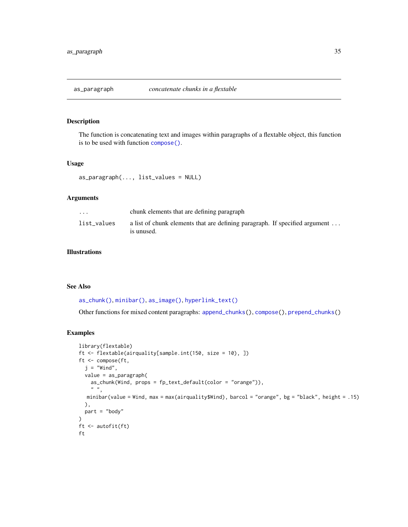<span id="page-34-1"></span><span id="page-34-0"></span>

# Description

The function is concatenating text and images within paragraphs of a flextable object, this function is to be used with function [compose\(\)](#page-60-1).

### Usage

```
as_paragraph(..., list_values = NULL)
```
# Arguments

| $\cdots$    | chunk elements that are defining paragraph                                                |
|-------------|-------------------------------------------------------------------------------------------|
| list values | a list of chunk elements that are defining paragraph. If specified argument<br>is unused. |

# Illustrations

### See Also

[as\\_chunk\(\)](#page-17-1), [minibar\(\)](#page-104-1), [as\\_image\(\)](#page-32-1), [hyperlink\\_text\(\)](#page-90-1)

Other functions for mixed content paragraphs: [append\\_chunks\(](#page-14-1)), [compose\(](#page-60-1)), [prepend\\_chunks\(](#page-111-1))

```
library(flextable)
ft <- flextable(airquality[sample.int(150, size = 10), ])
ft <- compose(ft,
  j = "Wind",value = as_paragraph(
    as_chunk(Wind, props = fp_text_default(color = "orange")),
    \left\langle n\right\rangle \left\langle n\right\rangleminibar(value = Wind, max = max(airquality$Wind), barcol = "orange", bg = "black", height = .15)
  ),
  part = "body"
\mathcal{L}ft <- autofit(ft)
ft
```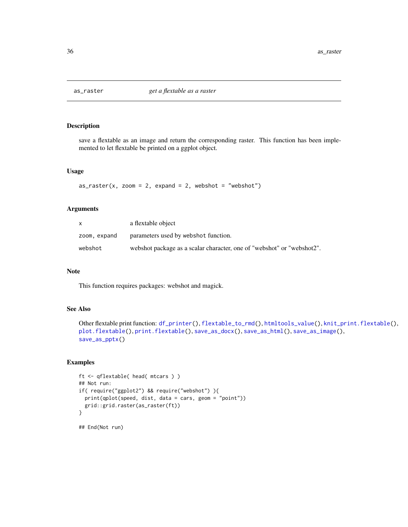<span id="page-35-0"></span>

### Description

save a flextable as an image and return the corresponding raster. This function has been implemented to let flextable be printed on a ggplot object.

# Usage

```
as\_raster(x, zoom = 2, expand = 2, webshot = "webshot")
```
### Arguments

|              | a flextable object                                                     |
|--------------|------------------------------------------------------------------------|
| zoom, expand | parameters used by webshot function.                                   |
| webshot      | webshot package as a scalar character, one of "webshot" or "webshot2". |

# Note

This function requires packages: webshot and magick.

# See Also

```
Other flextable print function: df_printer(), flextable_to_rmd(), htmltools_value(), knit_print.flextable(),
plot.flextable(), print.flextable(), save_as_docx(), save_as_html(), save_as_image(),
save_as_pptx()
```

```
ft <- qflextable( head( mtcars ) )
## Not run:
if( require("ggplot2") && require("webshot") ){
  print(qplot(speed, dist, data = cars, geom = "point"))
  grid::grid.raster(as_raster(ft))
}
## End(Not run)
```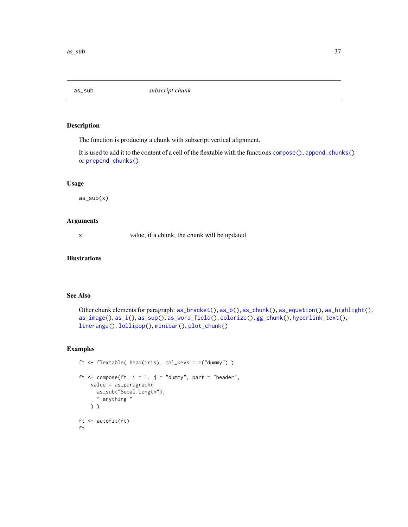<span id="page-36-0"></span>

The function is producing a chunk with subscript vertical alignment.

It is used to add it to the content of a cell of the flextable with the functions [compose\(\)](#page-60-0), [append\\_chunks\(\)](#page-14-0) or [prepend\\_chunks\(\)](#page-111-0).

# Usage

 $as\_sub(x)$ 

#### Arguments

x value, if a chunk, the chunk will be updated

## Illustrations

# See Also

```
Other chunk elements for paragraph: as_b(), as\_chunk(), as\_equation(), as\_highlight(),as_image(), as_i(), as_sup(), as_word_field(), colorize(), gg_chunk(), hyperlink_text(),
linerange(), lollipop(), minibar(), plot_chunk()
```

```
ft <- flextable( head(iris), col_keys = c("dummy") )
ft \leq compose(ft, i = 1, j = "dummy", part = "header",
   value = as_paragraph(
     as_sub("Sepal.Length"),
     " anything "
   ) )
ft <- autofit(ft)
ft
```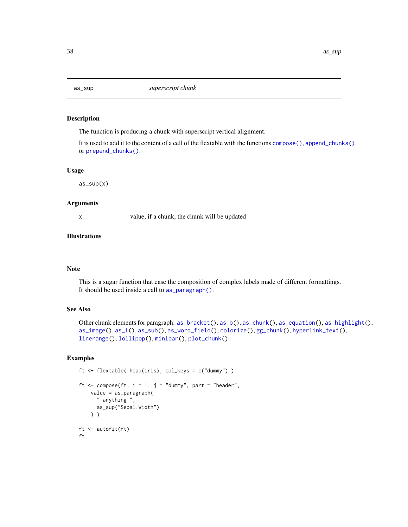<span id="page-37-0"></span>

The function is producing a chunk with superscript vertical alignment.

It is used to add it to the content of a cell of the flextable with the functions [compose\(\)](#page-60-0), [append\\_chunks\(\)](#page-14-0) or [prepend\\_chunks\(\)](#page-111-0).

## Usage

 $as\_sup(x)$ 

# Arguments

x value, if a chunk, the chunk will be updated

# **Illustrations**

#### Note

This is a sugar function that ease the composition of complex labels made of different formattings. It should be used inside a call to [as\\_paragraph\(\)](#page-34-0).

## See Also

```
Other chunk elements for paragraph: as_bracket(), as_b(), as_chunk(), as_equation(), as_highlight(),
as_image(), as_i(), as_sub(), as_word_field(), colorize(), gg_chunk(), hyperlink_text(),
linerange(), lollipop(), minibar(), plot_chunk()
```

```
ft <- flextable( head(iris), col_keys = c("dummy") )
ft \leq compose(ft, i = 1, j = "dummy", part = "header",
   value = as_paragraph(
      " anything ",
      as_sup("Sepal.Width")
   ) )
ft <- autofit(ft)
ft
```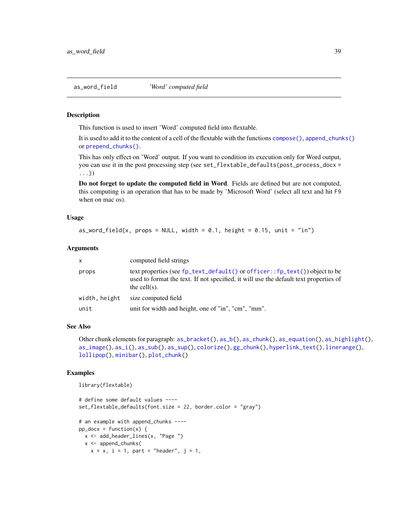<span id="page-38-0"></span>This function is used to insert 'Word' computed field into flextable.

It is used to add it to the content of a cell of the flextable with the functions [compose\(\)](#page-60-0), [append\\_chunks\(\)](#page-14-0) or [prepend\\_chunks\(\)](#page-111-0).

This has only effect on 'Word' output. If you want to condition its execution only for Word output, you can use it in the post processing step (see set\_flextable\_defaults(post\_process\_docx = ...))

Do not forget to update the computed field in Word. Fields are defined but are not computed, this computing is an operation that has to be made by 'Microsoft Word' (select all text and hit F9 when on mac os).

#### Usage

```
as_word_field(x, props = NULL, width = 0.1, height = 0.15, unit = "in")
```
## Arguments

| $\mathsf{x}$  | computed field strings                                                                                                                                                                                         |
|---------------|----------------------------------------------------------------------------------------------------------------------------------------------------------------------------------------------------------------|
| props         | text properties (see $fp_{\text{text}}$ default () or officer:: $fp_{\text{text}}()$ object to be<br>used to format the text. If not specified, it will use the default text properties of<br>the cell $(s)$ . |
| width, height | size computed field                                                                                                                                                                                            |
| unit          | unit for width and height, one of "in", "cm", "mm".                                                                                                                                                            |

## See Also

Other chunk elements for paragraph: [as\\_bracket\(](#page-16-0)), [as\\_b\(](#page-15-0)), [as\\_chunk\(](#page-17-0)), [as\\_equation\(](#page-18-0)), [as\\_highlight\(](#page-31-0)), [as\\_image\(](#page-32-0)), [as\\_i\(](#page-32-1)), [as\\_sub\(](#page-36-0)), [as\\_sup\(](#page-37-0)), [colorize\(](#page-60-1)), [gg\\_chunk\(](#page-82-0)), [hyperlink\\_text\(](#page-90-0)), [linerange\(](#page-96-0)), [lollipop\(](#page-98-0)), [minibar\(](#page-104-0)), [plot\\_chunk\(](#page-110-0))

```
library(flextable)
```

```
# define some default values ----
set_flextable_defaults(font.size = 22, border.color = "gray")
# an example with append_chunks ----
pp\_docx = function(x) {
  x <- add_header_lines(x, "Page ")
  x <- append_chunks(
   x = x, i = 1, part = "header", j = 1,
```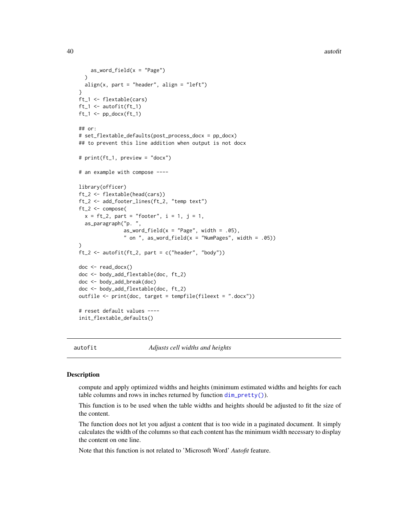```
as_word_field(x = "Page"))
  align(x, part = "header", align = "left")}
ft_1 <- flextable(cars)
ft_1 <- autofit(ft_1)
ft_1 \leftarrow pp\_docx(ft_1)## or:
# set_flextable_defaults(post_process_docx = pp_docx)
## to prevent this line addition when output is not docx
# print(ft_1, preview = "docx")
# an example with compose ----
library(officer)
ft_2 <- flextable(head(cars))
ft_2 <- add_footer_lines(ft_2, "temp text")
ft_2 <- compose(
  x = ft_2, part = "footer", i = 1, j = 1,
  as_paragraph("p. ",
               as_word_field(x = "Page", width = .05)," on ", as_word_field(x = "NumPages", width = .05))
)
ft_2 \leftarrow \text{autofit}(ft_2, \text{part} = c("header", "body"))doc <- read_docx()
doc <- body_add_flextable(doc, ft_2)
doc <- body_add_break(doc)
doc <- body_add_flextable(doc, ft_2)
outfile <- print(doc, target = tempfile(fileext = ".docx"))
# reset default values ----
init_flextable_defaults()
```
<span id="page-39-0"></span>

autofit *Adjusts cell widths and heights*

## **Description**

compute and apply optimized widths and heights (minimum estimated widths and heights for each table columns and rows in inches returned by function  $\dim_{\mathbb{P}}$  pretty()).

This function is to be used when the table widths and heights should be adjusted to fit the size of the content.

The function does not let you adjust a content that is too wide in a paginated document. It simply calculates the width of the columns so that each content has the minimum width necessary to display the content on one line.

Note that this function is not related to 'Microsoft Word' *Autofit* feature.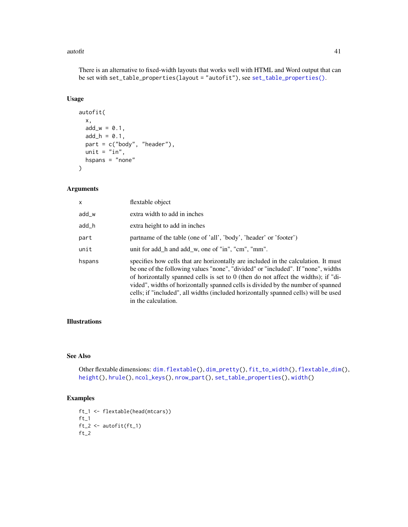#### autofit **41**

There is an alternative to fixed-width layouts that works well with HTML and Word output that can be set with set\_table\_properties(layout = "autofit"), see [set\\_table\\_properties\(\)](#page-128-0).

# Usage

```
autofit(
  x,
 add_w = 0.1,
 add_h = 0.1,
 part = c("body", "header"),
 unit = "in",hspans = "none"\mathcal{L}
```
# Arguments

| x      | flextable object                                                                                                                                                                                                                                                                                                                                                                                                                                                |
|--------|-----------------------------------------------------------------------------------------------------------------------------------------------------------------------------------------------------------------------------------------------------------------------------------------------------------------------------------------------------------------------------------------------------------------------------------------------------------------|
| add_w  | extra width to add in inches                                                                                                                                                                                                                                                                                                                                                                                                                                    |
| add_h  | extra height to add in inches                                                                                                                                                                                                                                                                                                                                                                                                                                   |
| part   | partname of the table (one of 'all', 'body', 'header' or 'footer')                                                                                                                                                                                                                                                                                                                                                                                              |
| unit   | unit for add h and add w, one of "in", "cm", "mm".                                                                                                                                                                                                                                                                                                                                                                                                              |
| hspans | specifies how cells that are horizontally are included in the calculation. It must<br>be one of the following values "none", "divided" or "included". If "none", widths<br>of horizontally spanned cells is set to 0 (then do not affect the widths); if "di-<br>vided", widths of horizontally spanned cells is divided by the number of spanned<br>cells; if "included", all widths (included horizontally spanned cells) will be used<br>in the calculation. |

# Illustrations

# See Also

Other flextable dimensions: [dim.flextable\(](#page-64-0)), [dim\\_pretty\(](#page-65-0)), [fit\\_to\\_width\(](#page-67-0)), [flextable\\_dim\(](#page-70-0)), [height\(](#page-83-0)), [hrule\(](#page-89-0)), [ncol\\_keys\(](#page-105-0)), [nrow\\_part\(](#page-106-0)), [set\\_table\\_properties\(](#page-128-0)), [width\(](#page-153-0))

# Examples

ft\_1 <- flextable(head(mtcars))  $ft_1$  $ft_2 \leftarrow \text{autofit}(ft_1)$  $ft_2$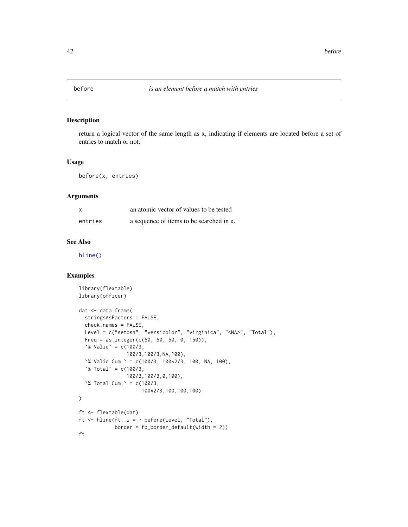return a logical vector of the same length as x, indicating if elements are located before a set of entries to match or not.

# Usage

before(x, entries)

## Arguments

|         | an atomic vector of values to be tested  |
|---------|------------------------------------------|
| entries | a sequence of items to be searched in x. |

# See Also

[hline\(\)](#page-86-0)

```
library(flextable)
library(officer)
dat <- data.frame(
  stringsAsFactors = FALSE,
  check.names = FALSE,
  Level = c("setosa", "versicolor", "virginica", "<NA>", "Total"),
  Freq = as.integer(c(50, 50, 50, 0, 150)),`% Valid` = c(100/3,
                100/3,100/3,NA,100),
  `% Valid Cum.` = c(100/3, 100*2/3, 100, NA, 100),
  \degree Total = c(100/3,
                100/3,100/3,0,100),
  `% Total Cum.` = c(100/3,
                     100*2/3,100,100,100)
\mathcal{L}ft <- flextable(dat)
ft \le hline(ft, i = \sim before(Level, "Total"),
            border = fp_border_default(width = 2))
ft
```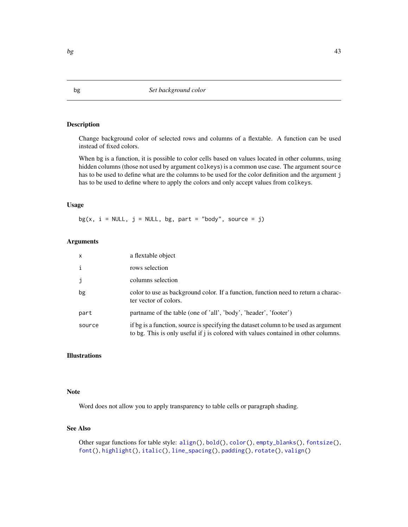<span id="page-42-0"></span>Change background color of selected rows and columns of a flextable. A function can be used instead of fixed colors.

When bg is a function, it is possible to color cells based on values located in other columns, using hidden columns (those not used by argument colkeys) is a common use case. The argument source has to be used to define what are the columns to be used for the color definition and the argument j has to be used to define where to apply the colors and only accept values from colkeys.

## Usage

bg(x,  $i = NULL$ ,  $j = NULL$ , bg, part = "body", source =  $j$ )

# Arguments

| $\mathsf{x}$ | a flextable object                                                                                                                                                        |
|--------------|---------------------------------------------------------------------------------------------------------------------------------------------------------------------------|
| $\mathbf{i}$ | rows selection                                                                                                                                                            |
| j            | columns selection                                                                                                                                                         |
| bg           | color to use as background color. If a function, function need to return a charac-<br>ter vector of colors.                                                               |
| part         | partname of the table (one of 'all', 'body', 'header', 'footer')                                                                                                          |
| source       | if bg is a function, source is specifying the dataset column to be used as argument<br>to bg. This is only useful if j is colored with values contained in other columns. |

# Illustrations

## Note

Word does not allow you to apply transparency to table cells or paragraph shading.

# See Also

Other sugar functions for table style: [align\(](#page-13-0)), [bold\(](#page-45-0)), [color\(](#page-58-0)), [empty\\_blanks\(](#page-66-0)), [fontsize\(](#page-75-0)), [font\(](#page-74-0)), [highlight\(](#page-85-0)), [italic\(](#page-91-0)), [line\\_spacing\(](#page-97-0)), [padding\(](#page-107-0)), [rotate\(](#page-114-0)), [valign\(](#page-149-0))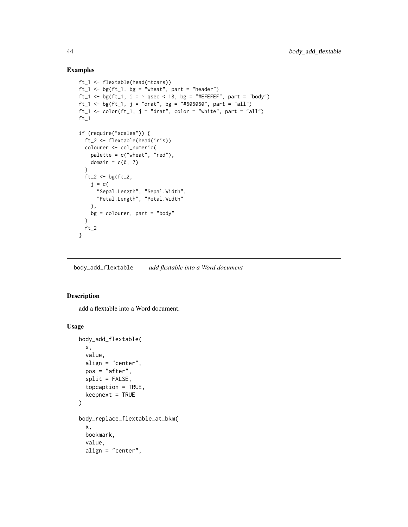## Examples

```
ft_1 <- flextable(head(mtcars))
ft_1 \leftarrow bgft_1, bg = "wheat", part = "header")ft_1 <- bg(ft_1, i = \sim qsec < 18, bg = "#EFEFEF", part = "body")
ft_1 <- bg(ft_1, j = "drat", bg = "#606060", part = "all")
ft_1 \leftarrow color(ft_1, j = "drat", color = "white", part = "all")ft_1if (require("scales")) {
  ft_2 <- flextable(head(iris))
 colourer <- col_numeric(
    palette = c("wheat", "red"),
    domain = c(0, 7)\lambdaft_2 < - bgft_2,
    j = c("Sepal.Length", "Sepal.Width",
      "Petal.Length", "Petal.Width"
    ),
    bg = colourer, part = "body"
  \lambdaft_2}
```
body\_add\_flextable *add flextable into a Word document*

# Description

add a flextable into a Word document.

## Usage

```
body_add_flextable(
  x,
 value,
 align = "center",
 pos = "after",
  split = FALSE,
  topcaption = TRUE,
 keepnext = TRUE\mathcal{L}body_replace_flextable_at_bkm(
  x,
 bookmark,
  value,
  align = "center",
```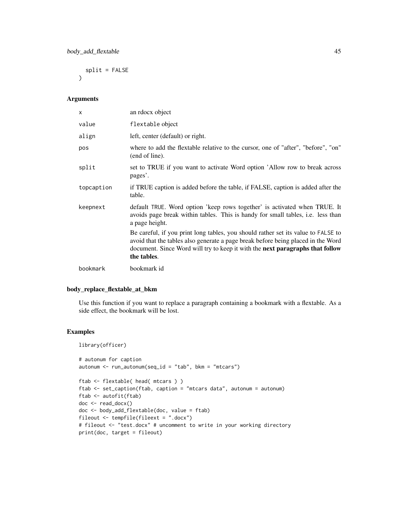$split$  = FALSE  $\lambda$ 

# Arguments

| $\mathsf{x}$ | an rdocx object                                                                                                                                                                                                                                                       |
|--------------|-----------------------------------------------------------------------------------------------------------------------------------------------------------------------------------------------------------------------------------------------------------------------|
| value        | flextable object                                                                                                                                                                                                                                                      |
| align        | left, center (default) or right.                                                                                                                                                                                                                                      |
| pos          | where to add the flextable relative to the cursor, one of "after", "before", "on"<br>(end of line).                                                                                                                                                                   |
| split        | set to TRUE if you want to activate Word option 'Allow row to break across<br>pages'.                                                                                                                                                                                 |
| topcaption   | if TRUE caption is added before the table, if FALSE, caption is added after the<br>table.                                                                                                                                                                             |
| keepnext     | default TRUE. Word option 'keep rows together' is activated when TRUE. It<br>avoids page break within tables. This is handy for small tables, i.e. less than<br>a page height.                                                                                        |
|              | Be careful, if you print long tables, you should rather set its value to FALSE to<br>avoid that the tables also generate a page break before being placed in the Word<br>document. Since Word will try to keep it with the next paragraphs that follow<br>the tables. |
| bookmark     | bookmark id                                                                                                                                                                                                                                                           |

# body\_replace\_flextable\_at\_bkm

Use this function if you want to replace a paragraph containing a bookmark with a flextable. As a side effect, the bookmark will be lost.

```
library(officer)
# autonum for caption
autonum \le run_autonum(seq_id = "tab", bkm = "mtcars")
ftab <- flextable( head( mtcars ) )
ftab <- set_caption(ftab, caption = "mtcars data", autonum = autonum)
ftab <- autofit(ftab)
doc <- read_docx()
doc <- body_add_flextable(doc, value = ftab)
fileout <- tempfile(fileext = ".docx")
# fileout <- "test.docx" # uncomment to write in your working directory
print(doc, target = fileout)
```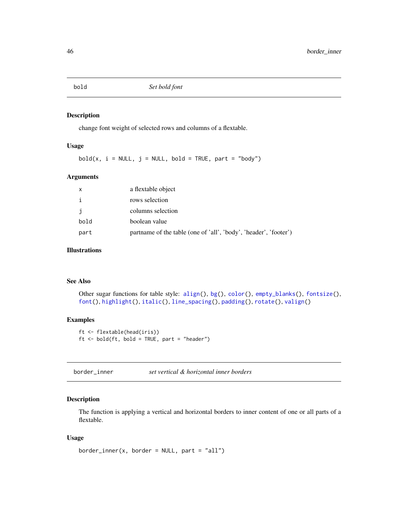<span id="page-45-0"></span>

change font weight of selected rows and columns of a flextable.

# Usage

 $bold(x, i = NULL, j = NULL, bold = TRUE, part = "body")$ 

## Arguments

| X    | a flextable object                                               |
|------|------------------------------------------------------------------|
| i    | rows selection                                                   |
| j    | columns selection                                                |
| bold | boolean value                                                    |
| part | partname of the table (one of 'all', 'body', 'header', 'footer') |

# Illustrations

## See Also

Other sugar functions for table style: [align\(](#page-13-0)), [bg\(](#page-42-0)), [color\(](#page-58-0)), [empty\\_blanks\(](#page-66-0)), [fontsize\(](#page-75-0)), [font\(](#page-74-0)), [highlight\(](#page-85-0)), [italic\(](#page-91-0)), [line\\_spacing\(](#page-97-0)), [padding\(](#page-107-0)), [rotate\(](#page-114-0)), [valign\(](#page-149-0))

#### Examples

```
ft <- flextable(head(iris))
ft <- bold(ft, bold = TRUE, part = "header")
```
<span id="page-45-1"></span>border\_inner *set vertical & horizontal inner borders*

# Description

The function is applying a vertical and horizontal borders to inner content of one or all parts of a flextable.

## Usage

```
border_inner(x, border = NULL, part = "all")
```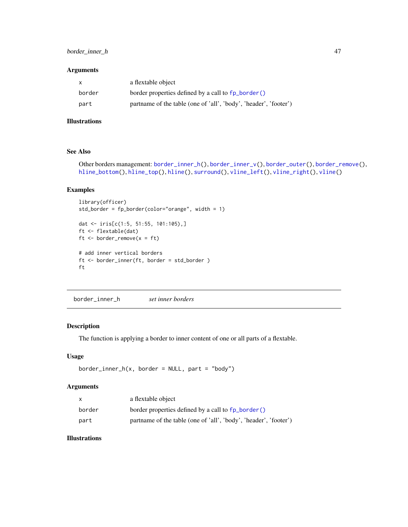# border\_inner\_h 47

## Arguments

| X      | a flextable object                                               |
|--------|------------------------------------------------------------------|
| border | border properties defined by a call to fp_border()               |
| part   | partname of the table (one of 'all', 'body', 'header', 'footer') |

# Illustrations

# See Also

```
border_inner_h(border_inner_v(border_outer(border_remove(),
hline_bottom(), hline_top(), hline(), surround(), vline_left(), vline_right(), vline()
```
# Examples

```
library(officer)
std_border = fp_border(color="orange", width = 1)
dat <- iris[c(1:5, 51:55, 101:105),]
ft <- flextable(dat)
ft \le border_remove(x = ft)
# add inner vertical borders
ft <- border_inner(ft, border = std_border )
ft
```
<span id="page-46-0"></span>border\_inner\_h *set inner borders*

# Description

The function is applying a border to inner content of one or all parts of a flextable.

## Usage

```
border\_inner_h(x, border = NULL, part = "body")
```
#### Arguments

| x      | a flextable object                                               |
|--------|------------------------------------------------------------------|
| border | border properties defined by a call to fp_border()               |
| part   | partname of the table (one of 'all', 'body', 'header', 'footer') |

## Illustrations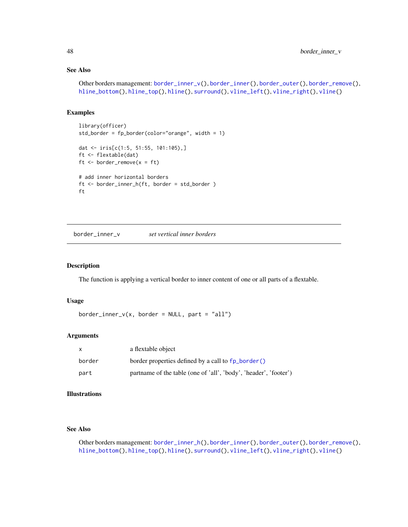# See Also

```
border_inner_v(border_inner(border_outer(border_remove(),
hline_bottom(), hline_top(), hline(), surround(), vline_left(), vline_right(), vline()
```
## Examples

```
library(officer)
std_border = fp_border(color="orange", width = 1)
dat <- iris[c(1:5, 51:55, 101:105),]
ft <- flextable(dat)
ft \le border_remove(x = ft)
# add inner horizontal borders
ft <- border_inner_h(ft, border = std_border )
ft
```
<span id="page-47-0"></span>border\_inner\_v *set vertical inner borders*

#### Description

The function is applying a vertical border to inner content of one or all parts of a flextable.

## Usage

```
border\_inner_v(x, border = NULL, part = "all")
```
#### Arguments

|        | a flextable object                                               |
|--------|------------------------------------------------------------------|
| border | border properties defined by a call to fp_border()               |
| part   | partname of the table (one of 'all', 'body', 'header', 'footer') |

# Illustrations

## See Also

Other borders management: [border\\_inner\\_h\(](#page-46-0)), [border\\_inner\(](#page-45-1)), [border\\_outer\(](#page-48-0)), [border\\_remove\(](#page-49-0)), [hline\\_bottom\(](#page-87-0)), [hline\\_top\(](#page-88-0)), [hline\(](#page-86-0)), [surround\(](#page-132-0)), [vline\\_left\(](#page-151-0)), [vline\\_right\(](#page-152-0)), [vline\(](#page-150-0))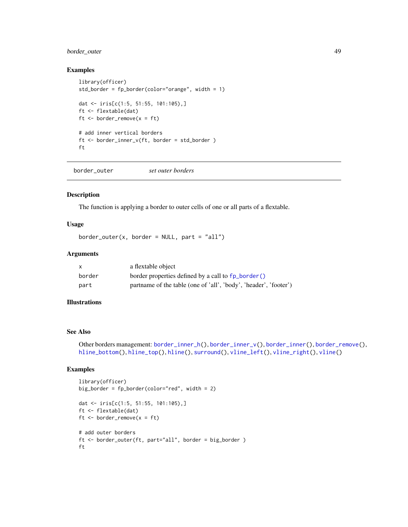# border\_outer 49

## Examples

```
library(officer)
std_border = fp_border(color="orange", width = 1)
dat <- iris[c(1:5, 51:55, 101:105),]
ft <- flextable(dat)
ft \le border_remove(x = ft)
# add inner vertical borders
ft <- border_inner_v(ft, border = std_border )
ft
```
<span id="page-48-0"></span>border\_outer *set outer borders*

#### Description

The function is applying a border to outer cells of one or all parts of a flextable.

## Usage

```
border_outer(x, border = NULL, part = "all")
```
#### Arguments

| X      | a flextable object                                               |
|--------|------------------------------------------------------------------|
| border | border properties defined by a call to fp_border()               |
| part   | partname of the table (one of 'all', 'body', 'header', 'footer') |

## Illustrations

#### See Also

Other borders management: [border\\_inner\\_h\(](#page-46-0)), [border\\_inner\\_v\(](#page-47-0)), [border\\_inner\(](#page-45-1)), [border\\_remove\(](#page-49-0)), [hline\\_bottom\(](#page-87-0)), [hline\\_top\(](#page-88-0)), [hline\(](#page-86-0)), [surround\(](#page-132-0)), [vline\\_left\(](#page-151-0)), [vline\\_right\(](#page-152-0)), [vline\(](#page-150-0))

```
library(officer)
big_border = fp_border(color="red", width = 2)
```

```
dat <- iris[c(1:5, 51:55, 101:105),]
ft <- flextable(dat)
ft \le border_remove(x = ft)
# add outer borders
ft <- border_outer(ft, part="all", border = big_border )
ft
```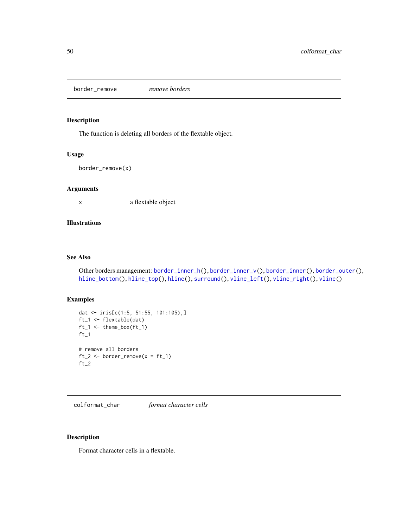<span id="page-49-0"></span>border\_remove *remove borders*

# Description

The function is deleting all borders of the flextable object.

## Usage

```
border_remove(x)
```
## Arguments

x a flextable object

# Illustrations

# See Also

```
Other borders management: border_inner_h(), border_inner_v(), border_inner(), border_outer(),
hline_bottom(), hline_top(), hline(), surround(), vline_left(), vline_right(), vline()
```
# Examples

```
dat <- iris[c(1:5, 51:55, 101:105),]
ft_1 <- flextable(dat)
ft_1 <- theme_box(ft_1)
ft_1# remove all borders
ft_2 \leftarrow border\_remove(x = ft_1)ft_2
```
<span id="page-49-1"></span>colformat\_char *format character cells*

# Description

Format character cells in a flextable.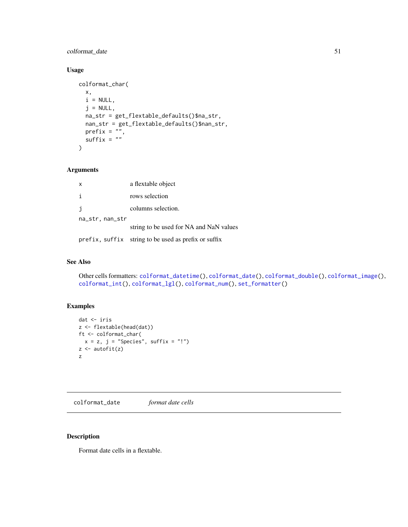# colformat\_date 51

# Usage

```
colformat_char(
 x,
 i = NULL,j = NULL,na_str = get_flextable_defaults()$na_str,
 nan_str = get_flextable_defaults()$nan_str,
 prefix = "",suffix = "\lambda
```
## Arguments

| $\mathsf{x}$    | a flextable object                                   |
|-----------------|------------------------------------------------------|
| i               | rows selection                                       |
| i               | columns selection.                                   |
| na_str, nan_str |                                                      |
|                 | string to be used for NA and NaN values              |
|                 | prefix, suffix string to be used as prefix or suffix |

#### See Also

```
Other cells formatters: colformat_datetime(), colformat_date(), colformat_double(), colformat_image(),
colformat_int(), colformat_lgl(), colformat_num(), set_formatter()
```
# Examples

```
dat <- iris
z <- flextable(head(dat))
ft <- colformat_char(
x = z, j = "Species", suffix = "!")
z \leftarrow \text{autofit}(z)z
```
<span id="page-50-0"></span>colformat\_date *format date cells*

# Description

Format date cells in a flextable.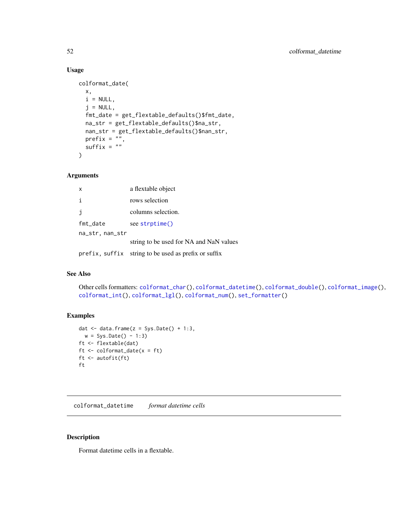# Usage

```
colformat_date(
 x,
 i = NULL,j = NULL,fmt_date = get_flextable_defaults()$fmt_date,
 na_str = get_flextable_defaults()$na_str,
 nan_str = get_flextable_defaults()$nan_str,
 prefix = "",suffix = "")
```
# Arguments

| $\times$        | a flextable object                                   |
|-----------------|------------------------------------------------------|
| i               | rows selection                                       |
| j.              | columns selection.                                   |
| fmt_date        | see strptime()                                       |
| na_str, nan_str |                                                      |
|                 | string to be used for NA and NaN values              |
|                 | prefix, suffix string to be used as prefix or suffix |

## See Also

Other cells formatters: [colformat\\_char\(](#page-49-1)), [colformat\\_datetime\(](#page-51-0)), [colformat\\_double\(](#page-52-0)), [colformat\\_image\(](#page-54-0)), [colformat\\_int\(](#page-55-0)), [colformat\\_lgl\(](#page-56-0)), [colformat\\_num\(](#page-57-0)), [set\\_formatter\(](#page-125-0))

# Examples

```
dat \leq data.frame(z = Sys.Date() + 1:3,
 w = Sys.Date() - 1:3)ft <- flextable(dat)
ft <- colformat_date(x = ft)
ft <- autofit(ft)
ft
```
<span id="page-51-0"></span>colformat\_datetime *format datetime cells*

# Description

Format datetime cells in a flextable.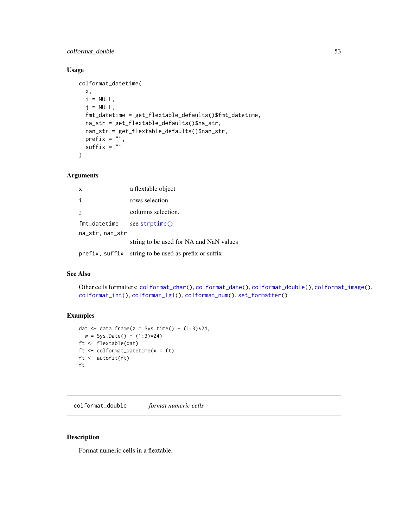# colformat\_double 53

# Usage

```
colformat_datetime(
 x,
 i = NULL,j = NULL,fmt_datetime = get_flextable_defaults()$fmt_datetime,
 na_str = get_flextable_defaults()$na_str,
 nan_str = get_flextable_defaults()$nan_str,
 prefix = "",suffix = "")
```
# Arguments

| $\mathsf{x}$    | a flextable object                                   |
|-----------------|------------------------------------------------------|
| i               | rows selection                                       |
| i               | columns selection.                                   |
| fmt_datetime    | see strptime()                                       |
| na_str, nan_str |                                                      |
|                 | string to be used for NA and NaN values              |
|                 | prefix, suffix string to be used as prefix or suffix |

## See Also

Other cells formatters: [colformat\\_char\(](#page-49-1)), [colformat\\_date\(](#page-50-0)), [colformat\\_double\(](#page-52-0)), [colformat\\_image\(](#page-54-0)), [colformat\\_int\(](#page-55-0)), [colformat\\_lgl\(](#page-56-0)), [colformat\\_num\(](#page-57-0)), [set\\_formatter\(](#page-125-0))

## Examples

```
dat \leq data.frame(z = Sys.time() + (1:3)*24,
 w = Sys.<b>Date()</b> - (1:3)*24)ft <- flextable(dat)
ft <- colformat_datetime(x = ft)
ft <- autofit(ft)
ft
```
<span id="page-52-0"></span>colformat\_double *format numeric cells*

## Description

Format numeric cells in a flextable.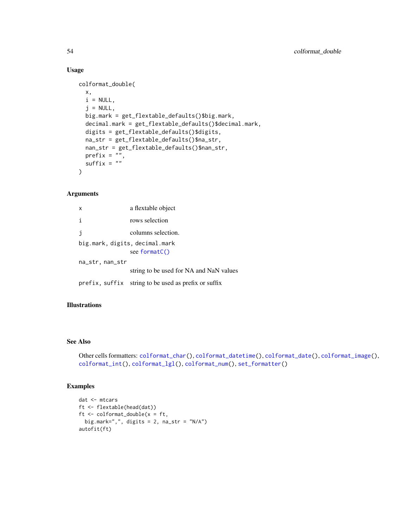## Usage

```
colformat_double(
  x,
 i = NULL,j = NULL,big.mark = get_flextable_defaults()$big.mark,
  decimal.mark = get_flextable_defaults()$decimal.mark,
  digits = get_flextable_defaults()$digits,
  na_str = get_flextable_defaults()$na_str,
  nan_str = get_flextable_defaults()$nan_str,
 prefix = ",
  suffix = ""\mathcal{L}
```
# Arguments

| $\boldsymbol{\mathsf{x}}$      | a flextable object                                   |  |
|--------------------------------|------------------------------------------------------|--|
| $\mathbf{i}$                   | rows selection                                       |  |
| j                              | columns selection.                                   |  |
| big.mark, digits, decimal.mark |                                                      |  |
|                                | see formatC()                                        |  |
| na_str, nan_str                |                                                      |  |
|                                | string to be used for NA and NaN values              |  |
|                                | prefix, suffix string to be used as prefix or suffix |  |

## Illustrations

# See Also

```
Other cells formatters: colformat_char(), colformat_datetime(), colformat_date(), colformat_image(),
colformat_int(), colformat_lgl(), colformat_num(), set_formatter()
```

```
dat <- mtcars
ft <- flextable(head(dat))
ft \le colformat_double(x = ft,
 big.mark=",", digits = 2, na_str = "N/A")
autofit(ft)
```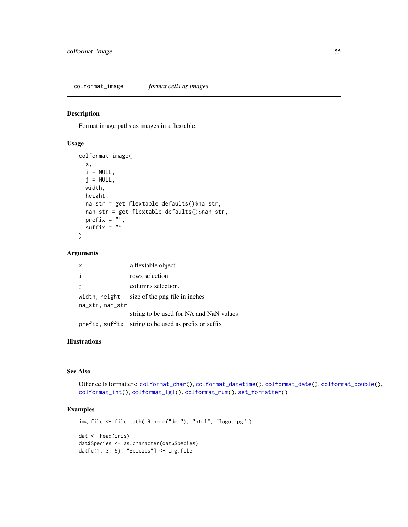<span id="page-54-0"></span>colformat\_image *format cells as images*

# Description

Format image paths as images in a flextable.

## Usage

```
colformat_image(
  x,
  i = NULL,j = NULL,width,
 height,
 na_str = get_flextable_defaults()$na_str,
 nan_str = get_flextable_defaults()$nan_str,
 prefix = "",suffix = ""\lambda
```
## Arguments

| x               | a flextable object                                   |
|-----------------|------------------------------------------------------|
| j.              | rows selection                                       |
| i               | columns selection.                                   |
| width, height   | size of the png file in inches                       |
| na_str, nan_str |                                                      |
|                 | string to be used for NA and NaN values              |
|                 | prefix, suffix string to be used as prefix or suffix |

# Illustrations

# See Also

```
Other cells formatters: colformat_char(), colformat_datetime(), colformat_date(), colformat_double(),
colformat_int(), colformat_lgl(), colformat_num(), set_formatter()
```
# Examples

img.file <- file.path( R.home("doc"), "html", "logo.jpg" ) dat <- head(iris) dat\$Species <- as.character(dat\$Species)  $dat[c(1, 3, 5), "Species"] \leftarrow img.file$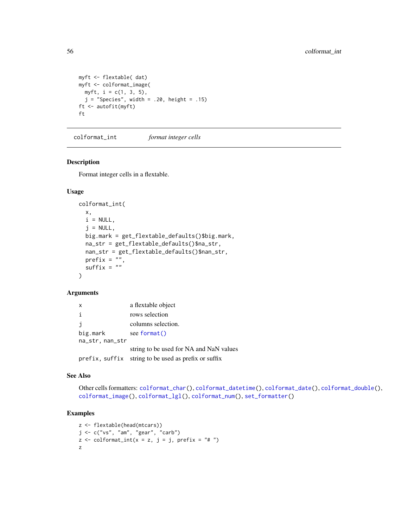```
myft <- flextable( dat)
myft <- colformat_image(
 myft, i = c(1, 3, 5),
  j = "Species", width = .20, height = .15)
ft <- autofit(myft)
ft
```
<span id="page-55-0"></span>colformat\_int *format integer cells*

## Description

Format integer cells in a flextable.

#### Usage

```
colformat_int(
  x,
  i = NULL,j = NULL,big.mark = get_flextable_defaults()$big.mark,
 na_str = get_flextable_defaults()$na_str,
 nan_str = get_flextable_defaults()$nan_str,
 prefix = \overline{''}.
  suffix = "\lambda
```
## Arguments

| x               | a flextable object                                   |
|-----------------|------------------------------------------------------|
| i               | rows selection                                       |
| j.              | columns selection.                                   |
| big.mark        | see format()                                         |
| na_str, nan_str |                                                      |
|                 | string to be used for NA and NaN values              |
|                 | prefix, suffix string to be used as prefix or suffix |

#### See Also

Other cells formatters: [colformat\\_char\(](#page-49-1)), [colformat\\_datetime\(](#page-51-0)), [colformat\\_date\(](#page-50-0)), [colformat\\_double\(](#page-52-0)), [colformat\\_image\(](#page-54-0)), [colformat\\_lgl\(](#page-56-0)), [colformat\\_num\(](#page-57-0)), [set\\_formatter\(](#page-125-0))

```
z <- flextable(head(mtcars))
j <- c("vs", "am", "gear", "carb")
z \le colformat_int(x = z, j = j, prefix = "# ")
z
```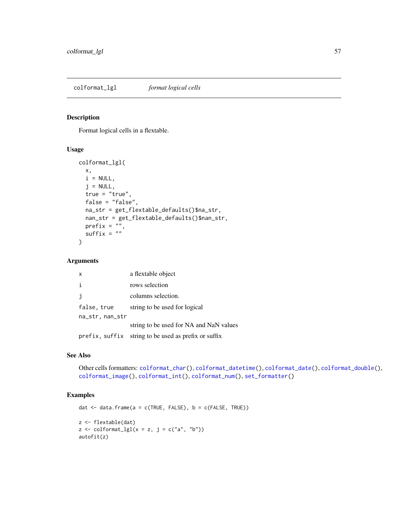<span id="page-56-0"></span>Format logical cells in a flextable.

# Usage

```
colformat_lgl(
 x,
 i = NULL,j = NULL,true = "true",false = "false",
 na_str = get_flextable_defaults()$na_str,
 nan_str = get_flextable_defaults()$nan_str,
 prefix = "",suffix = "")
```
## Arguments

| x               | a flextable object                                   |
|-----------------|------------------------------------------------------|
| i               | rows selection                                       |
| $\mathbf{i}$    | columns selection.                                   |
| false, true     | string to be used for logical                        |
| na_str, nan_str |                                                      |
|                 | string to be used for NA and NaN values              |
|                 | prefix, suffix string to be used as prefix or suffix |

# See Also

```
Other cells formatters: colformat_char(), colformat_datetime(), colformat_date(), colformat_double(),
colformat_image(), colformat_int(), colformat_num(), set_formatter()
```

```
dat <- data.frame(a = c(TRUE, FALSE), b = c(FALSE, TRUE))
z <- flextable(dat)
z \le colformat_lgl(x = z, j = c("a", "b"))
autofit(z)
```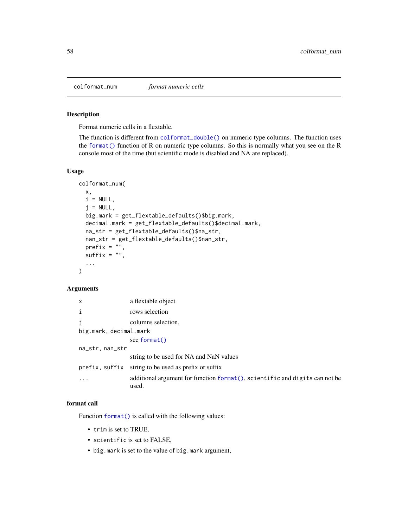<span id="page-57-0"></span>

Format numeric cells in a flextable.

The function is different from [colformat\\_double\(\)](#page-52-0) on numeric type columns. The function uses the [format\(\)](#page-0-0) function of R on numeric type columns. So this is normally what you see on the R console most of the time (but scientific mode is disabled and NA are replaced).

#### Usage

```
colformat_num(
  x,
 i = NULL,j = NULL,big.mark = get_flextable_defaults()$big.mark,
 decimal.mark = get_flextable_defaults()$decimal.mark,
 na_str = get_flextable_defaults()$na_str,
 nan_str = get_flextable_defaults()$nan_str,
 prefix = "",suffix = "",...
)
```
# Arguments

| $\boldsymbol{\mathsf{x}}$ | a flextable object                                                                    |
|---------------------------|---------------------------------------------------------------------------------------|
| i                         | rows selection                                                                        |
|                           | columns selection.                                                                    |
| big.mark, decimal.mark    |                                                                                       |
|                           | see format()                                                                          |
| na_str, nan_str           |                                                                                       |
|                           | string to be used for NA and NaN values                                               |
|                           | prefix, suffix string to be used as prefix or suffix                                  |
|                           | additional argument for function format (), scientific and digits can not be<br>used. |

## format call

Function [format\(\)](#page-0-0) is called with the following values:

- trim is set to TRUE,
- scientific is set to FALSE,
- big.mark is set to the value of big.mark argument,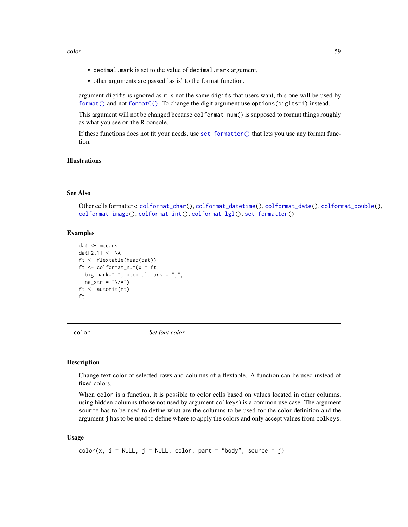- decimal.mark is set to the value of decimal.mark argument,
- other arguments are passed 'as is' to the format function.

argument digits is ignored as it is not the same digits that users want, this one will be used by [format\(\)](#page-0-0) and not [formatC\(\)](#page-0-0). To change the digit argument use options(digits=4) instead.

This argument will not be changed because colformat\_num() is supposed to format things roughly as what you see on the R console.

If these functions does not fit your needs, use [set\\_formatter\(\)](#page-125-0) that lets you use any format function.

# Illustrations

## See Also

Other cells formatters: [colformat\\_char\(](#page-49-1)), [colformat\\_datetime\(](#page-51-0)), [colformat\\_date\(](#page-50-0)), [colformat\\_double\(](#page-52-0)), [colformat\\_image\(](#page-54-0)), [colformat\\_int\(](#page-55-0)), [colformat\\_lgl\(](#page-56-0)), [set\\_formatter\(](#page-125-0))

## Examples

```
dat <- mtcars
dat[2,1] <- NA
ft <- flextable(head(dat))
ft <- colformat_num(x = ft,
 big.mark=" ", decimal.mark = ",",
 na\_str = "N/A")ft <- autofit(ft)
ft
```
<span id="page-58-0"></span>

color *Set font color*

#### Description

Change text color of selected rows and columns of a flextable. A function can be used instead of fixed colors.

When color is a function, it is possible to color cells based on values located in other columns, using hidden columns (those not used by argument colkeys) is a common use case. The argument source has to be used to define what are the columns to be used for the color definition and the argument j has to be used to define where to apply the colors and only accept values from colkeys.

## Usage

```
color(x, i = NULL, j = NULL, color, part = "body", source = j)
```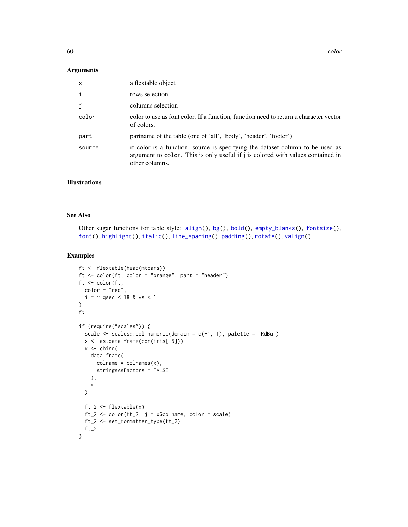#### Arguments

| $\mathsf{x}$ | a flextable object                                                                                                                                                                 |
|--------------|------------------------------------------------------------------------------------------------------------------------------------------------------------------------------------|
| $\mathbf{i}$ | rows selection                                                                                                                                                                     |
| j            | columns selection                                                                                                                                                                  |
| color        | color to use as font color. If a function, function need to return a character vector<br>of colors.                                                                                |
| part         | partname of the table (one of 'all', 'body', 'header', 'footer')                                                                                                                   |
| source       | if color is a function, source is specifying the dataset column to be used as<br>argument to color. This is only useful if j is colored with values contained in<br>other columns. |

# Illustrations

# See Also

Other sugar functions for table style: [align\(](#page-13-0)), [bg\(](#page-42-0)), [bold\(](#page-45-0)), [empty\\_blanks\(](#page-66-0)), [fontsize\(](#page-75-0)), [font\(](#page-74-0)), [highlight\(](#page-85-0)), [italic\(](#page-91-0)), [line\\_spacing\(](#page-97-0)), [padding\(](#page-107-0)), [rotate\(](#page-114-0)), [valign\(](#page-149-0))

```
ft <- flextable(head(mtcars))
ft <- color(ft, color = "orange", part = "header")
ft <- color(ft,
  color = "red",
  i = \sim qsec < 18 & vs < 1
\lambdaft
if (require("scales")) {
  scale \leq scales::col_numeric(domain = c(-1, 1), palette = "RdBu")
  x <- as.data.frame(cor(iris[-5]))
  x \leftarrow \text{cbind}data.frame(
      colname = colnames(x),
      stringsAsFactors = FALSE
    ),
    x
  \mathcal{L}ft_2 \leftarrow flextable(x)ft_2 < -color(ft_2, j = x\{solname}, color = scale)
  ft_2 <- set_formatter_type(ft_2)
  ft_2}
```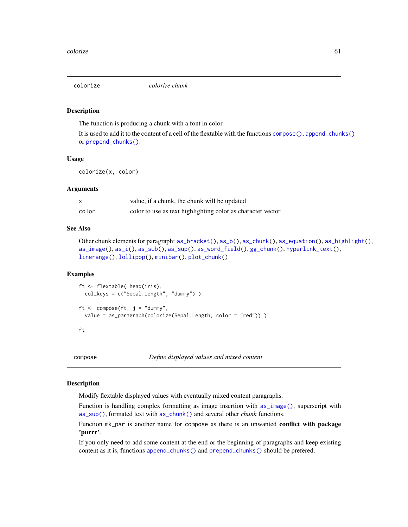<span id="page-60-1"></span>

The function is producing a chunk with a font in color.

It is used to add it to the content of a cell of the flextable with the functions [compose\(\)](#page-60-0), [append\\_chunks\(\)](#page-14-0) or [prepend\\_chunks\(\)](#page-111-0).

#### Usage

colorize(x, color)

#### Arguments

|       | value, if a chunk, the chunk will be updated                 |
|-------|--------------------------------------------------------------|
| color | color to use as text highlighting color as character vector. |

## See Also

```
Other chunk elements for paragraph: as_bracket(), as_b(), as_chunk(), as_equation(), as_highlight(),
as_image(), as_i(), as_sub(), as_sup(), as_word_field(), gg_chunk(), hyperlink_text(),
linerange(), lollipop(), minibar(), plot_chunk()
```
# Examples

```
ft <- flextable( head(iris),
 col_keys = c("Sepal.Length", "dummy") )
ft \leq compose(ft, j = "dummy",
 value = as_paragraph(colorize(Sepal.Length, color = "red")) )
```
ft

<span id="page-60-0"></span>compose *Define displayed values and mixed content*

## Description

Modify flextable displayed values with eventually mixed content paragraphs.

Function is handling complex formatting as image insertion with  $as\_image()$ , superscript with [as\\_sup\(\)](#page-37-0), formated text with [as\\_chunk\(\)](#page-17-0) and several other *chunk* functions.

Function mk\_par is another name for compose as there is an unwanted **conflict with package** 'purrr'.

If you only need to add some content at the end or the beginning of paragraphs and keep existing content as it is, functions [append\\_chunks\(\)](#page-14-0) and [prepend\\_chunks\(\)](#page-111-0) should be prefered.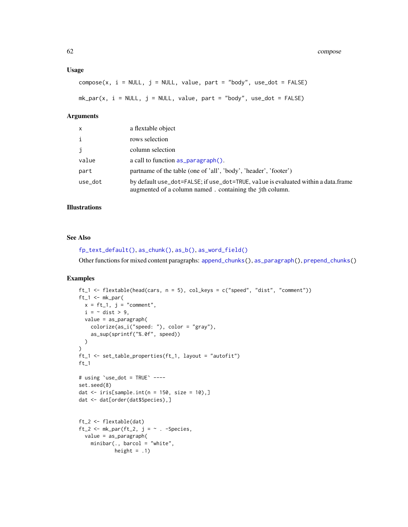## Usage

 $compose(x, i = NULL, j = NULL, value, part = "body", use\_dot = FALSE)$ 

 $mk\_par(x, i = NULL, j = NULL, value, part = "body", use\_dot = FALSE)$ 

## Arguments

| $\mathsf{x}$ | a flextable object                                                                                                                           |
|--------------|----------------------------------------------------------------------------------------------------------------------------------------------|
| $\mathbf{i}$ | rows selection                                                                                                                               |
| j            | column selection                                                                                                                             |
| value        | a call to function $as\_paragnh()$ .                                                                                                         |
| part         | partname of the table (one of 'all', 'body', 'header', 'footer')                                                                             |
| use_dot      | by default use_dot=FALSE; if use_dot=TRUE, value is evaluated within a data.frame<br>augmented of a column named. containing the jth column. |

## Illustrations

## See Also

```
fp_text_default(), as_chunk(), as_b(), as_word_field()
```
Other functions for mixed content paragraphs: [append\\_chunks\(](#page-14-0)), [as\\_paragraph\(](#page-34-0)), [prepend\\_chunks\(](#page-111-0))

```
ft_1 <- flextable(head(cars, n = 5), col_keys = c("speed", "dist", "comment"))
ft_1 < -mk_par(x = ft_1, j = "comment",i = \sim dist > 9,
 value = as_paragraph(
    colorize(as_i("speed: "), color = "gray"),
    as_sup(sprintf("%.0f", speed))
  )
\lambdaft_1 <- set_table_properties(ft_1, layout = "autofit")
ft_1
# using \text{`use\_dot} = \text{TRUE'} ----
set.seed(8)
dat \le iris[sample.int(n = 150, size = 10),]
dat <- dat[order(dat$Species),]
ft_2 <- flextable(dat)
ft_2 <- mk\_par(ft_2, j = \sim . -Species,
 value = as_paragraph(
    minibar(., barcol = "white",
            height = .1)
```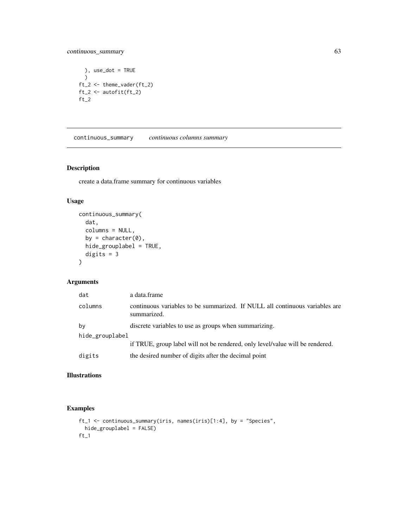# continuous\_summary 63

```
), use_dot = TRUE
 )
ft_2 <- theme_vader(ft_2)
ft_2 <- autofit(ft_2)
ft_2
```
continuous\_summary *continuous columns summary*

# Description

create a data.frame summary for continuous variables

# Usage

```
continuous_summary(
  dat,
  columns = NULL,
  by = character(0),
  hide_grouplabel = TRUE,
  digits = 3\mathcal{L}
```
# Arguments

| dat             | a data.frame                                                                               |  |
|-----------------|--------------------------------------------------------------------------------------------|--|
| columns         | continuous variables to be summarized. If NULL all continuous variables are<br>summarized. |  |
| by              | discrete variables to use as groups when summarizing.                                      |  |
| hide_grouplabel |                                                                                            |  |
|                 | if TRUE, group label will not be rendered, only level/value will be rendered.              |  |
| digits          | the desired number of digits after the decimal point                                       |  |

# Illustrations

```
ft_1 <- continuous_summary(iris, names(iris)[1:4], by = "Species",
 hide_grouplabel = FALSE)
ft_1
```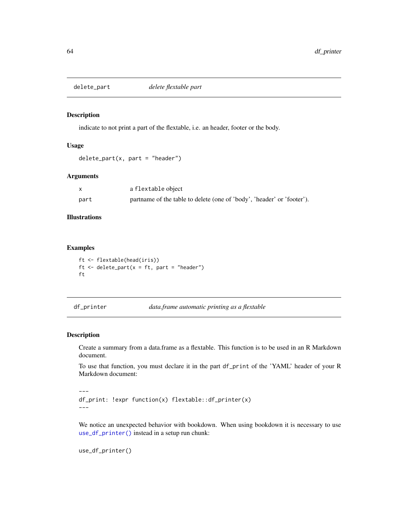indicate to not print a part of the flextable, i.e. an header, footer or the body.

## Usage

```
delete\_part(x, part = "header")
```
## Arguments

|      | a flextable object                                                     |
|------|------------------------------------------------------------------------|
| part | partname of the table to delete (one of 'body', 'header' or 'footer'). |

# Illustrations

## Examples

```
ft <- flextable(head(iris))
ft \leq delete_part(x = ft, part = "header")
ft
```
df\_printer *data.frame automatic printing as a flextable*

# Description

---

Create a summary from a data.frame as a flextable. This function is to be used in an R Markdown document.

To use that function, you must declare it in the part df\_print of the 'YAML' header of your R Markdown document:

```
df_print: !expr function(x) flextable::df_printer(x)
---
```
We notice an unexpected behavior with bookdown. When using bookdown it is necessary to use [use\\_df\\_printer\(\)](#page-147-0) instead in a setup run chunk:

use\_df\_printer()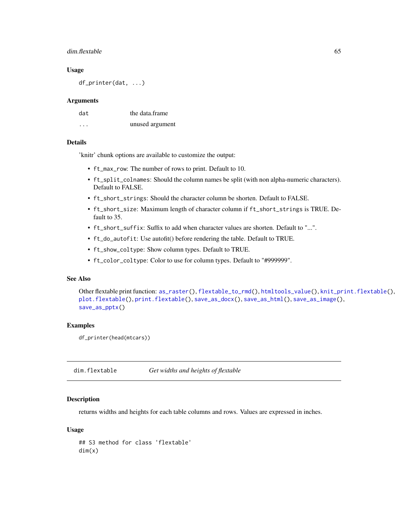## dim.flextable 65

#### Usage

df\_printer(dat, ...)

#### **Arguments**

| dat      | the data frame  |
|----------|-----------------|
| $\cdots$ | unused argument |

## Details

'knitr' chunk options are available to customize the output:

- ft\_max\_row: The number of rows to print. Default to 10.
- ft\_split\_colnames: Should the column names be split (with non alpha-numeric characters). Default to FALSE.
- ft\_short\_strings: Should the character column be shorten. Default to FALSE.
- ft\_short\_size: Maximum length of character column if ft\_short\_strings is TRUE. Default to 35.
- ft\_short\_suffix: Suffix to add when character values are shorten. Default to "...".
- ft\_do\_autofit: Use autofit() before rendering the table. Default to TRUE.
- ft\_show\_coltype: Show column types. Default to TRUE.
- ft\_color\_coltype: Color to use for column types. Default to "#999999".

# See Also

```
Other flextable print function: as_raster(), flextable_to_rmd(), htmltools_value(), knit_print.flextable(),
plot.flextable(), print.flextable(), save_as_docx(), save_as_html(), save_as_image(),
save_as_pptx()
```
## Examples

```
df_printer(head(mtcars))
```
<span id="page-64-0"></span>dim.flextable *Get widths and heights of flextable*

# Description

returns widths and heights for each table columns and rows. Values are expressed in inches.

## Usage

```
## S3 method for class 'flextable'
dim(x)
```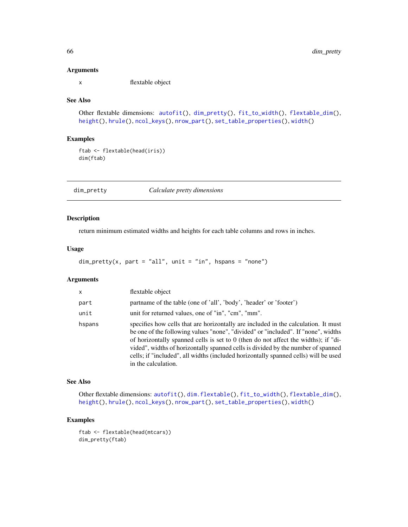#### Arguments

x flextable object

## See Also

```
Other flextable dimensions: autofit(), dim_pretty(), fit_to_width(), flextable_dim(),
height(), hrule(), ncol_keys(), nrow_part(), set_table_properties(), width()
```
# Examples

ftab <- flextable(head(iris)) dim(ftab)

<span id="page-65-0"></span>dim\_pretty *Calculate pretty dimensions*

# Description

return minimum estimated widths and heights for each table columns and rows in inches.

# Usage

```
dim\_pretty(x, part = "all", unit = "in", hspans = "none")
```
# Arguments

| X      | flextable object                                                                                                                                                                                                                                                                                                                                                                                                                                                |
|--------|-----------------------------------------------------------------------------------------------------------------------------------------------------------------------------------------------------------------------------------------------------------------------------------------------------------------------------------------------------------------------------------------------------------------------------------------------------------------|
| part   | partname of the table (one of 'all', 'body', 'header' or 'footer')                                                                                                                                                                                                                                                                                                                                                                                              |
| unit   | unit for returned values, one of "in", "cm", "mm".                                                                                                                                                                                                                                                                                                                                                                                                              |
| hspans | specifies how cells that are horizontally are included in the calculation. It must<br>be one of the following values "none", "divided" or "included". If "none", widths<br>of horizontally spanned cells is set to 0 (then do not affect the widths); if "di-<br>vided", widths of horizontally spanned cells is divided by the number of spanned<br>cells; if "included", all widths (included horizontally spanned cells) will be used<br>in the calculation. |

# See Also

Other flextable dimensions: [autofit\(](#page-39-0)), [dim.flextable\(](#page-64-0)), [fit\\_to\\_width\(](#page-67-0)), [flextable\\_dim\(](#page-70-0)), [height\(](#page-83-0)), [hrule\(](#page-89-0)), [ncol\\_keys\(](#page-105-0)), [nrow\\_part\(](#page-106-0)), [set\\_table\\_properties\(](#page-128-0)), [width\(](#page-153-0))

## Examples

ftab <- flextable(head(mtcars)) dim\_pretty(ftab)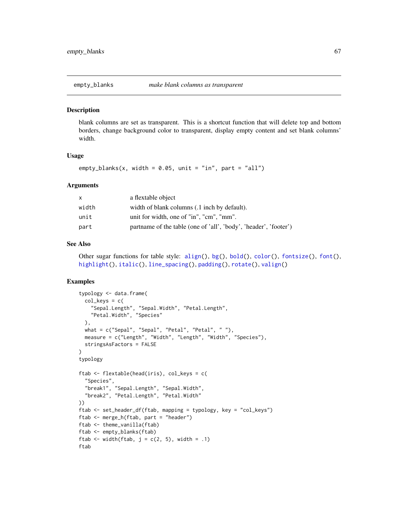<span id="page-66-0"></span>

blank columns are set as transparent. This is a shortcut function that will delete top and bottom borders, change background color to transparent, display empty content and set blank columns' width.

### Usage

empty\_blanks(x, width =  $0.05$ , unit = "in", part = "all")

## Arguments

| X     | a flextable object                                               |
|-------|------------------------------------------------------------------|
| width | width of blank columns (.1 inch by default).                     |
| unit  | unit for width, one of "in", "cm", "mm".                         |
| part  | partname of the table (one of 'all', 'body', 'header', 'footer') |

## See Also

```
Other sugar functions for table style: align(), bg(), bold(), color(), fontsize(), font(),
highlight(), italic(), line_spacing(), padding(), rotate(), valign()
```

```
typology <- data.frame(
  col\_keys = c("Sepal.Length", "Sepal.Width", "Petal.Length",
    "Petal.Width", "Species"
  ),
  what = c("Sepal", "Sepal", "Petal", "Petal", " "),
  measure = c("Length", "Width", "Length", "Width", "Species"),
  stringsAsFactors = FALSE
)
typology
ftab <- flextable(head(iris), col_keys = c(
  "Species",
  "break1", "Sepal.Length", "Sepal.Width",
  "break2", "Petal.Length", "Petal.Width"
))
ftab <- set_header_df(ftab, mapping = typology, key = "col_keys")
ftab <- merge_h(ftab, part = "header")
ftab <- theme_vanilla(ftab)
ftab <- empty_blanks(ftab)
ftab \le width(ftab, j = c(2, 5), width = .1)
ftab
```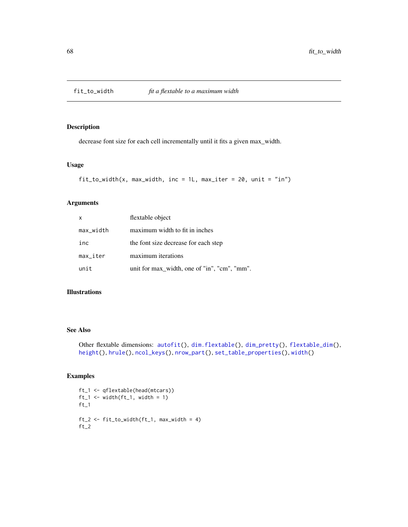<span id="page-67-0"></span>

decrease font size for each cell incrementally until it fits a given max\_width.

## Usage

```
fit_to_width(x, max_width, inc = 1L, max_iter = 20, unit = "in")
```
# Arguments

| $\mathsf{x}$              | flextable object                             |
|---------------------------|----------------------------------------------|
| max_width                 | maximum width to fit in inches               |
| inc                       | the font size decrease for each step         |
| $max$ <sub>-</sub> $iter$ | maximum iterations                           |
| unit                      | unit for max_width, one of "in", "cm", "mm". |

# Illustrations

## See Also

```
Other flextable dimensions: autofit(), dim.flextable(), dim_pretty(), flextable_dim(),
height(), hrule(), ncol_keys(), nrow_part(), set_table_properties(), width()
```

```
ft_1 <- qflextable(head(mtcars))
ft_1 \leftarrow width (ft_1, width = 1)ft_1ft_2 \leftarrow fit_to\_width(ft_1, max\_width = 4)ft_2
```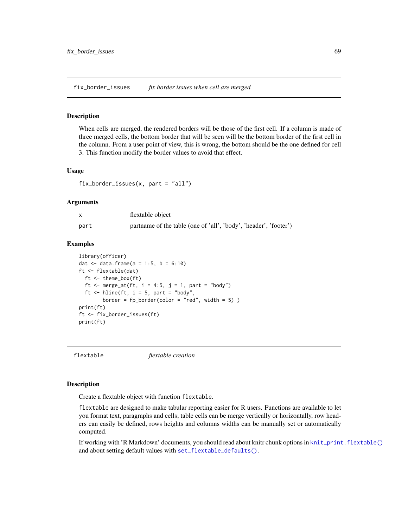fix\_border\_issues *fix border issues when cell are merged*

## Description

When cells are merged, the rendered borders will be those of the first cell. If a column is made of three merged cells, the bottom border that will be seen will be the bottom border of the first cell in the column. From a user point of view, this is wrong, the bottom should be the one defined for cell 3. This function modify the border values to avoid that effect.

#### Usage

fix\_border\_issues(x, part = "all")

#### Arguments

|      | flextable object                                                 |
|------|------------------------------------------------------------------|
| part | partname of the table (one of 'all', 'body', 'header', 'footer') |

## Examples

```
library(officer)
dat \le data.frame(a = 1:5, b = 6:10)
ft <- flextable(dat)
 ft <- theme_box(ft)
 ft <- merge_at(ft, i = 4:5, j = 1, part = "body")
 ft \le hline(ft, i = 5, part = "body",
        border = fp\_border(color = "red", width = 5))
print(ft)
ft <- fix_border_issues(ft)
print(ft)
```
flextable *flextable creation*

# Description

Create a flextable object with function flextable.

flextable are designed to make tabular reporting easier for R users. Functions are available to let you format text, paragraphs and cells; table cells can be merge vertically or horizontally, row headers can easily be defined, rows heights and columns widths can be manually set or automatically computed.

If working with 'R Markdown' documents, you should read about knitr chunk options in [knit\\_print.flextable\(\)](#page-92-0) and about setting default values with [set\\_flextable\\_defaults\(\)](#page-122-0).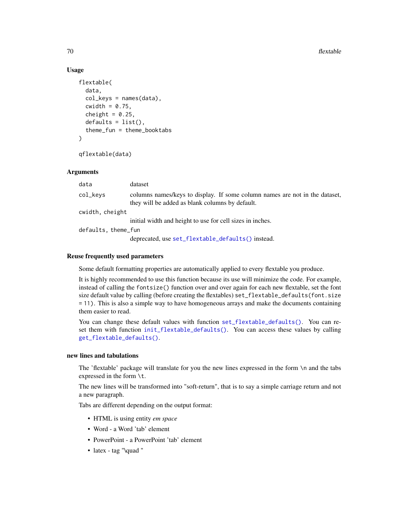## Usage

```
flextable(
 data,
  col_{keys} = names(data),
  cwidth = 0.75,cheight = 0.25,
  defaults = list(),
  theme_fun = theme_booktabs
)
```

```
qflextable(data)
```
## Arguments

| data                | dataset                                                                                                                        |
|---------------------|--------------------------------------------------------------------------------------------------------------------------------|
| col_keys            | columns names/keys to display. If some column names are not in the dataset,<br>they will be added as blank columns by default. |
| cwidth, cheight     |                                                                                                                                |
|                     | initial width and height to use for cell sizes in inches.                                                                      |
| defaults, theme_fun |                                                                                                                                |
|                     | deprecated, use set_flextable_defaults() instead.                                                                              |

## Reuse frequently used parameters

Some default formatting properties are automatically applied to every flextable you produce.

It is highly recommended to use this function because its use will minimize the code. For example, instead of calling the fontsize() function over and over again for each new flextable, set the font size default value by calling (before creating the flextables) set\_flextable\_defaults(font.size = 11). This is also a simple way to have homogeneous arrays and make the documents containing them easier to read.

You can change these default values with function [set\\_flextable\\_defaults\(\)](#page-122-0). You can reset them with function [init\\_flextable\\_defaults\(\)](#page-122-1). You can access these values by calling [get\\_flextable\\_defaults\(\)](#page-81-0).

# new lines and tabulations

The 'flextable' package will translate for you the new lines expressed in the form \n and the tabs expressed in the form \t.

The new lines will be transformed into "soft-return", that is to say a simple carriage return and not a new paragraph.

Tabs are different depending on the output format:

- HTML is using entity *em space*
- Word a Word 'tab' element
- PowerPoint a PowerPoint 'tab' element
- latex tag "\quad "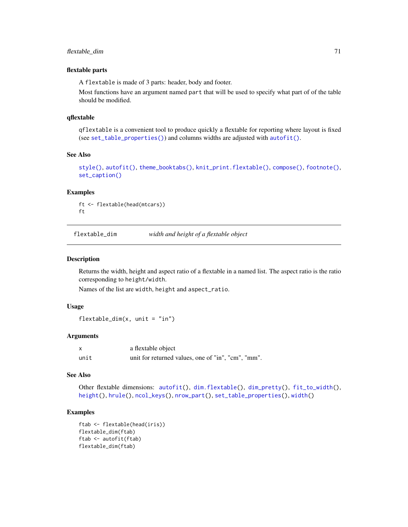# flextable\_dim 71

#### flextable parts

A flextable is made of 3 parts: header, body and footer.

Most functions have an argument named part that will be used to specify what part of of the table should be modified.

# qflextable

qflextable is a convenient tool to produce quickly a flextable for reporting where layout is fixed (see [set\\_table\\_properties\(\)](#page-128-0)) and columns widths are adjusted with [autofit\(\)](#page-39-0).

## See Also

```
style(), autofit(), theme_booktabs(), knit_print.flextable(), compose(), footnote(),
set_caption()
```
## Examples

ft <- flextable(head(mtcars)) ft

<span id="page-70-0"></span>flextable\_dim *width and height of a flextable object*

#### Description

Returns the width, height and aspect ratio of a flextable in a named list. The aspect ratio is the ratio corresponding to height/width.

Names of the list are width, height and aspect\_ratio.

#### Usage

```
flexable\_dim(x, unit = "in")
```
# Arguments

| x    | a flextable object                                 |
|------|----------------------------------------------------|
| unit | unit for returned values, one of "in", "cm", "mm". |

#### See Also

Other flextable dimensions: [autofit\(](#page-39-0)), [dim.flextable\(](#page-64-0)), [dim\\_pretty\(](#page-65-0)), [fit\\_to\\_width\(](#page-67-0)), [height\(](#page-83-0)), [hrule\(](#page-89-0)), [ncol\\_keys\(](#page-105-0)), [nrow\\_part\(](#page-106-0)), [set\\_table\\_properties\(](#page-128-0)), [width\(](#page-153-0))

```
ftab <- flextable(head(iris))
flextable_dim(ftab)
ftab <- autofit(ftab)
flextable_dim(ftab)
```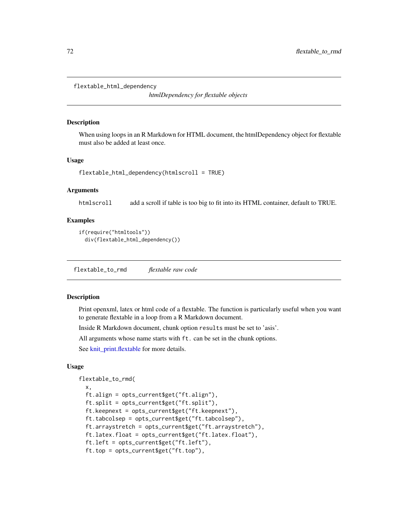flextable\_html\_dependency

*htmlDependency for flextable objects*

#### Description

When using loops in an R Markdown for HTML document, the htmlDependency object for flextable must also be added at least once.

# Usage

```
flextable_html_dependency(htmlscroll = TRUE)
```
# Arguments

htmlscroll add a scroll if table is too big to fit into its HTML container, default to TRUE.

## Examples

```
if(require("htmltools"))
 div(flextable_html_dependency())
```
<span id="page-71-0"></span>flextable\_to\_rmd *flextable raw code*

## Description

Print openxml, latex or html code of a flextable. The function is particularly useful when you want to generate flextable in a loop from a R Markdown document.

Inside R Markdown document, chunk option results must be set to 'asis'.

All arguments whose name starts with ft. can be set in the chunk options.

See [knit\\_print.flextable](#page-92-0) for more details.

#### Usage

```
flextable_to_rmd(
  x,
```

```
ft.align = opts_current$get("ft.align"),
ft.split = opts_current$get("ft.split"),
ft.keepnext = opts_current$get("ft.keepnext"),
ft.tabcolsep = opts_current$get("ft.tabcolsep"),
ft.arraystretch = opts_current$get("ft.arraystretch"),
ft.latex.float = opts_current$get("ft.latex.float"),
ft.left = opts_current$get("ft.left"),
ft.top = opts_current$get("ft.top"),
```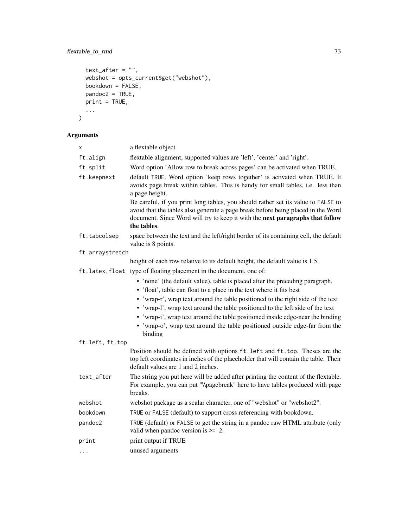# flextable\_to\_rmd 73

```
text_{after} = "",webshot = opts_current$get("webshot"),
  bookdown = FALSE,pandoc2 = TRUE,
 print = TRUE,...
\lambda
```
# Arguments

| x               | a flextable object                                                                                                                                                                                                                                                    |  |
|-----------------|-----------------------------------------------------------------------------------------------------------------------------------------------------------------------------------------------------------------------------------------------------------------------|--|
| ft.align        | flextable alignment, supported values are 'left', 'center' and 'right'.                                                                                                                                                                                               |  |
| ft.split        | Word option 'Allow row to break across pages' can be activated when TRUE.                                                                                                                                                                                             |  |
| ft.keepnext     | default TRUE. Word option 'keep rows together' is activated when TRUE. It<br>avoids page break within tables. This is handy for small tables, i.e. less than<br>a page height.                                                                                        |  |
|                 | Be careful, if you print long tables, you should rather set its value to FALSE to<br>avoid that the tables also generate a page break before being placed in the Word<br>document. Since Word will try to keep it with the next paragraphs that follow<br>the tables. |  |
| ft.tabcolsep    | space between the text and the left/right border of its containing cell, the default<br>value is 8 points.                                                                                                                                                            |  |
| ft.arraystretch |                                                                                                                                                                                                                                                                       |  |
|                 | height of each row relative to its default height, the default value is 1.5.                                                                                                                                                                                          |  |
|                 | ft.latex.float type of floating placement in the document, one of:                                                                                                                                                                                                    |  |
|                 | • 'none' (the default value), table is placed after the preceding paragraph.                                                                                                                                                                                          |  |
|                 | • 'float', table can float to a place in the text where it fits best                                                                                                                                                                                                  |  |
|                 | • 'wrap-r', wrap text around the table positioned to the right side of the text                                                                                                                                                                                       |  |
|                 | • 'wrap-l', wrap text around the table positioned to the left side of the text                                                                                                                                                                                        |  |
|                 | • 'wrap-i', wrap text around the table positioned inside edge-near the binding                                                                                                                                                                                        |  |
|                 | • 'wrap-o', wrap text around the table positioned outside edge-far from the<br>binding                                                                                                                                                                                |  |
| ft.left, ft.top |                                                                                                                                                                                                                                                                       |  |
|                 | Position should be defined with options ft. left and ft. top. Theses are the<br>top left coordinates in inches of the placeholder that will contain the table. Their<br>default values are 1 and 2 inches.                                                            |  |
| text_after      | The string you put here will be added after printing the content of the flextable.<br>For example, you can put "\\pagebreak" here to have tables produced with page<br>breaks.                                                                                        |  |
| webshot         | webshot package as a scalar character, one of "webshot" or "webshot2".                                                                                                                                                                                                |  |
| bookdown        | TRUE or FALSE (default) to support cross referencing with bookdown.                                                                                                                                                                                                   |  |
| pandoc2         | TRUE (default) or FALSE to get the string in a pandoc raw HTML attribute (only<br>valid when pandoc version is $\geq$ 2.                                                                                                                                              |  |
| print           | print output if TRUE                                                                                                                                                                                                                                                  |  |
| .               | unused arguments                                                                                                                                                                                                                                                      |  |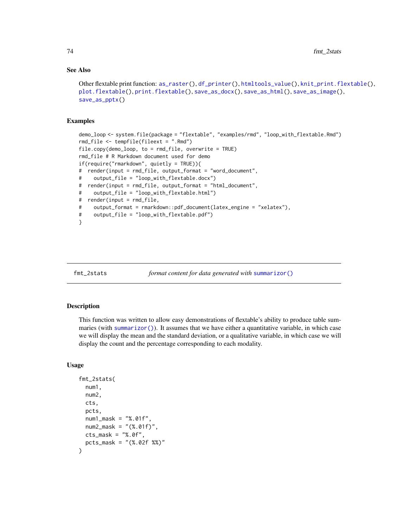### See Also

```
Other flextable print function: as_raster(), df_printer(), htmltools_value(), knit_print.flextable(),
plot.flextable(), print.flextable(), save_as_docx(), save_as_html(), save_as_image(),
save_as_pptx()
```
### Examples

```
demo_loop <- system.file(package = "flextable", "examples/rmd", "loop_with_flextable.Rmd")
rmd_file <- tempfile(fileext = ".Rmd")
file.copy(demo_loop, to = rmd_file, overwrite = TRUE)
rmd_file # R Markdown document used for demo
if(require("rmarkdown", quietly = TRUE)){
# render(input = rmd_file, output_format = "word_document",
# output_file = "loop_with_flextable.docx")
# render(input = rmd_file, output_format = "html_document",
# output_file = "loop_with_flextable.html")
# render(input = rmd_file,
# output_format = rmarkdown::pdf_document(latex_engine = "xelatex"),
# output_file = "loop_with_flextable.pdf")
}
```
fmt\_2stats *format content for data generated with* [summarizor\(\)](#page-131-0)

### Description

This function was written to allow easy demonstrations of flextable's ability to produce table summaries (with [summarizor\(\)](#page-131-0)). It assumes that we have either a quantitative variable, in which case we will display the mean and the standard deviation, or a qualitative variable, in which case we will display the count and the percentage corresponding to each modality.

### Usage

```
fmt_2stats(
  num1,
  num2,
 cts,
  pcts,
 num1_mask = "%.01f",
  num2_max = "(*.01f)".
 cts_mask = "%, 0f",pcts_mask = "(%.02f %%)"
)
```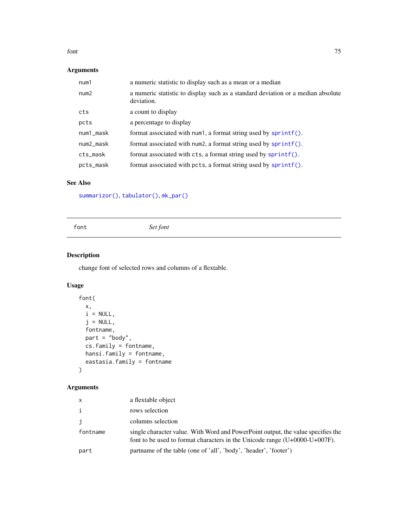#### font 75

# Arguments

| num1      | a numeric statistic to display such as a mean or a median                                      |
|-----------|------------------------------------------------------------------------------------------------|
| num2      | a numeric statistic to display such as a standard deviation or a median absolute<br>deviation. |
| cts       | a count to display                                                                             |
| pcts      | a percentage to display                                                                        |
| num1_mask | format associated with num1, a format string used by $spring()$ .                              |
| num2_mask | format associated with num2, a format string used by $spring()$ .                              |
| cts_mask  | format associated with cts, a format string used by sprintf().                                 |
| pcts_mask | format associated with pcts, a format string used by sprintf().                                |

# See Also

[summarizor\(\)](#page-131-0), [tabulator\(\)](#page-134-0), [mk\\_par\(\)](#page-60-0)

<span id="page-74-0"></span>font *Set font*

# Description

change font of selected rows and columns of a flextable.

# Usage

```
font(
 x,
 i = NULL,j = NULL,fontname,
 part = "body",
 cs.family = fontname,
 hansi.family = fontname,
 eastasia.family = fontname
)
```
# Arguments

| $\mathsf{x}$ | a flextable object                                                                                                                                                |
|--------------|-------------------------------------------------------------------------------------------------------------------------------------------------------------------|
| $\mathbf{i}$ | rows selection                                                                                                                                                    |
| j            | columns selection                                                                                                                                                 |
| fontname     | single character value. With Word and PowerPoint output, the value specifies the<br>font to be used to format characters in the Unicode range $(U+0000-U+007F)$ . |
| part         | partname of the table (one of 'all', 'body', 'header', 'footer')                                                                                                  |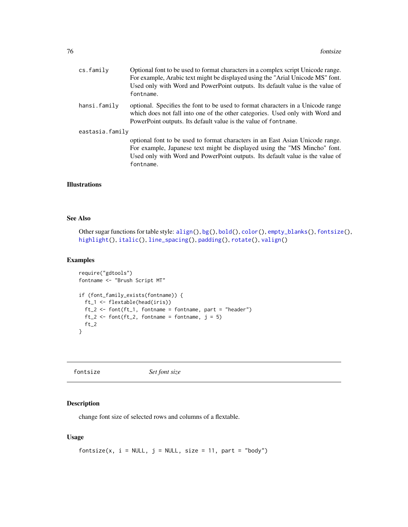| cs.family       | Optional font to be used to format characters in a complex script Unicode range.<br>For example, Arabic text might be displayed using the "Arial Unicode MS" font.<br>Used only with Word and PowerPoint outputs. Its default value is the value of<br>fontname. |
|-----------------|------------------------------------------------------------------------------------------------------------------------------------------------------------------------------------------------------------------------------------------------------------------|
| hansi.family    | optional. Specifies the font to be used to format characters in a Unicode range<br>which does not fall into one of the other categories. Used only with Word and<br>PowerPoint outputs. Its default value is the value of fontname.                              |
| eastasia.family | optional font to be used to format characters in an East Asian Unicode range.<br>For example, Japanese text might be displayed using the "MS Mincho" font.<br>Used only with Word and PowerPoint outputs. Its default value is the value of<br>fontname.         |

## Illustrations

# See Also

```
Other sugar functions for table style: align(), bg(), bold(), color(), empty_blanks(), fontsize(),
highlight(), italic(), line_spacing(), padding(), rotate(), valign()
```
# Examples

```
require("gdtools")
fontname <- "Brush Script MT"
if (font_family_exists(fontname)) {
  ft_1 <- flextable(head(iris))
  ft_2 <- font(ft_1, fontname = fontname, part = "header")
  ft_2 \leftarrow font(ft_2, fontname = fontname, j = 5)ft_2}
```
<span id="page-75-0"></span>fontsize *Set font size*

### Description

change font size of selected rows and columns of a flextable.

# Usage

```
fontsize(x, i = NULL, j = NULL, size = 11, part = "body")
```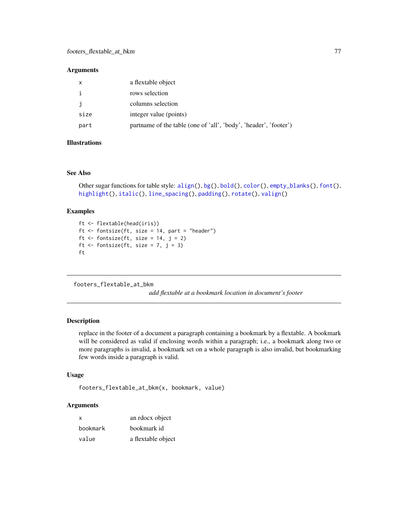### Arguments

| x    | a flextable object                                               |
|------|------------------------------------------------------------------|
| i    | rows selection                                                   |
| j    | columns selection                                                |
| size | integer value (points)                                           |
| part | partname of the table (one of 'all', 'body', 'header', 'footer') |

# Illustrations

# See Also

```
Other sugar functions for table style: align(), bg(), bold(), color(), empty_blanks(), font(),
highlight(), italic(), line_spacing(), padding(), rotate(), valign()
```
### Examples

```
ft <- flextable(head(iris))
ft <- fontsize(ft, size = 14, part = "header")
ft \le fontsize(ft, size = 14, j = 2)
ft \le fontsize(ft, size = 7, j = 3)
ft
```
footers\_flextable\_at\_bkm

*add flextable at a bookmark location in document's footer*

# Description

replace in the footer of a document a paragraph containing a bookmark by a flextable. A bookmark will be considered as valid if enclosing words within a paragraph; i.e., a bookmark along two or more paragraphs is invalid, a bookmark set on a whole paragraph is also invalid, but bookmarking few words inside a paragraph is valid.

### Usage

```
footers_flextable_at_bkm(x, bookmark, value)
```
### **Arguments**

| x        | an rdocx object    |
|----------|--------------------|
| bookmark | bookmark id        |
| value    | a flextable object |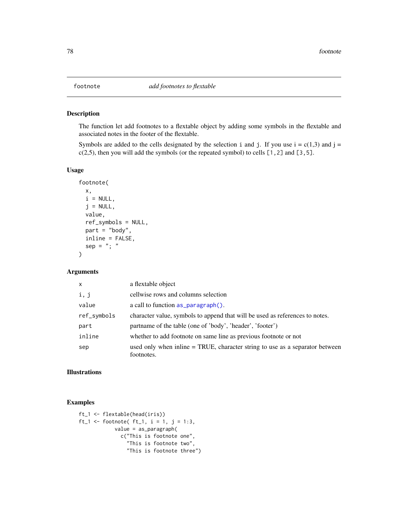The function let add footnotes to a flextable object by adding some symbols in the flextable and associated notes in the footer of the flextable.

Symbols are added to the cells designated by the selection i and j. If you use  $i = c(1,3)$  and  $j = c(1,3)$  $c(2,5)$ , then you will add the symbols (or the repeated symbol) to cells [1,2] and [3,5].

#### Usage

```
footnote(
 x,
 i = NULL,j = NULL,value,
 ref_symbols = NULL,
 part = "body",
 inline = FALSE,
 sep = "; "
)
```
# Arguments

| $\mathsf{x}$ | a flextable object                                                                         |
|--------------|--------------------------------------------------------------------------------------------|
| i, j         | cellwise rows and columns selection                                                        |
| value        | a call to function as <u>paragraph</u> ().                                                 |
| ref_symbols  | character value, symbols to append that will be used as references to notes.               |
| part         | partname of the table (one of 'body', 'header', 'footer')                                  |
| inline       | whether to add footnote on same line as previous footnote or not                           |
| sep          | used only when inline = TRUE, character string to use as a separator between<br>footnotes. |

### Illustrations

```
ft_1 <- flextable(head(iris))
ft_1 <- footnote( ft_1, i = 1, j = 1:3,
            value = as_paragraph(
              c("This is footnote one",
                "This is footnote two",
                "This is footnote three")
```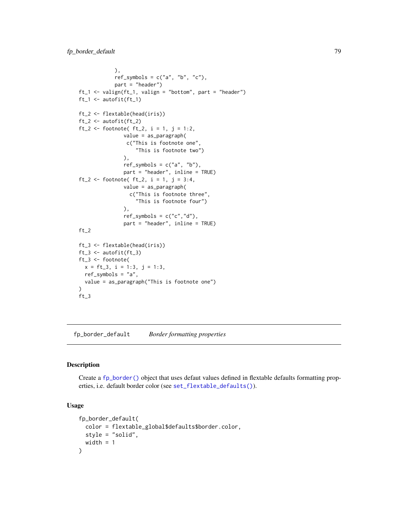```
),
            ref\_symbols = c("a", "b", "c"),part = "header")
ft_1 <- valign(ft_1, valign = "bottom", part = "header")
ft_1 <- autofit(ft_1)
ft_2 <- flextable(head(iris))
ft_2 <- autofit(ft_2)
ft_2 <- footnote( ft_2, i = 1, j = 1:2,
               value = as_paragraph(
                c("This is footnote one",
                   "This is footnote two")
               ),
               ref\_symbols = c("a", "b"),
               part = "header", inline = TRUE)
ft_2 <- footnote( ft_2, i = 1, j = 3:4,
               value = as_paragraph(
                 c("This is footnote three",
                   "This is footnote four")
               ),
               ref\_symbols = c("c", "d"),
               part = "header", inline = TRUE)
ft_2ft_3 <- flextable(head(iris))
ft_3 <- autofit(ft_3)
ft_3 <- footnote(
 x = ft_3, i = 1:3, j = 1:3,
 ref_symbols = "a",
 value = as_paragraph("This is footnote one")
\lambdaft_3
```
<span id="page-78-0"></span>fp\_border\_default *Border formatting properties*

### Description

Create a [fp\\_border\(\)](#page-0-0) object that uses defaut values defined in flextable defaults formatting properties, i.e. default border color (see [set\\_flextable\\_defaults\(\)](#page-122-0)).

### Usage

```
fp_border_default(
  color = flextable_global$defaults$border.color,
  style = "solid",
 width = 1)
```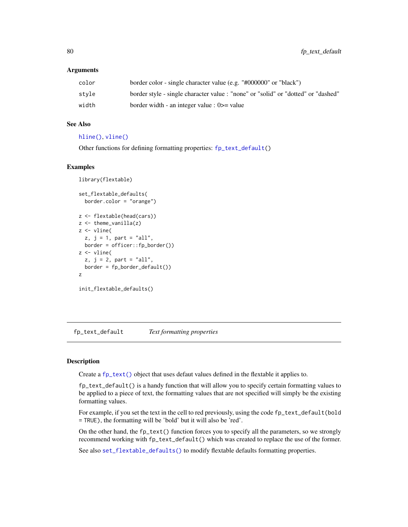### **Arguments**

| color | border color - single character value (e.g. "#000000" or "black")                 |
|-------|-----------------------------------------------------------------------------------|
| stvle | border style - single character value : "none" or "solid" or "dotted" or "dashed" |
| width | border width - an integer value : $0 \ge$ value                                   |

# See Also

#### [hline\(\)](#page-86-0), [vline\(\)](#page-150-0)

Other functions for defining formatting properties: [fp\\_text\\_default\(](#page-79-0))

### Examples

```
library(flextable)
set_flextable_defaults(
  border.color = "orange")
z <- flextable(head(cars))
z \leftarrow theme_vanilla(z)
z <- vline(
  z, j = 1, part = "all",
 border = officer::fp_border())
z <- vline(
  z, j = 2, part = "all",
  border = fp_border_default())
z
init_flextable_defaults()
```
<span id="page-79-0"></span>fp\_text\_default *Text formatting properties*

# Description

Create a [fp\\_text\(\)](#page-0-0) object that uses defaut values defined in the flextable it applies to.

fp\_text\_default() is a handy function that will allow you to specify certain formatting values to be applied to a piece of text, the formatting values that are not specified will simply be the existing formatting values.

For example, if you set the text in the cell to red previously, using the code fp\_text\_default(bold = TRUE), the formatting will be 'bold' but it will also be 'red'.

On the other hand, the fp\_text() function forces you to specify all the parameters, so we strongly recommend working with fp\_text\_default() which was created to replace the use of the former.

See also [set\\_flextable\\_defaults\(\)](#page-122-0) to modify flextable defaults formatting properties.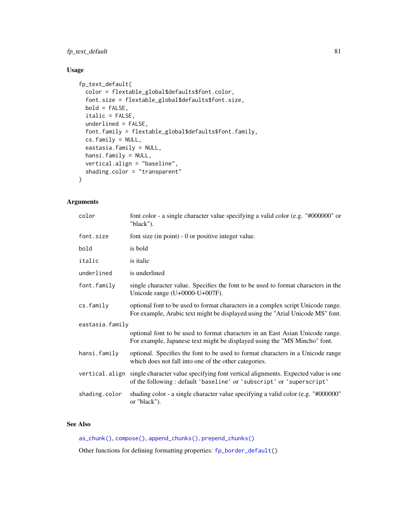# fp\_text\_default 81

# Usage

```
fp_text_default(
  color = flextable_global$defaults$font.color,
  font.size = flextable_global$defaults$font.size,
 bold = FALSE,
  italic = FALSE,
  underlined = FALSE,
  font.family = flextable_global$defaults$font.family,
  cs.family = NULL,
  eastasia.family = NULL,
 hansi.family = NULL,
 vertical.align = "baseline",
  shading.color = "transparent"
\mathcal{L}
```
# Arguments

| color           | font color - a single character value specifying a valid color (e.g. "#000000" or<br>"black").                                                                           |
|-----------------|--------------------------------------------------------------------------------------------------------------------------------------------------------------------------|
| font.size       | font size (in point) - 0 or positive integer value.                                                                                                                      |
| bold            | is bold                                                                                                                                                                  |
| italic          | is italic                                                                                                                                                                |
| underlined      | is underlined                                                                                                                                                            |
| font.family     | single character value. Specifies the font to be used to format characters in the<br>Unicode range $(U+0000-U+007F)$ .                                                   |
| cs.family       | optional font to be used to format characters in a complex script Unicode range.<br>For example, Arabic text might be displayed using the "Arial Unicode MS" font.       |
| eastasia.family |                                                                                                                                                                          |
|                 | optional font to be used to format characters in an East Asian Unicode range.<br>For example, Japanese text might be displayed using the "MS Mincho" font.               |
| hansi.family    | optional. Specifies the font to be used to format characters in a Unicode range<br>which does not fall into one of the other categories.                                 |
|                 | vertical.align single character value specifying font vertical alignments. Expected value is one<br>of the following: default 'baseline' or 'subscript' or 'superscript' |
| shading.color   | shading color - a single character value specifying a valid color (e.g. "#000000"<br>or "black").                                                                        |

# See Also

[as\\_chunk\(\)](#page-17-0), [compose\(\)](#page-60-1), [append\\_chunks\(\)](#page-14-0), [prepend\\_chunks\(\)](#page-111-0)

Other functions for defining formatting properties: [fp\\_border\\_default\(](#page-78-0))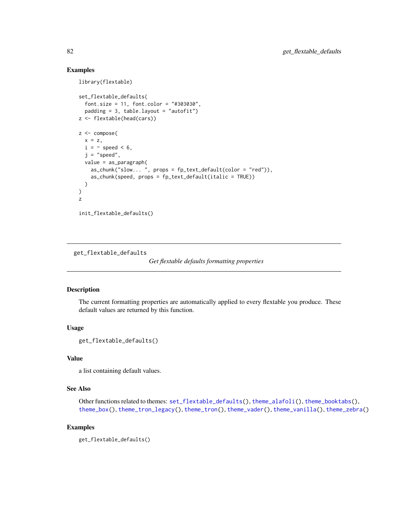# Examples

```
library(flextable)
set_flextable_defaults(
  font.size = 11, font.color = "#303030",
  padding = 3, table.layout = "autofit")
z <- flextable(head(cars))
z <- compose(
  x = z,
  i = \sim speed < 6,
  j = "speed",value = as_paragraph(
   as_chunk("slow... ", props = fp_text_default(color = "red")),
   as_chunk(speed, props = fp_text_default(italic = TRUE))
  )
\lambdaz
init_flextable_defaults()
```
get\_flextable\_defaults

*Get flextable defaults formatting properties*

### Description

The current formatting properties are automatically applied to every flextable you produce. These default values are returned by this function.

### Usage

```
get_flextable_defaults()
```
# Value

a list containing default values.

# See Also

Other functions related to themes: [set\\_flextable\\_defaults\(](#page-122-0)), [theme\\_alafoli\(](#page-139-0)), [theme\\_booktabs\(](#page-140-0)), [theme\\_box\(](#page-141-0)), [theme\\_tron\\_legacy\(](#page-143-0)), [theme\\_tron\(](#page-142-0)), [theme\\_vader\(](#page-144-0)), [theme\\_vanilla\(](#page-145-0)), [theme\\_zebra\(](#page-146-0))

# Examples

get\_flextable\_defaults()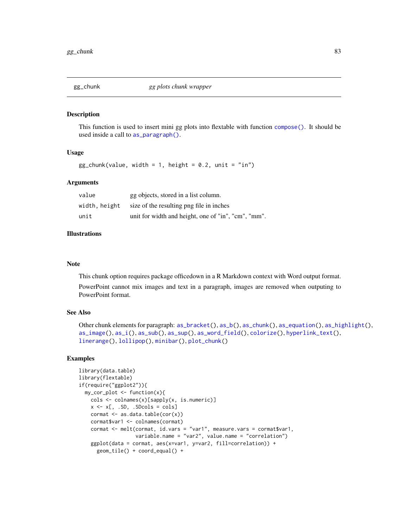<span id="page-82-0"></span>

This function is used to insert mini gg plots into flextable with function [compose\(\)](#page-60-1). It should be used inside a call to [as\\_paragraph\(\)](#page-34-0).

### Usage

 $gg_{\text{c}}$ chunk(value, width = 1, height = 0.2, unit = "in")

### Arguments

| value         | gg objects, stored in a list column.                |
|---------------|-----------------------------------------------------|
| width, height | size of the resulting png file in inches            |
| unit          | unit for width and height, one of "in", "cm", "mm". |

## Illustrations

### Note

This chunk option requires package officedown in a R Markdown context with Word output format.

PowerPoint cannot mix images and text in a paragraph, images are removed when outputing to PowerPoint format.

### See Also

```
Other chunk elements for paragraph: as\_bracket(), as\_b(), as\_chunk(), as\_equation(), as\_highlight(),as_image(), as_i(), as_sub(), as_sup(), as_word_field(), colorize(), hyperlink_text(),
linerange(), lollipop(), minibar(), plot_chunk()
```

```
library(data.table)
library(flextable)
if(require("ggplot2")){
  my_cor_plot <- function(x){
   cols <- colnames(x)[sapply(x, is.numeric)]
   x \leftarrow x[, .SD, .SDcols = cols]
    cormat <- as.data.table(cor(x))
    cormat$var1 <- colnames(cormat)
    cormat <- melt(cormat, id.vars = "var1", measure.vars = cormat$var1,
                   variable.name = "var2", value.name = "correlation")
    ggplot(data = cormat, aes(x=var1, y=var2, fill=correlation)) +
      geom_tile() + coord_equal() +
```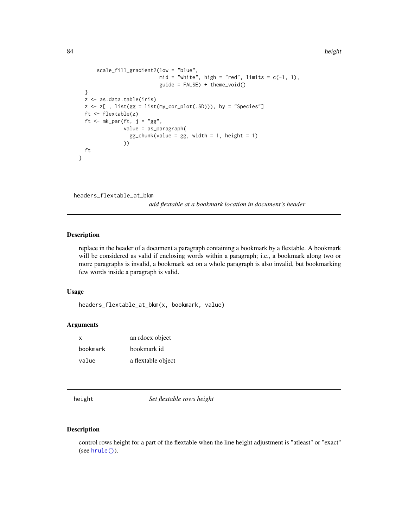```
scale_fill_gradient2(low = "blue",
                            mid = "white", high = "red", limits = c(-1, 1),
                            guide = FALSE) + theme_void()
 }
 z <- as.data.table(iris)
 z \le z[ , list(gg = list(my_cor_plot(.SD))), by = "Species"]
 ft <- flextable(z)
 ft <- mk_par(ft, j = "gg",value = as_paragraph(
                 gg_{\text{c}}chunk(value = gg, width = 1, height = 1)
               ))
 ft
}
```

```
headers_flextable_at_bkm
```
*add flextable at a bookmark location in document's header*

# Description

replace in the header of a document a paragraph containing a bookmark by a flextable. A bookmark will be considered as valid if enclosing words within a paragraph; i.e., a bookmark along two or more paragraphs is invalid, a bookmark set on a whole paragraph is also invalid, but bookmarking few words inside a paragraph is valid.

#### Usage

```
headers_flextable_at_bkm(x, bookmark, value)
```
# Arguments

| x        | an rdocx object    |
|----------|--------------------|
| bookmark | bookmark id        |
| value    | a flextable object |

<span id="page-83-0"></span>height *Set flextable rows height*

### Description

control rows height for a part of the flextable when the line height adjustment is "atleast" or "exact" (see [hrule\(\)](#page-89-0)).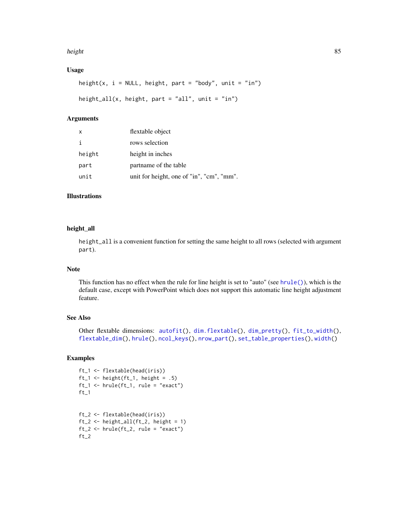#### height 85 and 2012 and 2012 and 2012 and 2012 and 2012 and 2012 and 2012 and 2012 and 2012 and 2012 and 2012 a

# Usage

```
height(x, i = NULL, height, part = "body", unit = "in")
height_all(x, height, part = "all", unit = "in")
```
### Arguments

| X      | flextable object                          |
|--------|-------------------------------------------|
| i      | rows selection                            |
| height | height in inches                          |
| part   | partname of the table                     |
| unit   | unit for height, one of "in", "cm", "mm". |

# Illustrations

### height\_all

height\_all is a convenient function for setting the same height to all rows (selected with argument part).

# Note

This function has no effect when the rule for line height is set to "auto" (see [hrule\(\)](#page-89-0)), which is the default case, except with PowerPoint which does not support this automatic line height adjustment feature.

# See Also

Other flextable dimensions: [autofit\(](#page-39-0)), [dim.flextable\(](#page-64-0)), [dim\\_pretty\(](#page-65-0)), [fit\\_to\\_width\(](#page-67-0)), [flextable\\_dim\(](#page-70-0)), [hrule\(](#page-89-0)), [ncol\\_keys\(](#page-105-0)), [nrow\\_part\(](#page-106-0)), [set\\_table\\_properties\(](#page-128-0)), [width\(](#page-153-0))

```
ft_1 <- flextable(head(iris))
ft_1 \leftarrow height(ft_1, height = .5)
ft_1 \leftarrow hrule (ft_1, rule = "exact")ft_1ft_2 <- flextable(head(iris))
ft_2 \leftarrow height_all (ft_2, height = 1)ft_2 < - hrule(ft_2, rule = "exact")
ft_2
```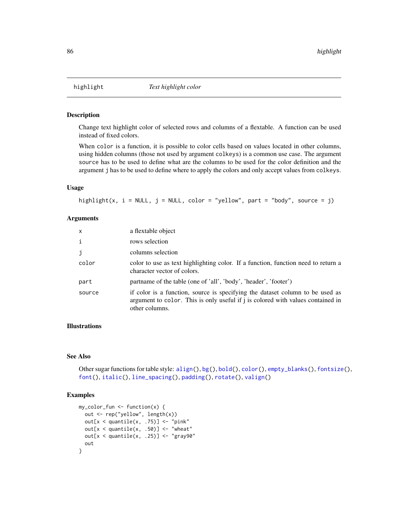<span id="page-85-0"></span>

Change text highlight color of selected rows and columns of a flextable. A function can be used instead of fixed colors.

When color is a function, it is possible to color cells based on values located in other columns, using hidden columns (those not used by argument colkeys) is a common use case. The argument source has to be used to define what are the columns to be used for the color definition and the argument j has to be used to define where to apply the colors and only accept values from colkeys.

### Usage

```
highlight(x, i = NULL, j = NULL, color = "yellow", part = "body", source = j)
```
#### Arguments

| $\mathsf{x}$ | a flextable object                                                                                                                                                                 |
|--------------|------------------------------------------------------------------------------------------------------------------------------------------------------------------------------------|
| $\mathbf{i}$ | rows selection                                                                                                                                                                     |
| j            | columns selection                                                                                                                                                                  |
| color        | color to use as text highlighting color. If a function, function need to return a<br>character vector of colors.                                                                   |
| part         | partname of the table (one of 'all', 'body', 'header', 'footer')                                                                                                                   |
| source       | if color is a function, source is specifying the dataset column to be used as<br>argument to color. This is only useful if j is colored with values contained in<br>other columns. |

# Illustrations

#### See Also

Other sugar functions for table style: [align\(](#page-13-0)), [bg\(](#page-42-0)), [bold\(](#page-45-0)), [color\(](#page-58-0)), [empty\\_blanks\(](#page-66-0)), [fontsize\(](#page-75-0)), [font\(](#page-74-0)), [italic\(](#page-91-0)), [line\\_spacing\(](#page-97-0)), [padding\(](#page-107-0)), [rotate\(](#page-114-0)), [valign\(](#page-149-0))

```
my\_color\_fun \leftarrow function(x) {
  out <- rep("yellow", length(x))
  out[x < quantile(x, .75)] <- "pink"
  out[x <quantile(x, .50] <- "wheat"
  out[x <quantile(x, .25)] <- "gray90"
  out
}
```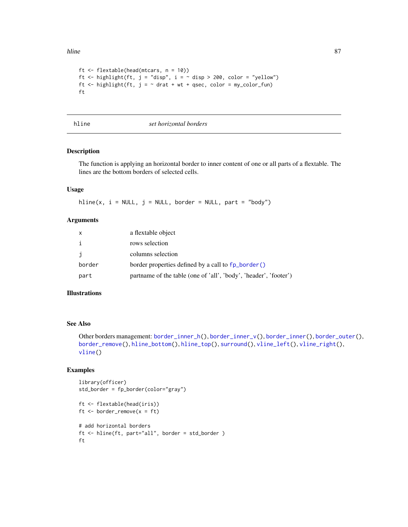hline 87

```
ft <- flextable(head(mtcars, n = 10))
ft <- highlight(ft, j = "disp", i = \sim disp > 200, color = "yellow")
ft \le highlight(ft, j = \sim drat + wt + qsec, color = my_color_fun)
ft
```
<span id="page-86-0"></span>

hline *set horizontal borders*

### Description

The function is applying an horizontal border to inner content of one or all parts of a flextable. The lines are the bottom borders of selected cells.

### Usage

hline(x,  $i = NULL$ ,  $j = NULL$ , border = NULL, part = "body")

### Arguments

| $\mathsf{x}$ | a flextable object                                               |
|--------------|------------------------------------------------------------------|
| i            | rows selection                                                   |
| i            | columns selection                                                |
| border       | border properties defined by a call to fp_border()               |
| part         | partname of the table (one of 'all', 'body', 'header', 'footer') |

### Illustrations

### See Also

Other borders management: [border\\_inner\\_h\(](#page-46-0)), [border\\_inner\\_v\(](#page-47-0)), [border\\_inner\(](#page-45-1)), [border\\_outer\(](#page-48-0)), [border\\_remove\(](#page-49-0)), [hline\\_bottom\(](#page-87-0)), [hline\\_top\(](#page-88-0)), [surround\(](#page-132-0)), [vline\\_left\(](#page-151-0)), [vline\\_right\(](#page-152-0)), [vline\(](#page-150-0))

```
library(officer)
std_border = fp_border(color="gray")
ft <- flextable(head(iris))
ft \le border_remove(x = ft)
# add horizontal borders
ft <- hline(ft, part="all", border = std_border )
ft
```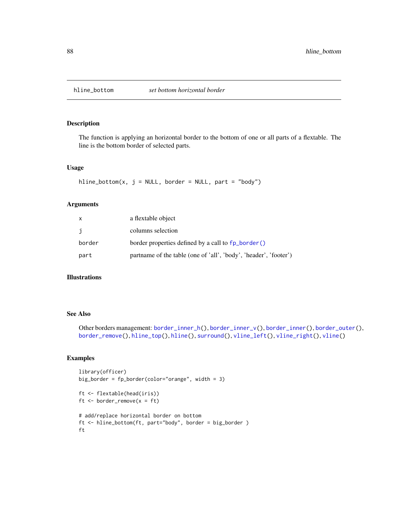<span id="page-87-0"></span>

The function is applying an horizontal border to the bottom of one or all parts of a flextable. The line is the bottom border of selected parts.

## Usage

 $hline\_bottom(x, j = NULL, border = NULL, part = "body")$ 

### Arguments

| x      | a flextable object                                               |
|--------|------------------------------------------------------------------|
| j      | columns selection                                                |
| border | border properties defined by a call to fp_border()               |
| part   | partname of the table (one of 'all', 'body', 'header', 'footer') |

#### Illustrations

### See Also

Other borders management: [border\\_inner\\_h\(](#page-46-0)), [border\\_inner\\_v\(](#page-47-0)), [border\\_inner\(](#page-45-1)), [border\\_outer\(](#page-48-0)), [border\\_remove\(](#page-49-0)), [hline\\_top\(](#page-88-0)), [hline\(](#page-86-0)), [surround\(](#page-132-0)), [vline\\_left\(](#page-151-0)), [vline\\_right\(](#page-152-0)), [vline\(](#page-150-0))

```
library(officer)
big_border = fp_border(color="orange", width = 3)
ft <- flextable(head(iris))
ft \le border_remove(x = ft)
# add/replace horizontal border on bottom
ft <- hline_bottom(ft, part="body", border = big_border )
ft
```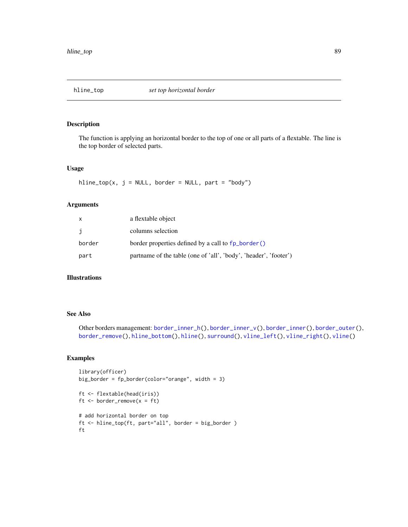<span id="page-88-0"></span>

The function is applying an horizontal border to the top of one or all parts of a flextable. The line is the top border of selected parts.

### Usage

 $hline\_top(x, j = NULL, border = NULL, part = "body")$ 

# Arguments

| x      | a flextable object                                               |
|--------|------------------------------------------------------------------|
| j      | columns selection                                                |
| border | border properties defined by a call to fp_border()               |
| part   | partname of the table (one of 'all', 'body', 'header', 'footer') |

# Illustrations

### See Also

Other borders management: [border\\_inner\\_h\(](#page-46-0)), [border\\_inner\\_v\(](#page-47-0)), [border\\_inner\(](#page-45-1)), [border\\_outer\(](#page-48-0)), [border\\_remove\(](#page-49-0)), [hline\\_bottom\(](#page-87-0)), [hline\(](#page-86-0)), [surround\(](#page-132-0)), [vline\\_left\(](#page-151-0)), [vline\\_right\(](#page-152-0)), [vline\(](#page-150-0))

```
library(officer)
big_border = fp_border(color="orange", width = 3)
ft <- flextable(head(iris))
ft \le border_remove(x = ft)
# add horizontal border on top
ft <- hline_top(ft, part="all", border = big_border )
ft
```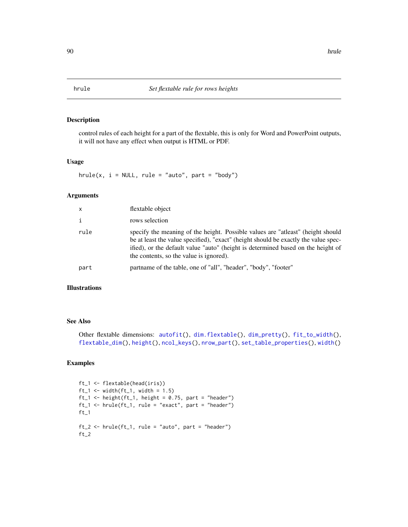<span id="page-89-0"></span>

control rules of each height for a part of the flextable, this is only for Word and PowerPoint outputs, it will not have any effect when output is HTML or PDF.

# Usage

 $hrule(x, i = NULL, rule = "auto", part = "body")$ 

# Arguments

| flextable object                                                                                                                                                                                                                                                                                      |
|-------------------------------------------------------------------------------------------------------------------------------------------------------------------------------------------------------------------------------------------------------------------------------------------------------|
| rows selection                                                                                                                                                                                                                                                                                        |
| specify the meaning of the height. Possible values are "atleast" (height should<br>be at least the value specified), "exact" (height should be exactly the value spec-<br>ified), or the default value "auto" (height is determined based on the height of<br>the contents, so the value is ignored). |
| partname of the table, one of "all", "header", "body", "footer"                                                                                                                                                                                                                                       |
|                                                                                                                                                                                                                                                                                                       |

### Illustrations

#### See Also

```
Other flextable dimensions: autofit(), dim.flextable(), dim_pretty(), fit_to_width(),
flextable_dim(), height(), ncol_keys(), nrow_part(), set_table_properties(), width()
```

```
ft_1 <- flextable(head(iris))
ft_1 \leftarrow width (ft_1, width = 1.5)ft_1 <- height(ft_1, height = 0.75, part = "header")
ft_1 < - hrule (ft_1, rule = "exact", part = "header")ft_1ft_2 <- hrule(ft_1, rule = "auto", part = "header")
ft_2
```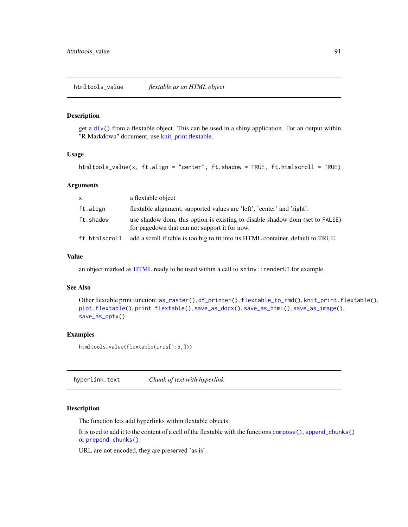```
htmltools_value flextable as an HTML object
```
get a [div\(\)](#page-0-0) from a flextable object. This can be used in a shiny application. For an output within "R Markdown" document, use [knit\\_print.flextable.](#page-92-0)

### Usage

htmltools\_value(x, ft.align = "center", ft.shadow = TRUE, ft.htmlscroll = TRUE)

### Arguments

| x.            | a flextable object                                                                                                            |
|---------------|-------------------------------------------------------------------------------------------------------------------------------|
| ft.align      | flextable alignment, supported values are 'left', 'center' and 'right'.                                                       |
| ft.shadow     | use shadow dom, this option is existing to disable shadow dom (set to FALSE)<br>for pagedown that can not support it for now. |
| ft.htmlscroll | add a scroll if table is too big to fit into its HTML container, default to TRUE.                                             |

# Value

an object marked as [HTML](#page-0-0) ready to be used within a call to shiny::renderUI for example.

### See Also

```
Other flextable print function: as_raster(), df_printer(), flextable_to_rmd(), knit_print.flextable(),
plot.flextable(), print.flextable(), save_as_docx(), save_as_html(), save_as_image(),
save_as_pptx()
```
#### Examples

```
htmltools_value(flextable(iris[1:5,]))
```
<span id="page-90-1"></span>hyperlink\_text *Chunk of text with hyperlink*

### Description

The function lets add hyperlinks within flextable objects.

It is used to add it to the content of a cell of the flextable with the functions [compose\(\)](#page-60-1), [append\\_chunks\(\)](#page-14-0) or [prepend\\_chunks\(\)](#page-111-0).

URL are not encoded, they are preserved 'as is'.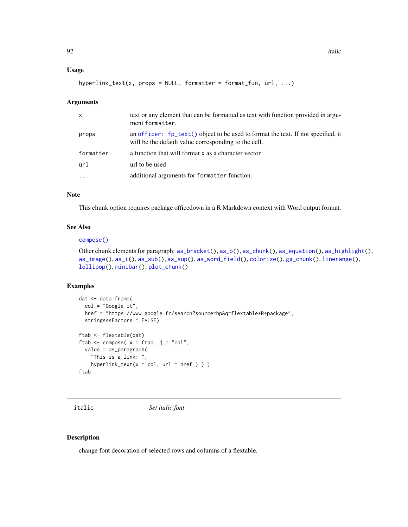### Usage

```
hyperlink_text(x, props = NULL, formatter = format_fun, url, ...)
```
# Arguments

| x         | text or any element that can be formatted as text with function provided in argu-<br>ment formatter.                                                 |
|-----------|------------------------------------------------------------------------------------------------------------------------------------------------------|
| props     | an officer:: $fp_{\text{text}}()$ object to be used to format the text. If not specified, it<br>will be the default value corresponding to the cell. |
| formatter | a function that will format x as a character vector.                                                                                                 |
| ur1       | url to be used                                                                                                                                       |
| $\cdot$   | additional arguments for formatter function.                                                                                                         |

# Note

This chunk option requires package officedown in a R Markdown context with Word output format.

# See Also

#### [compose\(\)](#page-60-1)

```
Other chunk elements for paragraph: as\_bracket(), as\_b(), as\_chunk(), as\_equation(), as\_highlight(),
as_image(), as_i(), as_sub(), as_sup(), as_word_field(), colorize(), gg_chunk(), linerange(),
lollipop(), minibar(), plot_chunk()
```
# Examples

```
dat <- data.frame(
  col = "Google it",
 href = "https://www.google.fr/search?source=hp&q=flextable+R+package",
  stringsAsFactors = FALSE)
ftab <- flextable(dat)
ftab \leq compose( x = ftab, j = "col",
  value = as_paragraph(
    "This is a link: ",
   hyperlink\_text(x = col, url = href ) )ftab
```
<span id="page-91-0"></span>

italic *Set italic font*

#### Description

change font decoration of selected rows and columns of a flextable.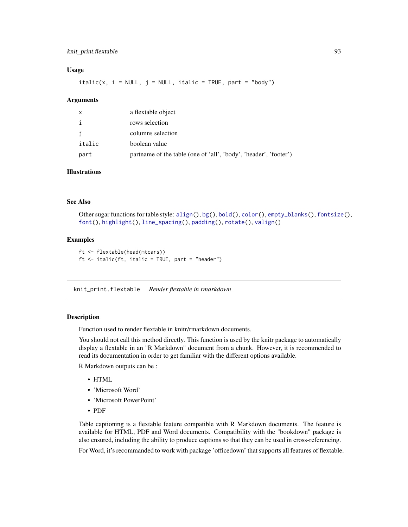# knit\_print.flextable 93

### Usage

 $italic(x, i = NULL, j = NULL, italic = TRUE, part = "body")$ 

#### Arguments

| X            | a flextable object                                               |
|--------------|------------------------------------------------------------------|
| $\mathbf{i}$ | rows selection                                                   |
| j            | columns selection                                                |
| italic       | boolean value                                                    |
| part         | partname of the table (one of 'all', 'body', 'header', 'footer') |

# Illustrations

### See Also

```
Other sugar functions for table style: align(), bg(), bold(), color(), empty_blanks(), fontsize(),
font(), highlight(), line_spacing(), padding(), rotate(), valign()
```
#### Examples

```
ft <- flextable(head(mtcars))
ft \leftarrow italic(ft, italic = TRUE, part = "header")
```
<span id="page-92-0"></span>knit\_print.flextable *Render flextable in rmarkdown*

#### Description

Function used to render flextable in knitr/rmarkdown documents.

You should not call this method directly. This function is used by the knitr package to automatically display a flextable in an "R Markdown" document from a chunk. However, it is recommended to read its documentation in order to get familiar with the different options available.

R Markdown outputs can be :

- HTML
- 'Microsoft Word'
- 'Microsoft PowerPoint'
- PDF

Table captioning is a flextable feature compatible with R Markdown documents. The feature is available for HTML, PDF and Word documents. Compatibility with the "bookdown" package is also ensured, including the ability to produce captions so that they can be used in cross-referencing.

For Word, it's recommanded to work with package 'officedown' that supports all features of flextable.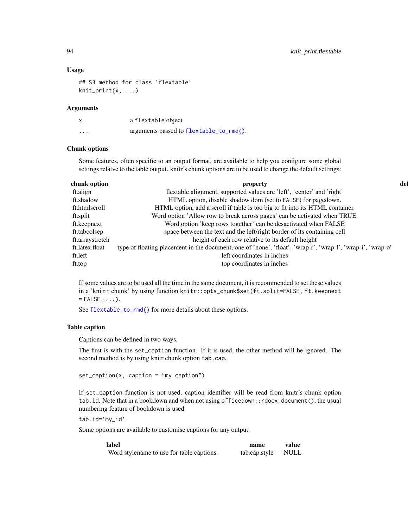### Usage

```
## S3 method for class 'flextable'
knit_print(x, \ldots)
```
### Arguments

| x        | a flextable object                      |
|----------|-----------------------------------------|
| $\cdots$ | arguments passed to flextable_to_rmd(). |

# Chunk options

Some features, often specific to an output format, are available to help you configure some global settings relatve to the table output. knitr's chunk options are to be used to change the default settings:

| chunk option    | property                                                                                                   | def |
|-----------------|------------------------------------------------------------------------------------------------------------|-----|
| ft.align        | flextable alignment, supported values are 'left', 'center' and 'right'                                     |     |
| ft.shadow       | HTML option, disable shadow dom (set to FALSE) for pagedown.                                               |     |
| ft.htmlscroll   | HTML option, add a scroll if table is too big to fit into its HTML container.                              |     |
| ft.split        | Word option 'Allow row to break across pages' can be activated when TRUE.                                  |     |
| ft.keepnext     | Word option 'keep rows together' can be desactivated when FALSE                                            |     |
| ft.tabcolsep    | space between the text and the left/right border of its containing cell                                    |     |
| ft.arraystretch | height of each row relative to its default height                                                          |     |
| ft.latex.float  | type of floating placement in the document, one of 'none', 'float', 'wrap-r', 'wrap-l', 'wrap-i', 'wrap-o' |     |
| ft.left         | left coordinates in inches                                                                                 |     |
| ft.top          | top coordinates in inches                                                                                  |     |

If some values are to be used all the time in the same document, it is recommended to set these values in a 'knitr r chunk' by using function knitr::opts\_chunk\$set(ft.split=FALSE, ft.keepnext  $=$  FALSE,  $\ldots$ ).

See [flextable\\_to\\_rmd\(\)](#page-71-0) for more details about these options.

# Table caption

Captions can be defined in two ways.

The first is with the set\_caption function. If it is used, the other method will be ignored. The second method is by using knitr chunk option tab.cap.

```
set_caption(x, caption = "my caption")
```
If set\_caption function is not used, caption identifier will be read from knitr's chunk option tab.id. Note that in a bookdown and when not using officedown::rdocx\_document(), the usual numbering feature of bookdown is used.

tab.id='my\_id'.

Some options are available to customise captions for any output:

| label                                     | name          | value       |
|-------------------------------------------|---------------|-------------|
| Word stylename to use for table captions. | tab.cap.style | <b>NULL</b> |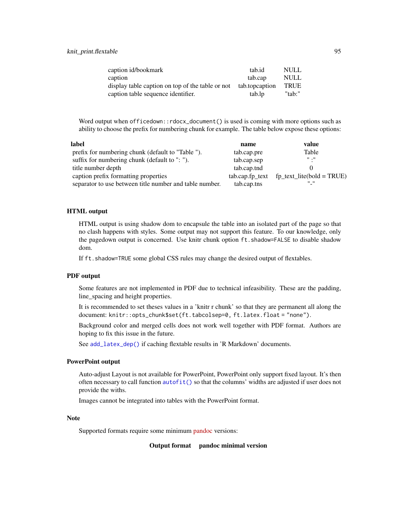| caption id/bookmark                              | tab.id         | <b>NULL</b> |
|--------------------------------------------------|----------------|-------------|
| caption                                          | tab.cap        | <b>NULL</b> |
| display table caption on top of the table or not | tab.topcaption | <b>TRUE</b> |
| caption table sequence identifier.               | tab.lp         | "tab:"      |

Word output when officedown::rdocx\_document() is used is coming with more options such as ability to choose the prefix for numbering chunk for example. The table below expose these options:

| label                                                   | name        | value                                            |
|---------------------------------------------------------|-------------|--------------------------------------------------|
| prefix for numbering chunk (default to "Table ").       | tab.cap.pre | Table                                            |
| suffix for numbering chunk (default to ": ").           | tab.cap.sep | $\mathbf{H}$ $\mathbf{H}$                        |
| title number depth                                      | tab.cap.tnd |                                                  |
| caption prefix formatting properties                    |             | $tab.cap.fp\_text$ $fp\_text\_litefbold = TRUE)$ |
| separator to use between title number and table number. | tab.cap.tns | H H                                              |

### HTML output

HTML output is using shadow dom to encapsule the table into an isolated part of the page so that no clash happens with styles. Some output may not support this feature. To our knowledge, only the pagedown output is concerned. Use knitr chunk option ft.shadow=FALSE to disable shadow dom.

If ft.shadow=TRUE some global CSS rules may change the desired output of flextables.

#### PDF output

Some features are not implemented in PDF due to technical infeasibility. These are the padding, line\_spacing and height properties.

It is recommended to set theses values in a 'knitr r chunk' so that they are permanent all along the document: knitr::opts\_chunk\$set(ft.tabcolsep=0, ft.latex.float = "none").

Background color and merged cells does not work well together with PDF format. Authors are hoping to fix this issue in the future.

See [add\\_latex\\_dep\(\)](#page-13-1) if caching flextable results in 'R Markdown' documents.

#### PowerPoint output

Auto-adjust Layout is not available for PowerPoint, PowerPoint only support fixed layout. It's then often necessary to call function [autofit\(\)](#page-39-0) so that the columns' widths are adjusted if user does not provide the withs.

Images cannot be integrated into tables with the PowerPoint format.

#### Note

Supported formats require some minimum [pandoc](https://pandoc.org/installing.html) versions:

Output format pandoc minimal version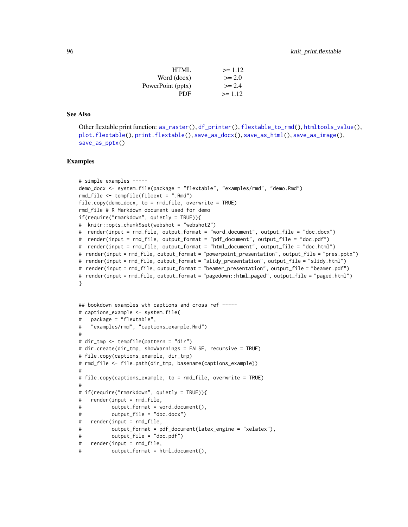| HTML.             | $>= 1.12$ |
|-------------------|-----------|
| Word (docx)       | $>= 2.0$  |
| PowerPoint (pptx) | $>= 2.4$  |
| PDF.              | $>= 1.12$ |

### See Also

Other flextable print function: [as\\_raster\(](#page-35-0)), [df\\_printer\(](#page-63-0)), [flextable\\_to\\_rmd\(](#page-71-0)), [htmltools\\_value\(](#page-90-0)), [plot.flextable\(](#page-109-0)), [print.flextable\(](#page-112-0)), [save\\_as\\_docx\(](#page-115-0)), [save\\_as\\_html\(](#page-116-0)), [save\\_as\\_image\(](#page-117-0)), [save\\_as\\_pptx\(](#page-119-0))

```
# simple examples -----
demo_docx <- system.file(package = "flextable", "examples/rmd", "demo.Rmd")
rmd_file <- tempfile(fileext = ".Rmd")
file.copy(demo_docx, to = rmd_file, overwrite = TRUE)
rmd_file # R Markdown document used for demo
if(require("rmarkdown", quietly = TRUE)){
# knitr::opts_chunk$set(webshot = "webshot2")
# render(input = rmd_file, output_format = "word_document", output_file = "doc.docx")
# render(input = rmd_file, output_format = "pdf_document", output_file = "doc.pdf")
# render(input = rmd_file, output_format = "html_document", output_file = "doc.html")
# render(input = rmd_file, output_format = "powerpoint_presentation", output_file = "pres.pptx")
# render(input = rmd_file, output_format = "slidy_presentation", output_file = "slidy.html")
# render(input = rmd_file, output_format = "beamer_presentation", output_file = "beamer.pdf")
# render(input = rmd_file, output_format = "pagedown::html_paged", output_file = "paged.html")
}
## bookdown examples wth captions and cross ref -----
# captions_example <- system.file(
# package = "flextable",
# "examples/rmd", "captions_example.Rmd")
#
# dir_tmp <- tempfile(pattern = "dir")
# dir.create(dir_tmp, showWarnings = FALSE, recursive = TRUE)
# file.copy(captions_example, dir_tmp)
# rmd_file <- file.path(dir_tmp, basename(captions_example))
#
# file.copy(captions_example, to = rmd_file, overwrite = TRUE)
#
# if(require("rmarkdown", quietly = TRUE)){
# render(input = rmd_file,
# output_format = word_document(),
# output_file = "doc.docx")
# render(input = rmd_file,
# output_format = pdf_document(latex_engine = "xelatex"),
# output_file = "doc.pdf")
# render(input = rmd_file,
# output_format = html_document(),
```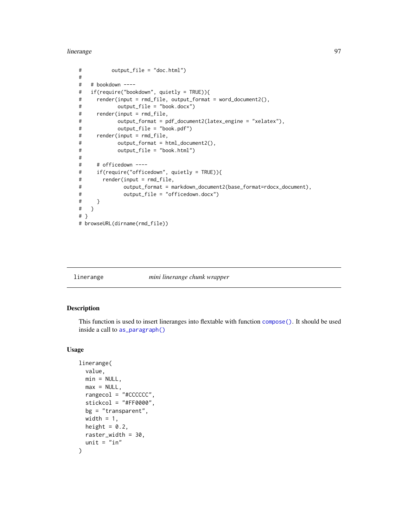#### linerange 97

```
# output_file = "doc.html")
#
# # bookdown ----
# if(require("bookdown", quietly = TRUE)){
# render(input = rmd_file, output_format = word_document2(),
# output_file = "book.docx")
# render(input = rmd_file,
# output_format = pdf_document2(latex_engine = "xelatex"),
# output_file = "book.pdf")
# render(input = rmd_file,
# output_format = html_document2(),
# output_file = "book.html")
#
# # officedown ----
# if(require("officedown", quietly = TRUE)){
# render(input = rmd_file,
# output_format = markdown_document2(base_format=rdocx_document),
# output_file = "officedown.docx")
# }
# }
# }
# browseURL(dirname(rmd_file))
```
<span id="page-96-0"></span>linerange *mini linerange chunk wrapper*

# Description

This function is used to insert lineranges into flextable with function [compose\(\)](#page-60-1). It should be used inside a call to [as\\_paragraph\(\)](#page-34-0)

#### Usage

```
linerange(
 value,
 min = NULL,max = NULL,rangecol = "#CCCCCC",
 stickcol = "#FF0000",
 bg = "transparent",
 width = 1,
 height = 0.2,
 raster_width = 30,
 unit = "in")
```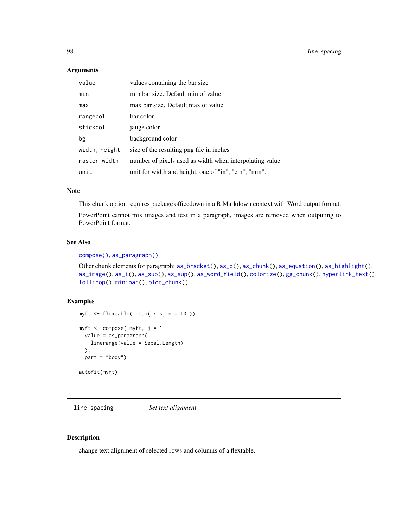### Arguments

| value         | values containing the bar size                           |
|---------------|----------------------------------------------------------|
| min           | min bar size. Default min of value                       |
| max           | max bar size. Default max of value                       |
| rangecol      | bar color                                                |
| stickcol      | jauge color                                              |
| bg            | background color                                         |
| width, height | size of the resulting png file in inches                 |
| raster_width  | number of pixels used as width when interpolating value. |
| unit          | unit for width and height, one of "in", "cm", "mm".      |

### Note

This chunk option requires package officedown in a R Markdown context with Word output format.

PowerPoint cannot mix images and text in a paragraph, images are removed when outputing to PowerPoint format.

# See Also

### [compose\(\)](#page-60-1), [as\\_paragraph\(\)](#page-34-0)

Other chunk elements for paragraph: [as\\_bracket\(](#page-16-0)), [as\\_b\(](#page-15-0)), [as\\_chunk\(](#page-17-0)), [as\\_equation\(](#page-18-0)), [as\\_highlight\(](#page-31-0)), [as\\_image\(](#page-32-0)), [as\\_i\(](#page-32-1)), [as\\_sub\(](#page-36-0)), [as\\_sup\(](#page-37-0)), [as\\_word\\_field\(](#page-38-0)), [colorize\(](#page-60-2)), [gg\\_chunk\(](#page-82-0)), [hyperlink\\_text\(](#page-90-1)), [lollipop\(](#page-98-0)), [minibar\(](#page-104-0)), [plot\\_chunk\(](#page-110-0))

# Examples

```
myft <- flextable( head(iris, n = 10 ))
myft \leq compose( myft, j = 1,
  value = as_paragraph(
   linerange(value = Sepal.Length)
  ),
  part = "body")
autofit(myft)
```
<span id="page-97-0"></span>line\_spacing *Set text alignment*

### Description

change text alignment of selected rows and columns of a flextable.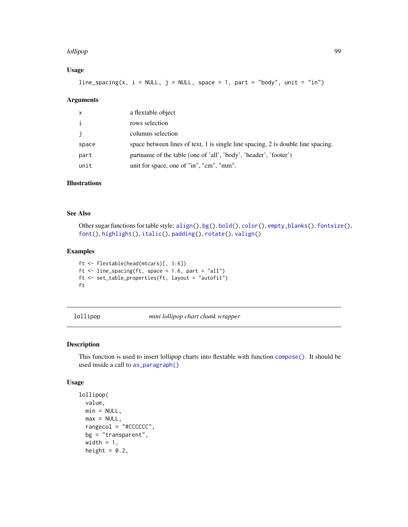### lollipop 99

# Usage

line\_spacing(x,  $i = NULL$ ,  $j = NULL$ , space = 1, part = "body", unit = "in")

#### Arguments

| x            | a flextable object                                                               |
|--------------|----------------------------------------------------------------------------------|
| $\mathbf{i}$ | rows selection                                                                   |
| j            | columns selection                                                                |
| space        | space between lines of text, 1 is single line spacing, 2 is double line spacing. |
| part         | partname of the table (one of 'all', 'body', 'header', 'footer')                 |
| unit         | unit for space, one of "in", "cm", "mm".                                         |

# Illustrations

# See Also

Other sugar functions for table style: [align\(](#page-13-0)), [bg\(](#page-42-0)), [bold\(](#page-45-0)), [color\(](#page-58-0)), [empty\\_blanks\(](#page-66-0)), [fontsize\(](#page-75-0)), [font\(](#page-74-0)), [highlight\(](#page-85-0)), [italic\(](#page-91-0)), [padding\(](#page-107-0)), [rotate\(](#page-114-0)), [valign\(](#page-149-0))

### Examples

```
ft <- flextable(head(mtcars)[, 3:6])
ft \le line_spacing(ft, space = 1.6, part = "all")
ft <- set_table_properties(ft, layout = "autofit")
ft
```
lollipop *mini lollipop chart chunk wrapper*

# Description

This function is used to insert lollipop charts into flextable with function [compose\(\)](#page-60-1). It should be used inside a call to [as\\_paragraph\(\)](#page-34-0)

#### Usage

```
lollipop(
 value,
 min = NULL,
 max = NULL,rangecol = "#CCCCCC",
 bg = "transparent",
 width = 1,
 height = 0.2,
```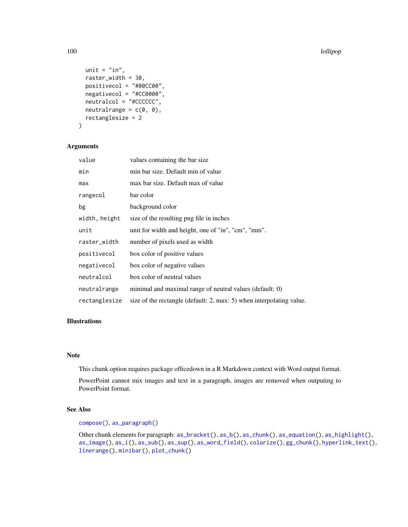```
unit = "in",
  raster_width = 30,
 positivecol = "#00CC00",
 negativecol = "#CC0000",
  neutralcol = "#CCCCCC",
 neutralrange = c(\emptyset, \emptyset),
  rectanglesize = 2
)
```
# Arguments

| value         | values containing the bar size                                       |
|---------------|----------------------------------------------------------------------|
| min           | min bar size. Default min of value                                   |
| max           | max bar size. Default max of value                                   |
| rangecol      | bar color                                                            |
| bg            | background color                                                     |
| width, height | size of the resulting png file in inches                             |
| unit          | unit for width and height, one of "in", "cm", "mm".                  |
| raster_width  | number of pixels used as width                                       |
| positivecol   | box color of positive values                                         |
| negativecol   | box color of negative values                                         |
| neutralcol    | box color of neutral values                                          |
| neutralrange  | minimal and maximal range of neutral values (default: 0)             |
| rectanglesize | size of the rectangle (default: 2, max: 5) when interpolating value. |

#### Illustrations

# Note

This chunk option requires package officedown in a R Markdown context with Word output format.

PowerPoint cannot mix images and text in a paragraph, images are removed when outputing to PowerPoint format.

# See Also

### [compose\(\)](#page-60-1), [as\\_paragraph\(\)](#page-34-0)

Other chunk elements for paragraph: [as\\_bracket\(](#page-16-0)), [as\\_b\(](#page-15-0)), [as\\_chunk\(](#page-17-0)), [as\\_equation\(](#page-18-0)), [as\\_highlight\(](#page-31-0)), [as\\_image\(](#page-32-0)), [as\\_i\(](#page-32-1)), [as\\_sub\(](#page-36-0)), [as\\_sup\(](#page-37-0)), [as\\_word\\_field\(](#page-38-0)), [colorize\(](#page-60-2)), [gg\\_chunk\(](#page-82-0)), [hyperlink\\_text\(](#page-90-1)), [linerange\(](#page-96-0)), [minibar\(](#page-104-0)), [plot\\_chunk\(](#page-110-0))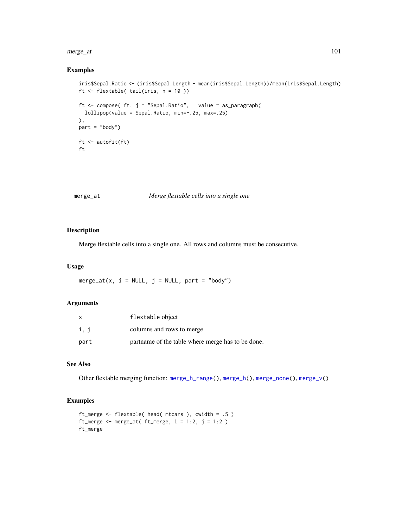#### merge\_at 101

# Examples

```
iris$Sepal.Ratio <- (iris$Sepal.Length - mean(iris$Sepal.Length))/mean(iris$Sepal.Length)
ft <- flextable( tail(iris, n = 10 ))
ft <- compose( ft, j = "Sepal.Ratio", value = as_paragraph(
  lollipop(value = Sepal.Ratio, min=-.25, max=.25)
),
part = "body")
ft <- autofit(ft)
ft
```
# <span id="page-100-0"></span>merge\_at *Merge flextable cells into a single one*

# Description

Merge flextable cells into a single one. All rows and columns must be consecutive.

# Usage

merge\_at(x,  $i = NULL$ ,  $j = NULL$ , part = "body")

# Arguments

| x    | flextable object                                  |
|------|---------------------------------------------------|
| i, j | columns and rows to merge                         |
| part | partname of the table where merge has to be done. |

### See Also

Other flextable merging function: [merge\\_h\\_range\(](#page-101-0)), [merge\\_h\(](#page-101-1)), [merge\\_none\(](#page-102-0)), [merge\\_v\(](#page-103-0))

```
ft_merge <- flextable( head( mtcars ), cwidth = .5 )
ft_merge <- merge_at( ft_merge, i = 1:2, j = 1:2 )
ft_merge
```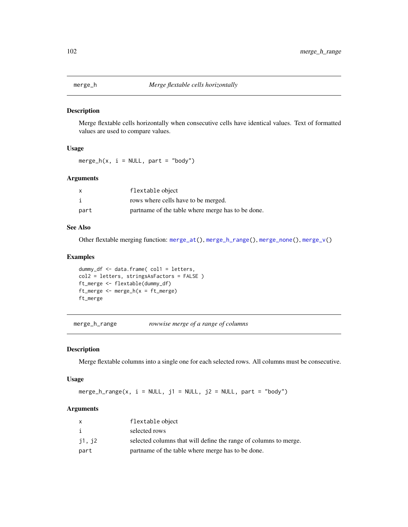<span id="page-101-1"></span>

Merge flextable cells horizontally when consecutive cells have identical values. Text of formatted values are used to compare values.

# Usage

merge\_h(x,  $i = NULL$ , part = "body")

# Arguments

| $\times$ | flextable object                                  |
|----------|---------------------------------------------------|
|          | rows where cells have to be merged.               |
| part     | partname of the table where merge has to be done. |

# See Also

Other flextable merging function: [merge\\_at\(](#page-100-0)), [merge\\_h\\_range\(](#page-101-0)), [merge\\_none\(](#page-102-0)), [merge\\_v\(](#page-103-0))

# Examples

```
dummy_df <- data.frame( col1 = letters,
col2 = letters, stringsAsFactors = FALSE )
ft_merge <- flextable(dummy_df)
ft_merge <- merge_h(x = ft_merge)
ft_merge
```
<span id="page-101-0"></span>merge\_h\_range *rowwise merge of a range of columns*

#### Description

Merge flextable columns into a single one for each selected rows. All columns must be consecutive.

#### Usage

merge\_h\_range(x,  $i = NULL$ ,  $j1 = NULL$ ,  $j2 = NULL$ ,  $part = "body")$ 

# Arguments

|        | flextable object                                                 |
|--------|------------------------------------------------------------------|
| i      | selected rows                                                    |
| j1, j2 | selected columns that will define the range of columns to merge. |
| part   | partname of the table where merge has to be done.                |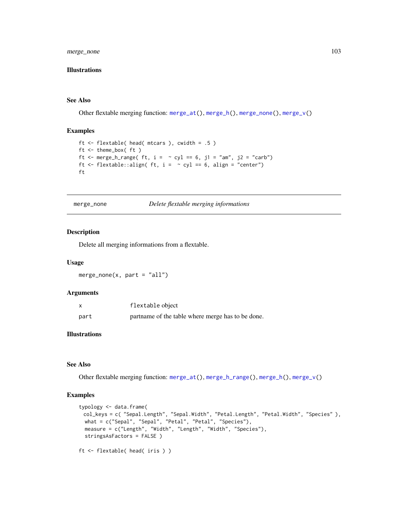merge\_none 103

# Illustrations

#### See Also

Other flextable merging function: [merge\\_at\(](#page-100-0)), [merge\\_h\(](#page-101-1)), [merge\\_none\(](#page-102-0)), [merge\\_v\(](#page-103-0))

### Examples

```
ft <- flextable( head( mtcars ), cwidth = .5 )
ft <- theme_box( ft )
ft <- merge_h_range( ft, i = \sim cyl == 6, j1 = "am", j2 = "carb")
ft \le flextable::align( ft, i = \sim cyl == 6, align = "center")
ft
```
<span id="page-102-0"></span>merge\_none *Delete flextable merging informations*

#### Description

Delete all merging informations from a flextable.

### Usage

 $merge\_none(x, part = "all")$ 

# Arguments

| X    | flextable object                                  |
|------|---------------------------------------------------|
| part | partname of the table where merge has to be done. |

# Illustrations

# See Also

Other flextable merging function: [merge\\_at\(](#page-100-0)), [merge\\_h\\_range\(](#page-101-0)), [merge\\_h\(](#page-101-1)), [merge\\_v\(](#page-103-0))

```
typology <- data.frame(
 col_keys = c( "Sepal.Length", "Sepal.Width", "Petal.Length", "Petal.Width", "Species" ),
 what = c("Sepal", "Sepal", "Petal", "Petal", "Species"),
 measure = c("Length", "Width", "Length", "Width", "Species"),
 stringsAsFactors = FALSE )
ft <- flextable( head( iris ) )
```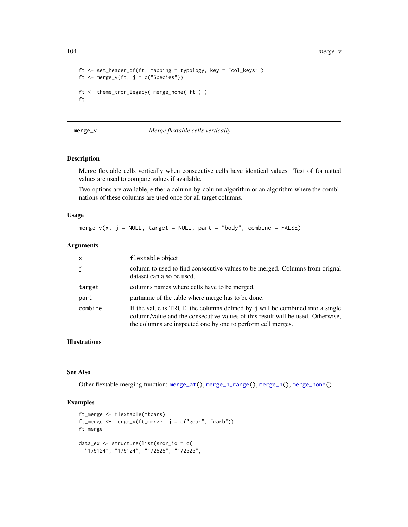```
ft <- set_header_df(ft, mapping = typology, key = "col_keys" )
ft <- merge_v(ft, j = c("Species"))ft <- theme_tron_legacy( merge_none( ft ) )
ft
```
### <span id="page-103-0"></span>merge\_v *Merge flextable cells vertically*

# Description

Merge flextable cells vertically when consecutive cells have identical values. Text of formatted values are used to compare values if available.

Two options are available, either a column-by-column algorithm or an algorithm where the combinations of these columns are used once for all target columns.

### Usage

 $merge_v(x, j = NULL, target = NULL, part = "body", combine = FALSE)$ 

# Arguments

| $\mathsf{x}$ | flextable object                                                                                                                                                                                                                 |
|--------------|----------------------------------------------------------------------------------------------------------------------------------------------------------------------------------------------------------------------------------|
| j            | column to used to find consecutive values to be merged. Columns from orignal<br>dataset can also be used.                                                                                                                        |
| target       | columns names where cells have to be merged.                                                                                                                                                                                     |
| part         | partname of the table where merge has to be done.                                                                                                                                                                                |
| combine      | If the value is TRUE, the columns defined by j will be combined into a single<br>column/value and the consecutive values of this result will be used. Otherwise,<br>the columns are inspected one by one to perform cell merges. |

#### Illustrations

#### See Also

Other flextable merging function: [merge\\_at\(](#page-100-0)), [merge\\_h\\_range\(](#page-101-0)), [merge\\_h\(](#page-101-1)), [merge\\_none\(](#page-102-0))

```
ft_merge <- flextable(mtcars)
ft_merge <- merge_v(ft_merge, j = c("year", "carb"))ft_merge
data_ex <- structure(list(srdr_id = c(
  "175124", "175124", "172525", "172525",
```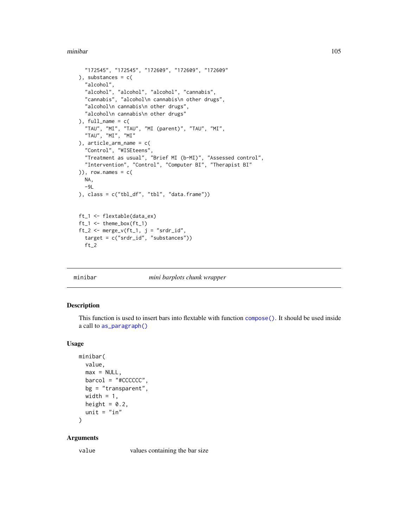#### minibar 105

```
"172545", "172545", "172609", "172609", "172609"
), substances = c(
  "alcohol",
  "alcohol", "alcohol", "alcohol", "cannabis",
  "cannabis", "alcohol\n cannabis\n other drugs",
  "alcohol\n cannabis\n other drugs",
  "alcohol\n cannabis\n other drugs"
), full_name = c(
  "TAU", "MI", "TAU", "MI (parent)", "TAU", "MI",
  "TAU", "MI", "MI"
), article_arm_name = c(
  "Control", "WISEteens",
  "Treatment as usual", "Brief MI (b-MI)", "Assessed control",
  "Intervention", "Control", "Computer BI", "Therapist BI"
)), row.names = c(
  NA,
  -9L), class = c("tbl_df", "tbl", "data.frame"))
ft_1 <- flextable(data_ex)
ft_1 \leftarrow thenebox(ft_1)ft_2 \leftarrow merge_v (ft_1, j = "srdr_id",target = c("srdr_id", "substances"))
  ft_2
```
#### minibar *mini barplots chunk wrapper*

### Description

This function is used to insert bars into flextable with function [compose\(\)](#page-60-1). It should be used inside a call to [as\\_paragraph\(\)](#page-34-0)

# Usage

```
minibar(
 value,
 max = NULL,barcol = "#CCCCCC",
 bg = "transparent",
 width = 1,height = 0.2,
 unit = "in"
```
 $\lambda$ 

#### Arguments

value values containing the bar size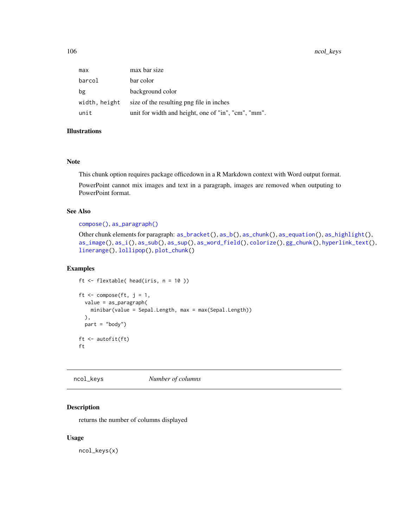106 ncol\_keys

| max           | max bar size                                        |
|---------------|-----------------------------------------------------|
| barcol        | bar color                                           |
| bg            | background color                                    |
| width, height | size of the resulting png file in inches            |
| unit          | unit for width and height, one of "in", "cm", "mm". |

# Illustrations

# Note

This chunk option requires package officedown in a R Markdown context with Word output format.

PowerPoint cannot mix images and text in a paragraph, images are removed when outputing to PowerPoint format.

### See Also

#### [compose\(\)](#page-60-1), [as\\_paragraph\(\)](#page-34-0)

```
Other chunk elements for paragraph: as\_bracket(), as\_b(), as\_chunk(), as\_equation(), as\_highlight(),
as_image(), as_i(), as_sub(), as_sup(), as_word_field(), colorize(), gg_chunk(), hyperlink_text(),
linerange(), lollipop(), plot_chunk()
```
#### Examples

```
ft <- flextable( head(iris, n = 10 ))
```

```
ft \leq compose(ft, j = 1,
 value = as_paragraph(
   minibar(value = Sepal.Length, max = max(Sepal.Length))
  ),
  part = "body")
ft <- autofit(ft)
ft
```
<span id="page-105-0"></span>ncol\_keys *Number of columns*

# Description

returns the number of columns displayed

### Usage

ncol\_keys(x)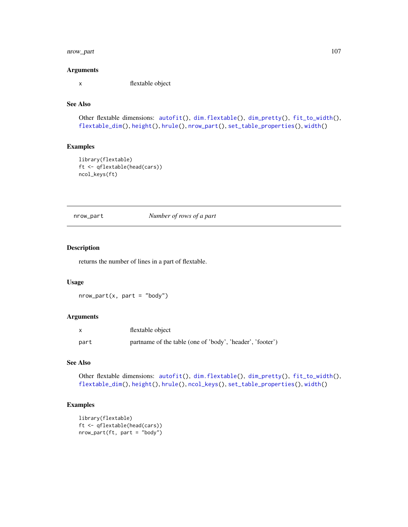# nrow\_part 107

#### Arguments

x flextable object

# See Also

```
Other flextable dimensions: autofit(), dim.flextable(), dim_pretty(), fit_to_width(),
flextable_dim(), height(), hrule(), nrow_part(), set_table_properties(), width()
```
# Examples

```
library(flextable)
ft <- qflextable(head(cars))
ncol_keys(ft)
```
<span id="page-106-0"></span>nrow\_part *Number of rows of a part*

### Description

returns the number of lines in a part of flextable.

### Usage

 $nrow\_part(x, part = "body")$ 

# Arguments

|      | flextable object                                          |
|------|-----------------------------------------------------------|
| part | partname of the table (one of 'body', 'header', 'footer') |

# See Also

Other flextable dimensions: [autofit\(](#page-39-0)), [dim.flextable\(](#page-64-0)), [dim\\_pretty\(](#page-65-0)), [fit\\_to\\_width\(](#page-67-0)), [flextable\\_dim\(](#page-70-0)), [height\(](#page-83-0)), [hrule\(](#page-89-0)), [ncol\\_keys\(](#page-105-0)), [set\\_table\\_properties\(](#page-128-0)), [width\(](#page-153-0))

```
library(flextable)
ft <- qflextable(head(cars))
nrow_part(ft, part = "body")
```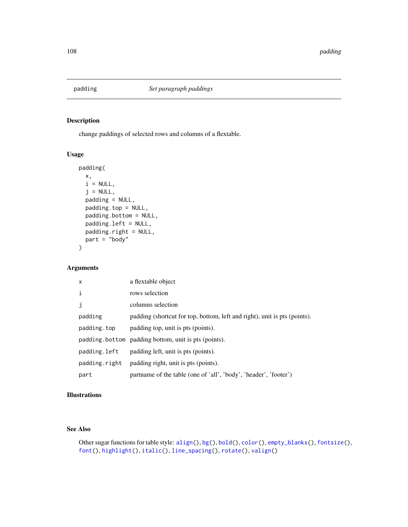<span id="page-107-0"></span>

change paddings of selected rows and columns of a flextable.

# Usage

```
padding(
 x,
 i = NULL,j = NULL,padding = NULL,
 padding.top = NULL,
 padding.bottom = NULL,
 padding.left = NULL,
 padding.right = NULL,
 part = "body"
)
```
# Arguments

| $\mathsf{x}$  | a flextable object                                                        |
|---------------|---------------------------------------------------------------------------|
| i             | rows selection                                                            |
| j             | columns selection                                                         |
| padding       | padding (shortcut for top, bottom, left and right), unit is pts (points). |
| padding.top   | padding top, unit is pts (points).                                        |
|               | padding bottom padding bottom, unit is pts (points).                      |
| padding.left  | padding left, unit is pts (points).                                       |
| padding.right | padding right, unit is pts (points).                                      |
| part          | partname of the table (one of 'all', 'body', 'header', 'footer')          |

# Illustrations

### See Also

Other sugar functions for table style: [align\(](#page-13-0)), [bg\(](#page-42-0)), [bold\(](#page-45-0)), [color\(](#page-58-0)), [empty\\_blanks\(](#page-66-0)), [fontsize\(](#page-75-0)), [font\(](#page-74-0)), [highlight\(](#page-85-0)), [italic\(](#page-91-0)), [line\\_spacing\(](#page-97-0)), [rotate\(](#page-114-0)), [valign\(](#page-149-0))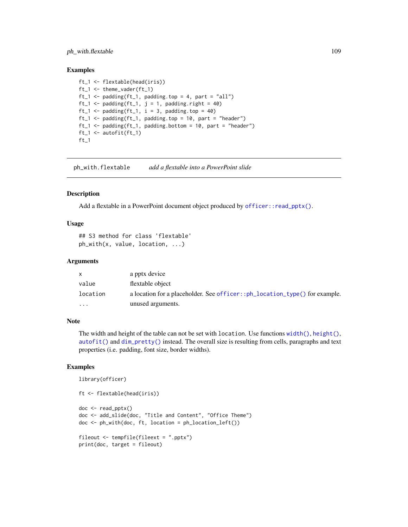## ph\_with.flextable 109

## Examples

```
ft_1 <- flextable(head(iris))
ft_1 <- theme_vader(ft_1)
ft_1 \le padding(ft_1, padding.top = 4, part = "all")
ft_1 <- padding(ft_1, j = 1, padding.right = 40)
ft_1 \leftarrow padding(ft_1, i = 3, padding.top = 40)
ft_1 <- padding(ft_1, padding.top = 10, part = "header")
ft_1 <- padding(ft_1, padding.bottom = 10, part = "header")
ft_1 <- autofit(ft_1)
ft_1
```
ph\_with.flextable *add a flextable into a PowerPoint slide*

## Description

Add a flextable in a PowerPoint document object produced by [officer::read\\_pptx\(\)](#page-0-0).

## Usage

```
## S3 method for class 'flextable'
ph_with(x, value, location, ...)
```
#### **Arguments**

| X        | a pptx device                                                              |
|----------|----------------------------------------------------------------------------|
| value    | flextable object                                                           |
| location | a location for a placeholder. See officer::ph_location_type() for example. |
| $\cdots$ | unused arguments.                                                          |

#### Note

The width and height of the table can not be set with location. Use functions  $width(), height(),$  $width(), height(),$  $width(), height(),$  $width(), height(),$ [autofit\(\)](#page-39-0) and [dim\\_pretty\(\)](#page-65-0) instead. The overall size is resulting from cells, paragraphs and text properties (i.e. padding, font size, border widths).

## Examples

library(officer)

```
ft <- flextable(head(iris))
doc <- read_pptx()
doc <- add_slide(doc, "Title and Content", "Office Theme")
doc <- ph_with(doc, ft, location = ph_location_left())
fileout <- tempfile(fileext = ".pptx")
print(doc, target = fileout)
```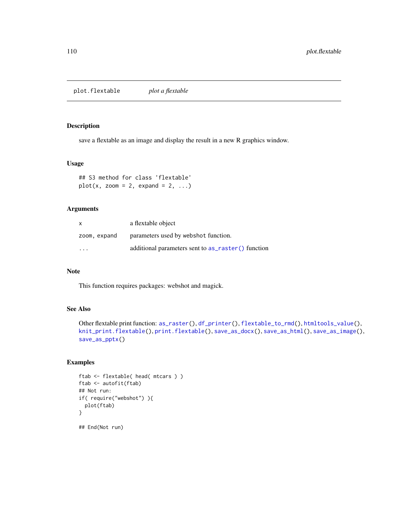<span id="page-109-0"></span>plot.flextable *plot a flextable*

#### Description

save a flextable as an image and display the result in a new R graphics window.

#### Usage

```
## S3 method for class 'flextable'
plot(x, zoom = 2, expand = 2, ...)
```
# Arguments

| X                       | a flextable object                                 |
|-------------------------|----------------------------------------------------|
| zoom, expand            | parameters used by webshot function.               |
| $\cdot$ $\cdot$ $\cdot$ | additional parameters sent to as raster() function |

# Note

This function requires packages: webshot and magick.

## See Also

```
Other flextable print function: as_raster(), df_printer(), flextable_to_rmd(), htmltools_value(),
knit_print.flextable(), print.flextable(), save_as_docx(), save_as_html(), save_as_image(),
save_as_pptx()
```

```
ftab <- flextable( head( mtcars ) )
ftab <- autofit(ftab)
## Not run:
if( require("webshot") ){
  plot(ftab)
}
## End(Not run)
```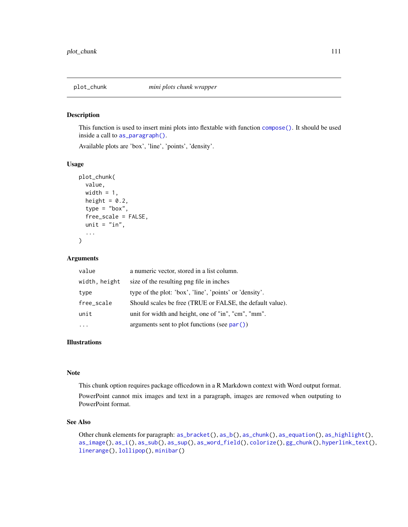#### Description

This function is used to insert mini plots into flextable with function [compose\(\)](#page-60-0). It should be used inside a call to [as\\_paragraph\(\)](#page-34-0).

Available plots are 'box', 'line', 'points', 'density'.

## Usage

```
plot_chunk(
  value,
  width = 1,
  height = 0.2,
  type = "box",
  free_scale = FALSE,
  unit = "in",...
)
```
## Arguments

| value         | a numeric vector, stored in a list column.                |
|---------------|-----------------------------------------------------------|
| width, height | size of the resulting png file in inches                  |
| type          | type of the plot: 'box', 'line', 'points' or 'density'.   |
| free_scale    | Should scales be free (TRUE or FALSE, the default value). |
| unit          | unit for width and height, one of "in", "cm", "mm".       |
|               | arguments sent to plot functions (see $par()$ )           |

## Illustrations

## Note

This chunk option requires package officedown in a R Markdown context with Word output format. PowerPoint cannot mix images and text in a paragraph, images are removed when outputing to PowerPoint format.

## See Also

Other chunk elements for paragraph: [as\\_bracket\(](#page-16-0)), [as\\_b\(](#page-15-0)), [as\\_chunk\(](#page-17-0)), [as\\_equation\(](#page-18-0)), [as\\_highlight\(](#page-31-0)), [as\\_image\(](#page-32-0)), [as\\_i\(](#page-32-1)), [as\\_sub\(](#page-36-0)), [as\\_sup\(](#page-37-0)), [as\\_word\\_field\(](#page-38-0)), [colorize\(](#page-60-1)), [gg\\_chunk\(](#page-82-0)), [hyperlink\\_text\(](#page-90-1)), [linerange\(](#page-96-0)), [lollipop\(](#page-98-0)), [minibar\(](#page-104-0))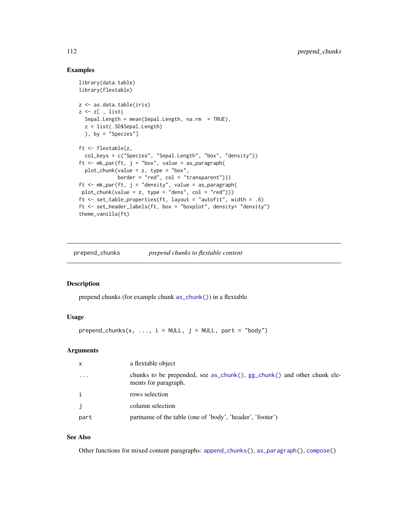## Examples

```
library(data.table)
library(flextable)
z <- as.data.table(iris)
z \leq z[, list(
  Sepal.Length = mean(Sepal.Length, na.rm = TRUE),
  z = list(.SD$Sepal.Length)
  ), by = "Species"]
ft <- flextable(z,
  col_keys = c("Species", "Sepal.Length", "box", "density"))
ft \leq mk_par(ft, j = "box", value = as_paragraph(
  plot_{\text{c}}hunk(value = z, type = "box",
             border = "red", col = "transparent"))
ft \leq mk_par(ft, j = "density", value = as_paragraph(
plot_{\text{chunk}}(value = z, type = "dens", col = "red"))ft <- set_table_properties(ft, layout = "autofit", width = .6)
ft <- set_header_labels(ft, box = "boxplot", density= "density")
theme_vanilla(ft)
```
prepend\_chunks *prepend chunks to flextable content*

## Description

prepend chunks (for example chunk [as\\_chunk\(\)](#page-17-0)) in a flextable.

## Usage

 $prepend\_chunks(x, ..., i = NULL, j = NULL, part = "body")$ 

## Arguments

| $\mathsf{x}$ | a flextable object                                                                              |
|--------------|-------------------------------------------------------------------------------------------------|
| $\cdots$     | chunks to be prepended, see as_chunk(), gg_chunk() and other chunk ele-<br>ments for paragraph. |
| $\mathbf{i}$ | rows selection                                                                                  |
| $\mathbf{j}$ | column selection                                                                                |
| part         | partname of the table (one of 'body', 'header', 'footer')                                       |

## See Also

Other functions for mixed content paragraphs: [append\\_chunks\(](#page-14-0)), [as\\_paragraph\(](#page-34-0)), [compose\(](#page-60-0))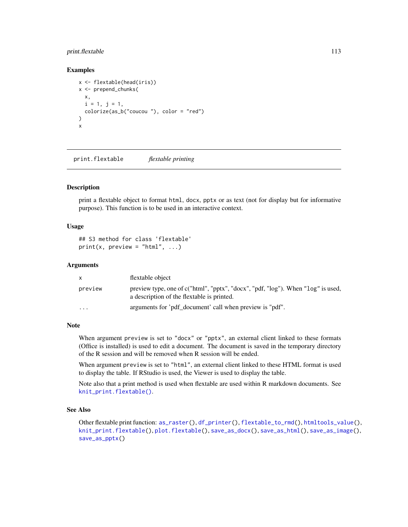## print.flextable 113

## Examples

```
x <- flextable(head(iris))
x <- prepend_chunks(
  x,
  i = 1, j = 1,colorize(as_b("coucou "), color = "red")
\mathcal{L}x
```
<span id="page-112-0"></span>print.flextable *flextable printing*

#### Description

print a flextable object to format html, docx, pptx or as text (not for display but for informative purpose). This function is to be used in an interactive context.

#### Usage

```
## S3 method for class 'flextable'
print(x, preview = "html", ...)
```
#### **Arguments**

| <b>X</b> | flextable object                                                                                                               |
|----------|--------------------------------------------------------------------------------------------------------------------------------|
| preview  | preview type, one of c("html", "pptx", "docx", "pdf, "log"). When "log" is used,<br>a description of the flextable is printed. |
| $\cdots$ | arguments for 'pdf document' call when preview is "pdf".                                                                       |

# Note

When argument preview is set to "docx" or "pptx", an external client linked to these formats (Office is installed) is used to edit a document. The document is saved in the temporary directory of the R session and will be removed when R session will be ended.

When argument preview is set to "html", an external client linked to these HTML format is used to display the table. If RStudio is used, the Viewer is used to display the table.

Note also that a print method is used when flextable are used within R markdown documents. See [knit\\_print.flextable\(\)](#page-92-0).

# See Also

Other flextable print function: [as\\_raster\(](#page-35-0)), [df\\_printer\(](#page-63-0)), [flextable\\_to\\_rmd\(](#page-71-0)), [htmltools\\_value\(](#page-90-0)), [knit\\_print.flextable\(](#page-92-0)), [plot.flextable\(](#page-109-0)), [save\\_as\\_docx\(](#page-115-0)), [save\\_as\\_html\(](#page-116-0)), [save\\_as\\_image\(](#page-117-0)), [save\\_as\\_pptx\(](#page-119-0))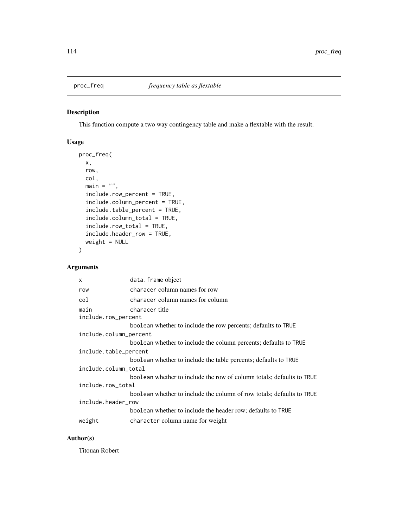## Description

This function compute a two way contingency table and make a flextable with the result.

# Usage

```
proc_freq(
 x,
  row,
 col,
 main = "",include.row_percent = TRUE,
  include.column_percent = TRUE,
  include.table_percent = TRUE,
  include.column_total = TRUE,
  include.row_total = TRUE,
  include.header_row = TRUE,
  weight = NULL)
```
# Arguments

| $\mathsf{x}$           | data.frame object                                                     |  |
|------------------------|-----------------------------------------------------------------------|--|
| row                    | characer column names for row                                         |  |
| col                    | characer column names for column                                      |  |
| main                   | characer title                                                        |  |
| include.row_percent    |                                                                       |  |
|                        | boolean whether to include the row percents; defaults to TRUE         |  |
| include.column_percent |                                                                       |  |
|                        | boolean whether to include the column percents; defaults to TRUE      |  |
| include.table_percent  |                                                                       |  |
|                        | boolean whether to include the table percents; defaults to TRUE       |  |
| include.column_total   |                                                                       |  |
|                        | boolean whether to include the row of column totals; defaults to TRUE |  |
| include.row_total      |                                                                       |  |
|                        | boolean whether to include the column of row totals; defaults to TRUE |  |
| include.header_row     |                                                                       |  |
|                        | boolean whether to include the header row; defaults to TRUE           |  |
| weight                 | character column name for weight                                      |  |

# Author(s)

Titouan Robert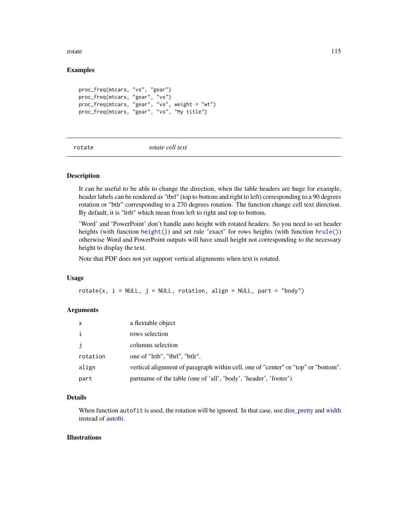rotate and the state of the state of the state of the state of the state of the state of the state of the state of the state of the state of the state of the state of the state of the state of the state of the state of the

## Examples

```
proc_freq(mtcars, "vs", "gear")
proc_freq(mtcars, "gear", "vs")
proc_freq(mtcars, "gear", "vs", weight = "wt")
proc_freq(mtcars, "gear", "vs", "My title")
```
rotate *rotate cell text*

## Description

It can be useful to be able to change the direction, when the table headers are huge for example, header labels can be rendered as "tbrl" (top to bottom and right to left) corresponding to a 90 degrees rotation or "btlr" corresponding to a 270 degrees rotation. The function change cell text direction. By default, it is "lrtb" which mean from left to right and top to bottom.

'Word' and 'PowerPoint' don't handle auto height with rotated headers. So you need to set header heights (with function [height\(\)](#page-83-0)) and set rule "exact" for rows heights (with function [hrule\(\)](#page-89-0)) otherwise Word and PowerPoint outputs will have small height not corresponding to the necessary height to display the text.

Note that PDF does not yet support vertical alignments when text is rotated.

#### Usage

rotate(x,  $i = NULL$ ,  $j = NULL$ , rotation, align = NULL, part = "body")

#### **Arguments**

| $\times$     | a flextable object                                                                 |
|--------------|------------------------------------------------------------------------------------|
| $\mathbf{i}$ | rows selection                                                                     |
| j            | columns selection                                                                  |
| rotation     | one of "lrtb", "tbrl", "btlr".                                                     |
| align        | vertical alignment of paragraph within cell, one of "center" or "top" or "bottom". |
| part         | partname of the table (one of 'all', 'body', 'header', 'footer')                   |

## Details

When function autofit is used, the rotation will be ignored. In that case, use dim pretty and [width](#page-153-0) instead of [autofit.](#page-39-0)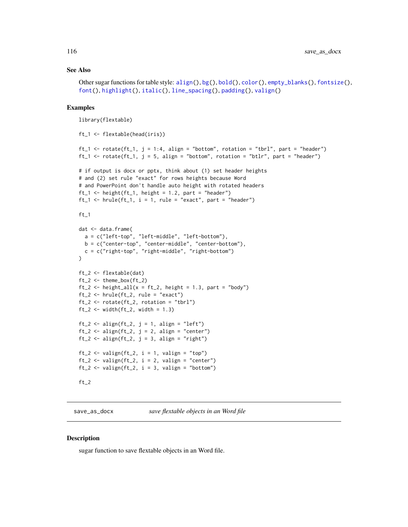### See Also

```
Other sugar functions for table style: align(), bg(), bold(), color(), empty_blanks(), fontsize(),
font(), highlight(), italic(), line_spacing(), padding(), valign()
```
#### Examples

library(flextable)

```
ft_1 <- flextable(head(iris))
ft_1 <- rotate(ft_1, j = 1:4, align = "bottom", rotation = "tbr1", part = "header")ft_1 <- rotate(ft_1, j = 5, align = "bottom", rotation = "btlr", part = "header")
# if output is docx or pptx, think about (1) set header heights
# and (2) set rule "exact" for rows heights because Word
# and PowerPoint don't handle auto height with rotated headers
ft_1 < - height(ft_1, height = 1.2, part = "header")
ft_1 \leftarrow hrule(ft_1, i = 1, rule = "exact", part = "header")ft_1
dat <- data.frame(
  a = c("left-top", "left-middle", "left-bottom"),
  b = c("center-top", "center-middle", "center-bottom"),
  c = c("right-top", "right-middle", "right-bottom")
)
ft_2 <- flextable(dat)
ft_2 \leftarrow themebox(ft_2)ft_2 <- height_all(x = ft_2, height = 1.3, part = "body")
ft_2 < - hrule(ft_2, rule = "exact")
ft_2 < -</math> rotate(<math>ft_2</math>, rotation = "tbrl")ft_2 \leftarrow width (ft_2, width = 1.3)ft_2 \leftarrow align(ft_2, j = 1, align = "left")
ft_2 \leftarrow align(ft_2, j = 2, align = "center")
ft_2 \leftarrow align(ft_2, j = 3, align = "right")
ft_2 \leftarrow valign(ft_2, i = 1, valign = "top")
ft_2 \leftarrow \text{valign}(ft_2, i = 2, \text{valign} = "center")ft_2 \leftarrow \text{valign}(ft_2, i = 3, \text{valign} = \text{"bottom"})ft_2
```
<span id="page-115-0"></span>save\_as\_docx *save flextable objects in an Word file*

#### Description

sugar function to save flextable objects in an Word file.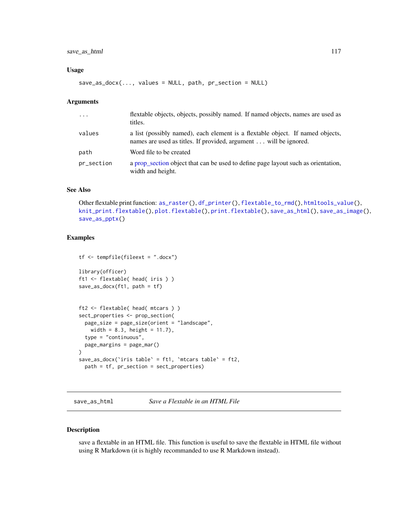## save\_as\_html 117

#### Usage

 $save\_as\_docx(..., values = NULL, path, pr\_section = NULL)$ 

#### Arguments

| $\cdots$   | flextable objects, objects, possibly named. If named objects, names are used as<br>titles.                                                          |
|------------|-----------------------------------------------------------------------------------------------------------------------------------------------------|
| values     | a list (possibly named), each element is a flextable object. If named objects,<br>names are used as titles. If provided, argument  will be ignored. |
| path       | Word file to be created                                                                                                                             |
| pr_section | a prop_section object that can be used to define page layout such as orientation,<br>width and height.                                              |

# See Also

Other flextable print function: [as\\_raster\(](#page-35-0)), [df\\_printer\(](#page-63-0)), [flextable\\_to\\_rmd\(](#page-71-0)), [htmltools\\_value\(](#page-90-0)), [knit\\_print.flextable\(](#page-92-0)), [plot.flextable\(](#page-109-0)), [print.flextable\(](#page-112-0)), [save\\_as\\_html\(](#page-116-0)), [save\\_as\\_image\(](#page-117-0)), [save\\_as\\_pptx\(](#page-119-0))

## Examples

```
tf <- tempfile(fileext = ".docx")
library(officer)
ft1 <- flextable( head( iris ) )
save_as_docx(ft1, path = tf)
ft2 <- flextable( head( mtcars ) )
sect_properties <- prop_section(
  page_size = page_size(orient = "landscape",
   width = 8.3, height = 11.7,
  type = "continuous",
  page_margins = page_mar()
\mathcal{L}save_as_docx(`iris table` = ft1, `mtcars table` = ft2,
  path = tf, pr_section = sect_properties)
```
<span id="page-116-0"></span>save\_as\_html *Save a Flextable in an HTML File*

## Description

save a flextable in an HTML file. This function is useful to save the flextable in HTML file without using R Markdown (it is highly recommanded to use R Markdown instead).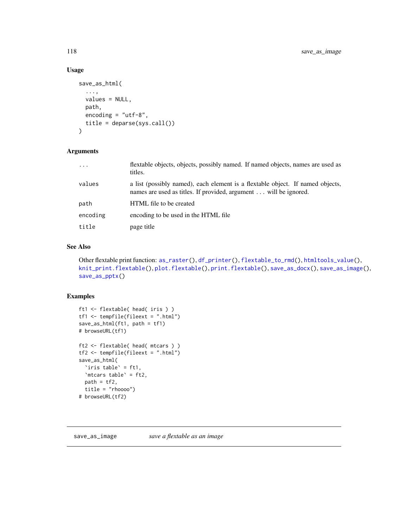## Usage

```
save_as_html(
  ...,
 values = NULL,
 path,
 encoding = "utf-8",
  title = deparse(sys.call())
)
```
# Arguments

| $\cdot$  | flextable objects, objects, possibly named. If named objects, names are used as<br>titles.                                                          |
|----------|-----------------------------------------------------------------------------------------------------------------------------------------------------|
| values   | a list (possibly named), each element is a flextable object. If named objects,<br>names are used as titles. If provided, argument  will be ignored. |
| path     | HTML file to be created                                                                                                                             |
| encoding | encoding to be used in the HTML file                                                                                                                |
| title    | page title                                                                                                                                          |

## See Also

```
Other flextable print function: as_raster(), df_printer(), flextable_to_rmd(), htmltools_value(),
knit_print.flextable(), plot.flextable(), print.flextable(), save_as_docx(), save_as_image(),
save_as_pptx()
```
# Examples

```
ft1 <- flextable( head( iris ) )
tf1 \leftarrow tempfile(fileext = ".html")save_as_html(ft1, path = tf1)
# browseURL(tf1)
ft2 <- flextable( head( mtcars ) )
tf2 <- tempfile(fileext = ".html")
save_as_html(
  `iris table` = ft1,
  `mtcars table` = ft2,
 path = tf2,title = "rhoooo")
# browseURL(tf2)
```
<span id="page-117-0"></span>save\_as\_image *save a flextable as an image*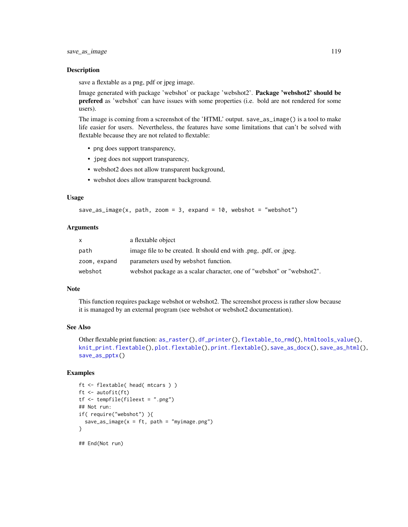#### Description

save a flextable as a png, pdf or jpeg image.

Image generated with package 'webshot' or package 'webshot2'. **Package 'webshot2' should be** prefered as 'webshot' can have issues with some properties (i.e. bold are not rendered for some users).

The image is coming from a screenshot of the 'HTML' output. save\_as\_image() is a tool to make life easier for users. Nevertheless, the features have some limitations that can't be solved with flextable because they are not related to flextable:

- png does support transparency,
- jpeg does not support transparency,
- webshot2 does not allow transparent background,
- webshot does allow transparent background.

#### Usage

```
save_as_image(x, path, zoom = 3, expand = 10, webshot = "webshot")
```
#### Arguments

| $\mathsf{x}$ | a flextable object                                                     |
|--------------|------------------------------------------------------------------------|
| path         | image file to be created. It should end with png, pdf, or .jpeg.       |
| zoom, expand | parameters used by webshot function.                                   |
| webshot      | webshot package as a scalar character, one of "webshot" or "webshot2". |

#### Note

This function requires package webshot or webshot2. The screenshot process is rather slow because it is managed by an external program (see webshot or webshot2 documentation).

## See Also

```
Other flextable print function: as_raster(), df_printer(), flextable_to_rmd(), htmltools_value(),
knit_print.flextable(), plot.flextable(), print.flextable(), save_as_docx(), save_as_html(),
save_as_pptx()
```

```
ft <- flextable( head( mtcars ) )
ft <- autofit(ft)
tf <- tempfile(fileext = ".png")
## Not run:
if( require("webshot") ){
  save_as_image(x = ft, path = "myimage.png")
}
## End(Not run)
```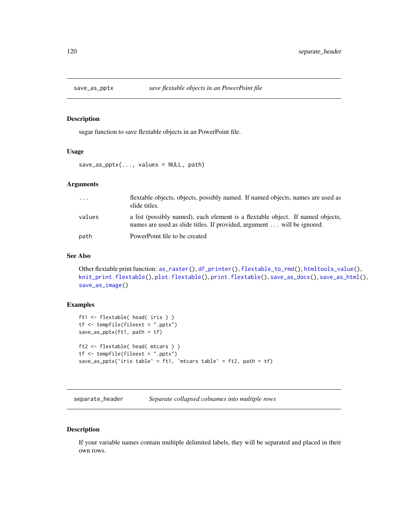<span id="page-119-0"></span>

## Description

sugar function to save flextable objects in an PowerPoint file.

#### Usage

save\_as\_pptx(..., values = NULL, path)

#### Arguments

| $\cdot$ | flextable objects, objects, possibly named. If named objects, names are used as<br>slide titles.                                                         |
|---------|----------------------------------------------------------------------------------------------------------------------------------------------------------|
| values  | a list (possibly named), each element is a flextable object. If named objects,<br>names are used as slide titles. If provided, argument will be ignored. |
| path    | PowerPoint file to be created                                                                                                                            |

## See Also

```
Other flextable print function: as_raster(), df_printer(), flextable_to_rmd(), htmltools_value(),
knit_print.flextable(), plot.flextable(), print.flextable(), save_as_docx(), save_as_html(),
save_as_image()
```
## Examples

```
ft1 <- flextable( head( iris ) )
tf \leftarrow tempfile(fileext = ".pptx")save_as_pptx(ft1, path = tf)
ft2 <- flextable( head( mtcars ) )
tf <- tempfile(fileext = ".pptx")
save_as_pptx(`iris table` = ft1, `mtcars table` = ft2, path = tf)
```

```
separate_header Separate collapsed colnames into multiple rows
```
## Description

If your variable names contain multiple delimited labels, they will be separated and placed in their own rows.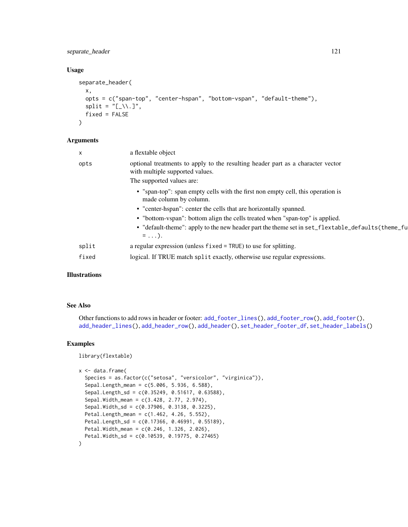separate\_header 121

## Usage

```
separate_header(
  x,
  opts = c("span-top", "center-hspan", "bottom-vspan", "default-theme"),
  split = "[\_ \setminus \ . \ ]",fixed = FALSE\lambda
```
## Arguments

| X     | a flextable object                                                                                                 |
|-------|--------------------------------------------------------------------------------------------------------------------|
| opts  | optional treatments to apply to the resulting header part as a character vector<br>with multiple supported values. |
|       | The supported values are:                                                                                          |
|       | • "span-top": span empty cells with the first non empty cell, this operation is<br>made column by column.          |
|       | • "center-hspan": center the cells that are horizontally spanned.                                                  |
|       | • "bottom-vspan": bottom align the cells treated when "span-top" is applied.                                       |
|       | • "default-theme": apply to the new header part the theme set in set_flextable_defaults(theme_fu<br>$= \ldots$ ).  |
| split | a regular expression (unless fixed = TRUE) to use for splitting.                                                   |
| fixed | logical. If TRUE match split exactly, otherwise use regular expressions.                                           |
|       |                                                                                                                    |

# Illustrations

## See Also

Other functions to add rows in header or footer: [add\\_footer\\_lines\(](#page-7-0)), [add\\_footer\\_row\(](#page-8-0)), [add\\_footer\(](#page-6-0)), [add\\_header\\_lines\(](#page-11-0)), [add\\_header\\_row\(](#page-12-0)), [add\\_header\(](#page-9-0)), [set\\_header\\_footer\\_df](#page-126-0), [set\\_header\\_labels\(](#page-127-0))

## Examples

library(flextable)

```
x < - data.frame(
```

```
Species = as.factor(c("setosa", "versicolor", "virginica")),
 Sepal.Length_mean = c(5.006, 5.936, 6.588),
 Sepal.Length_sd = c(0.35249, 0.51617, 0.63588),
 Sepal.Width_mean = c(3.428, 2.77, 2.974),
 Sepal.Width_sd = c(0.37906, 0.3138, 0.3225),
 Petal.Length_mean = c(1.462, 4.26, 5.552),
 Petal.Length_sd = c(0.17366, 0.46991, 0.55189),
 Petal.Width_mean = c(0.246, 1.326, 2.026),
 Petal.Width_sd = c(0.10539, 0.19775, 0.27465)
\mathcal{L}
```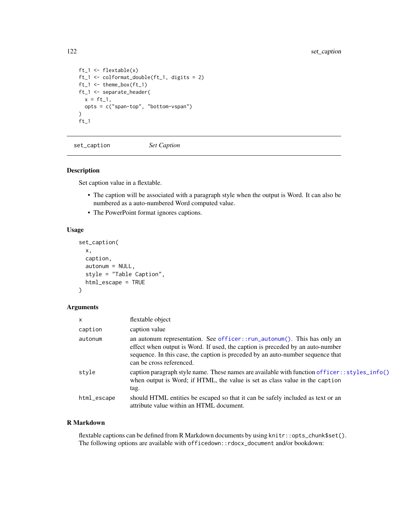```
ft_1 <- flextable(x)
ft_1 <- colformat_double(ft_1, digits = 2)
ft_1 <- theme_box(ft_1)
ft_1 <- separate_header(
 x = ft_1,opts = c("span-top", "bottom-vspan")
)
ft_1
```
set\_caption *Set Caption*

## Description

Set caption value in a flextable.

- The caption will be associated with a paragraph style when the output is Word. It can also be numbered as a auto-numbered Word computed value.
- The PowerPoint format ignores captions.

## Usage

```
set_caption(
 x,
 caption,
  autonum = NULL,
  style = "Table Caption",
 html_escape = TRUE
\lambda
```
# Arguments

| $\mathsf{x}$ | flextable object                                                                                                                                                                                                                                                         |
|--------------|--------------------------------------------------------------------------------------------------------------------------------------------------------------------------------------------------------------------------------------------------------------------------|
| caption      | caption value                                                                                                                                                                                                                                                            |
| autonum      | an autonum representation. See officer::run_autonum(). This has only an<br>effect when output is Word. If used, the caption is preceded by an auto-number<br>sequence. In this case, the caption is preceded by an auto-number sequence that<br>can be cross referenced. |
| style        | caption paragraph style name. These names are available with function officer: : styles_info()<br>when output is Word; if HTML, the value is set as class value in the caption<br>tag.                                                                                   |
| html_escape  | should HTML entities be escaped so that it can be safely included as text or an<br>attribute value within an HTML document.                                                                                                                                              |

#### R Markdown

flextable captions can be defined from R Markdown documents by using knitr::opts\_chunk\$set(). The following options are available with officedown::rdocx\_document and/or bookdown: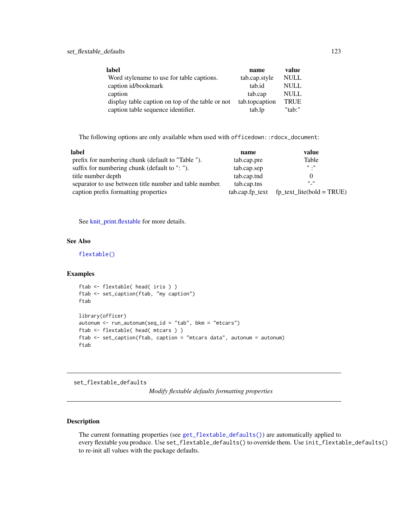| label                                            | name           | value       |
|--------------------------------------------------|----------------|-------------|
| Word stylename to use for table captions.        | tab.cap.style  | <b>NULL</b> |
| caption id/bookmark                              | tab.id         | <b>NULL</b> |
| caption                                          | tab.cap        | <b>NULL</b> |
| display table caption on top of the table or not | tab.topcaption | <b>TRUE</b> |
| caption table sequence identifier.               | tab.lp         | " $tab$ :"  |

The following options are only available when used with officedown::rdocx\_document:

| label                                                   | name        | value                                            |
|---------------------------------------------------------|-------------|--------------------------------------------------|
| prefix for numbering chunk (default to "Table ").       | tab.cap.pre | Table                                            |
| suffix for numbering chunk (default to ": ").           | tab.cap.sep | $\mathbf{H}$ . $\mathbf{H}$                      |
| title number depth                                      | tab.cap.tnd |                                                  |
| separator to use between title number and table number. | tab.cap.tns | $^{\prime\prime}$ $^{\prime\prime}$              |
| caption prefix formatting properties                    |             | $tab.cap.fp\_text$ $fp\_text\_litefbold = TRUE)$ |

See [knit\\_print.flextable](#page-92-0) for more details.

# See Also

[flextable\(\)](#page-68-0)

## Examples

```
ftab <- flextable( head( iris ) )
ftab <- set_caption(ftab, "my caption")
ftab
library(officer)
autonum \leq run_autonum(seq_id = "tab", bkm = "mtcars")
ftab <- flextable( head( mtcars ) )
ftab <- set_caption(ftab, caption = "mtcars data", autonum = autonum)
ftab
```
<span id="page-122-0"></span>set\_flextable\_defaults

*Modify flextable defaults formatting properties*

## Description

The current formatting properties (see [get\\_flextable\\_defaults\(\)](#page-81-0)) are automatically applied to every flextable you produce. Use set\_flextable\_defaults() to override them. Use init\_flextable\_defaults() to re-init all values with the package defaults.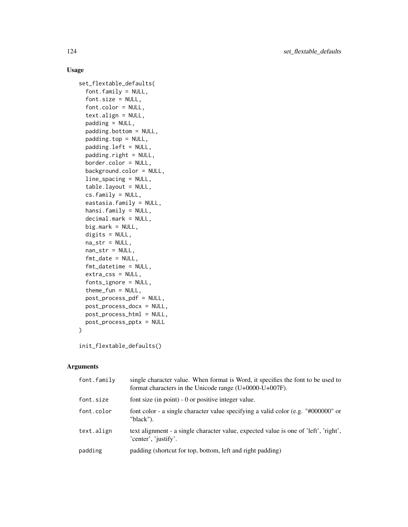## Usage

```
set_flextable_defaults(
  font.family = NULL,
  font.size = NULL,
  font.color = NULL,
  text.align = NULL,
  padding = NULL,
  padding.bottom = NULL,
 padding.top = NULL,
 padding.left = NULL,
 padding.right = NULL,
 border.color = NULL,
  background.color = NULL,
  line_spacing = NULL,
  table.layout = NULL,
  cs.family = NULL,
  eastasia.family = NULL,
  hansi.family = NULL,
  decimal.mark = NULL,
 big.mark = NULL,
  digits = NULL,
 na\_str = NULL,nan\_str = NULL,fmt_date = NULL,
  fmt_datetime = NULL,
  extra_css = NULL,
  fonts_ignore = NULL,
  thene_fun = NULL,post_process_pdf = NULL,
 post_process_docx = NULL,
 post_process_html = NULL,
 post_process_pptx = NULL
)
```

```
init_flextable_defaults()
```
## Arguments

| font.family | single character value. When format is Word, it specifies the font to be used to<br>format characters in the Unicode range $(U+0000-U+007F)$ . |
|-------------|------------------------------------------------------------------------------------------------------------------------------------------------|
| font.size   | font size (in point) $-0$ or positive integer value.                                                                                           |
| font.color  | font color - a single character value specifying a valid color (e.g. "#000000" or<br>"black").                                                 |
| text.align  | text alignment - a single character value, expected value is one of 'left', 'right',<br>'center', 'justify'.                                   |
| padding     | padding (shortcut for top, bottom, left and right padding)                                                                                     |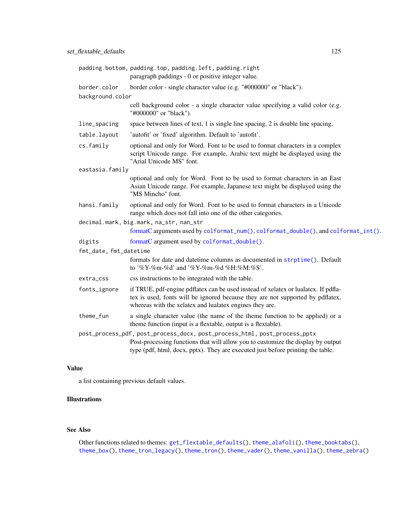|                        | padding.bottom, padding.top, padding.left, padding.right                                                                                                                                                                                         |
|------------------------|--------------------------------------------------------------------------------------------------------------------------------------------------------------------------------------------------------------------------------------------------|
|                        | paragraph paddings - 0 or positive integer value.                                                                                                                                                                                                |
| border.color           | border color - single character value (e.g. "#000000" or "black").                                                                                                                                                                               |
| background.color       |                                                                                                                                                                                                                                                  |
|                        | cell background color - a single character value specifying a valid color (e.g.<br>"#000000" or "black").                                                                                                                                        |
| line_spacing           | space between lines of text, 1 is single line spacing, 2 is double line spacing.                                                                                                                                                                 |
| table.layout           | 'autofit' or 'fixed' algorithm. Default to 'autofit'.                                                                                                                                                                                            |
| cs.family              | optional and only for Word. Font to be used to format characters in a complex<br>script Unicode range. For example, Arabic text might be displayed using the<br>"Arial Unicode MS" font.                                                         |
| eastasia.family        |                                                                                                                                                                                                                                                  |
|                        | optional and only for Word. Font to be used to format characters in an East<br>Asian Unicode range. For example, Japanese text might be displayed using the<br>"MS Mincho" font.                                                                 |
| hansi.family           | optional and only for Word. Font to be used to format characters in a Unicode<br>range which does not fall into one of the other categories.                                                                                                     |
|                        | decimal.mark, big.mark, na_str, nan_str                                                                                                                                                                                                          |
|                        | formatC arguments used by colformat_num(), colformat_double(), and colformat_int().                                                                                                                                                              |
| digits                 | formatC argument used by colformat_double().                                                                                                                                                                                                     |
| fmt_date, fmt_datetime |                                                                                                                                                                                                                                                  |
|                        | formats for date and date time columns as documented in strptime (). Default<br>to '%Y-%m-%d' and '%Y-%m-%d %H:%M:%S'.                                                                                                                           |
| extra_css              | css instructions to be integrated with the table.                                                                                                                                                                                                |
| fonts_ignore           | if TRUE, pdf-engine pdflatex can be used instead of xelatex or lualatex. If pdfla-<br>tex is used, fonts will be ignored because they are not supported by pdflatex,<br>whereas with the xelatex and lualatex engines they are.                  |
| theme_fun              | a single character value (the name of the theme function to be applied) or a<br>theme function (input is a flextable, output is a flextable).                                                                                                    |
|                        | post_process_pdf, post_process_docx, post_process_html, post_process_pptx<br>Post-processing functions that will allow you to customize the display by output<br>type (pdf, html, docx, pptx). They are executed just before printing the table. |

# Value

a list containing previous default values.

# Illustrations

## See Also

Other functions related to themes: [get\\_flextable\\_defaults\(](#page-81-0)), [theme\\_alafoli\(](#page-139-0)), [theme\\_booktabs\(](#page-140-0)), [theme\\_box\(](#page-141-0)), [theme\\_tron\\_legacy\(](#page-143-0)), [theme\\_tron\(](#page-142-0)), [theme\\_vader\(](#page-144-0)), [theme\\_vanilla\(](#page-145-0)), [theme\\_zebra\(](#page-146-0))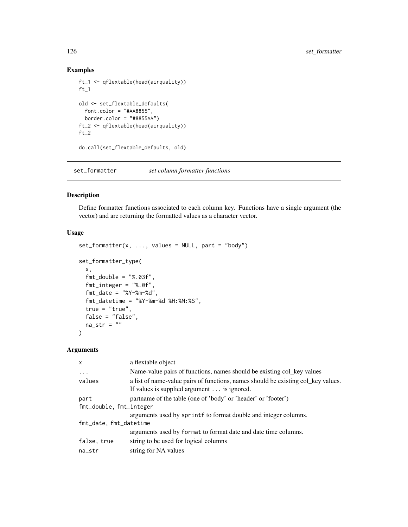# Examples

```
ft_1 <- qflextable(head(airquality))
ft_1old <- set_flextable_defaults(
  font.color = "#A48855",
 border.color = "#8855AA")
ft_2 <- qflextable(head(airquality))
ft_2do.call(set_flextable_defaults, old)
```
set\_formatter *set column formatter functions*

## Description

Define formatter functions associated to each column key. Functions have a single argument (the vector) and are returning the formatted values as a character vector.

## Usage

```
set_{formatter(x, ..., values = NULL, part = "body")set_formatter_type(
 x,
  fmt\_double = "%.03f",fmt_integer = "%.0f",
  fmt\_date = "XY-Xm-Xd",fmt_datetime = "%Y-%m-%d %H:%M:%S",
  true = "true",
 false = "false",
 na\_str = ""\mathcal{L}
```
#### Arguments

| a flextable object                                                                                                              |  |  |
|---------------------------------------------------------------------------------------------------------------------------------|--|--|
| Name-value pairs of functions, names should be existing col_key values                                                          |  |  |
| a list of name-value pairs of functions, names should be existing col_key values.<br>If values is supplied argument is ignored. |  |  |
| partname of the table (one of 'body' or 'header' or 'footer')                                                                   |  |  |
| fmt_double, fmt_integer                                                                                                         |  |  |
| arguments used by sprintf to format double and integer columns.                                                                 |  |  |
| fmt_date, fmt_datetime                                                                                                          |  |  |
| arguments used by format to format date and date time columns.                                                                  |  |  |
| string to be used for logical columns                                                                                           |  |  |
| string for NA values                                                                                                            |  |  |
|                                                                                                                                 |  |  |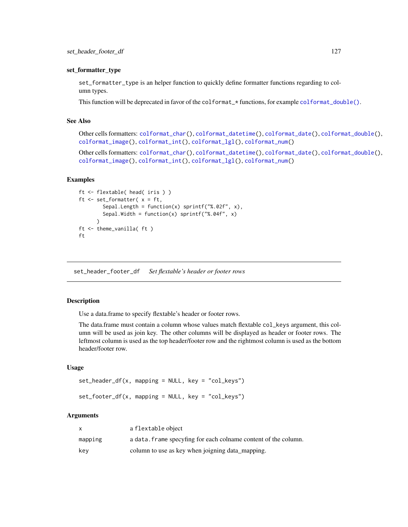#### set\_formatter\_type

set\_formatter\_type is an helper function to quickly define formatter functions regarding to column types.

This function will be deprecated in favor of the colformat\_ $\star$  functions, for example [colformat\\_double\(\)](#page-52-0).

#### See Also

Other cells formatters: [colformat\\_char\(](#page-49-0)), [colformat\\_datetime\(](#page-51-0)), [colformat\\_date\(](#page-50-0)), [colformat\\_double\(](#page-52-0)), [colformat\\_image\(](#page-54-0)), [colformat\\_int\(](#page-55-0)), [colformat\\_lgl\(](#page-56-0)), [colformat\\_num\(](#page-57-0))

Other cells formatters: [colformat\\_char\(](#page-49-0)), [colformat\\_datetime\(](#page-51-0)), [colformat\\_date\(](#page-50-0)), [colformat\\_double\(](#page-52-0)), [colformat\\_image\(](#page-54-0)), [colformat\\_int\(](#page-55-0)), [colformat\\_lgl\(](#page-56-0)), [colformat\\_num\(](#page-57-0))

## Examples

```
ft <- flextable( head( iris ) )
ft \leq set_formatter(x = ft,
        Sepal.Length = function(x) sprintf("%.02f", x),
        Sepal.Width = function(x) sprintf("%.04f", x)
      \lambdaft <- theme_vanilla( ft )
ft
```
<span id="page-126-0"></span>set\_header\_footer\_df *Set flextable's header or footer rows*

## **Description**

Use a data.frame to specify flextable's header or footer rows.

The data.frame must contain a column whose values match flextable col\_keys argument, this column will be used as join key. The other columns will be displayed as header or footer rows. The leftmost column is used as the top header/footer row and the rightmost column is used as the bottom header/footer row.

#### Usage

```
set_header_df(x, mapping = NULL, key = "col_keys")
```
 $set_footer_df(x, mapping = NULL, key = "col_keys")$ 

#### Arguments

|         | a flextable object                                              |
|---------|-----------------------------------------------------------------|
| mapping | a data. frame specyfing for each colname content of the column. |
| key     | column to use as key when joigning data_mapping.                |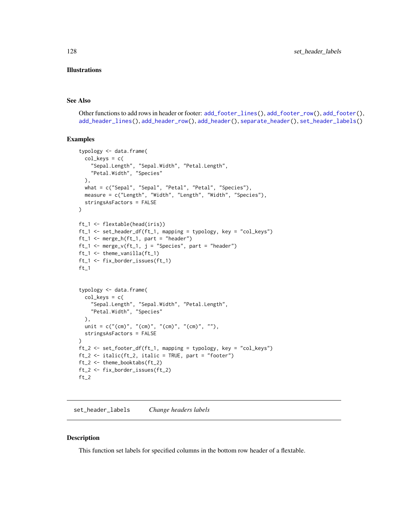#### Illustrations

#### See Also

Other functions to add rows in header or footer: [add\\_footer\\_lines\(](#page-7-0)), [add\\_footer\\_row\(](#page-8-0)), [add\\_footer\(](#page-6-0)), [add\\_header\\_lines\(](#page-11-0)), [add\\_header\\_row\(](#page-12-0)), [add\\_header\(](#page-9-0)), [separate\\_header\(](#page-119-1)), [set\\_header\\_labels\(](#page-127-0))

## Examples

```
typology <- data.frame(
  col\_keys = c("Sepal.Length", "Sepal.Width", "Petal.Length",
    "Petal.Width", "Species"
  ),
  what = c("Sepal", "Sepal", "Petal", "Petal", "Species"),
  measure = c("Length", "Width", "Length", "Width", "Species"),
  stringsAsFactors = FALSE
\mathcal{L}ft_1 <- flextable(head(iris))
ft_1 <- set_header_df(ft_1, mapping = typology, key = "col_keys")
ft_1 < - merge_h(ft_1, part = "header")
ft_1 \leftarrow merge_v(ft_1, j = "Species", part = "header")ft_1 <- theme_vanilla(ft_1)
ft_1 <- fix_border_issues(ft_1)
ft_1typology <- data.frame(
  col\_keys = c("Sepal.Length", "Sepal.Width", "Petal.Length",
    "Petal.Width", "Species"
  ),
  unit = c("cm)", "cm", "cm", "cm", "cm", "cm", "stringsAsFactors = FALSE
)
ft_2 <- set_footer_df(ft_1, mapping = typology, key = "col_keys")
ft_2 \leftarrow \text{ italic}(ft_2, \text{ italic} = \text{TRUE}, \text{ part} = \text{"footer"})ft_2 <- theme_booktabs(ft_2)
ft_2 <- fix_border_issues(ft_2)
ft_2
```
<span id="page-127-0"></span>set\_header\_labels *Change headers labels*

#### Description

This function set labels for specified columns in the bottom row header of a flextable.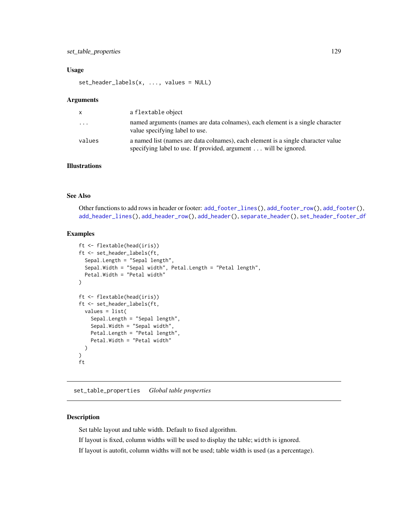## set\_table\_properties 129

#### Usage

set\_header\_labels(x, ..., values = NULL)

#### **Arguments**

| X         | a flextable object                                                                                                                                  |
|-----------|-----------------------------------------------------------------------------------------------------------------------------------------------------|
| $\ddotsc$ | named arguments (names are data colnames), each element is a single character<br>value specifying label to use.                                     |
| values    | a named list (names are data colnames), each element is a single character value<br>specifying label to use. If provided, argument will be ignored. |

# Illustrations

## See Also

Other functions to add rows in header or footer: [add\\_footer\\_lines\(](#page-7-0)), [add\\_footer\\_row\(](#page-8-0)), [add\\_footer\(](#page-6-0)), [add\\_header\\_lines\(](#page-11-0)), [add\\_header\\_row\(](#page-12-0)), [add\\_header\(](#page-9-0)), [separate\\_header\(](#page-119-1)), [set\\_header\\_footer\\_df](#page-126-0)

## Examples

```
ft <- flextable(head(iris))
ft <- set_header_labels(ft,
  Sepal.Length = "Sepal length",
  Sepal.Width = "Sepal width", Petal.Length = "Petal length",
  Petal.Width = "Petal width"
)
ft <- flextable(head(iris))
ft <- set_header_labels(ft,
  values = list(
    Sepal.Length = "Sepal length",
    Sepal.Width = "Sepal width",
    Petal.Length = "Petal length",
    Petal.Width = "Petal width"
  )
\mathcal{L}ft
```
set\_table\_properties *Global table properties*

## Description

Set table layout and table width. Default to fixed algorithm.

If layout is fixed, column widths will be used to display the table; width is ignored.

If layout is autofit, column widths will not be used; table width is used (as a percentage).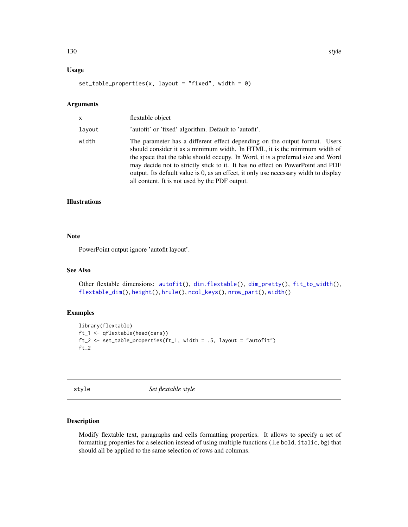## Usage

```
set_table_properties(x, layout = "fixed", width = 0)
```
## Arguments

| x      | flextable object                                                                                                                                                                                                                                                                                                                                                                                                                                                         |
|--------|--------------------------------------------------------------------------------------------------------------------------------------------------------------------------------------------------------------------------------------------------------------------------------------------------------------------------------------------------------------------------------------------------------------------------------------------------------------------------|
| lavout | 'autofit' or 'fixed' algorithm. Default to 'autofit'.                                                                                                                                                                                                                                                                                                                                                                                                                    |
| width  | The parameter has a different effect depending on the output format. Users<br>should consider it as a minimum width. In HTML, it is the minimum width of<br>the space that the table should occupy. In Word, it is a preferred size and Word<br>may decide not to strictly stick to it. It has no effect on PowerPoint and PDF<br>output. Its default value is 0, as an effect, it only use necessary width to display<br>all content. It is not used by the PDF output. |

## Illustrations

#### Note

PowerPoint output ignore 'autofit layout'.

## See Also

```
Other flextable dimensions: autofit(), dim.flextable(), dim_pretty(), fit_to_width(),
flextable_dim(), height(), hrule(), ncol_keys(), nrow_part(), width()
```
## Examples

```
library(flextable)
ft_1 <- qflextable(head(cars))
ft_2 <- set_table_properties(ft_1, width = .5, layout = "autofit")
ft_2
```
style *Set flextable style*

## Description

Modify flextable text, paragraphs and cells formatting properties. It allows to specify a set of formatting properties for a selection instead of using multiple functions (.i.e bold, italic, bg) that should all be applied to the same selection of rows and columns.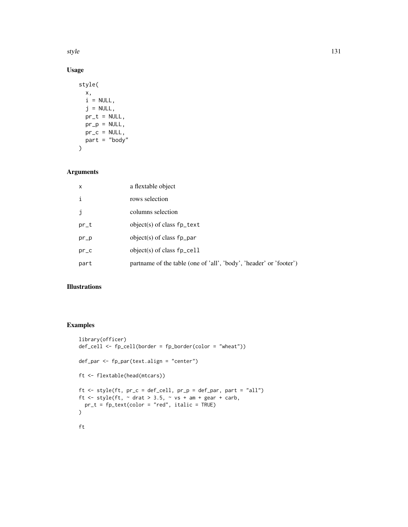style the contract of the contract of the contract of the contract of the contract of the contract of the contract of the contract of the contract of the contract of the contract of the contract of the contract of the cont

# Usage

```
style(
  x,
  i = NULL,j = NULL,pr_t = NULL,pr\_p = NULL,pr_c = NULL,part = "body"\mathcal{L}
```
# Arguments

| x    | a flextable object                                                 |
|------|--------------------------------------------------------------------|
| i    | rows selection                                                     |
| j    | columns selection                                                  |
| pr_t | object(s) of class $fp_{\text{text}}$                              |
| pr_p | object(s) of class $fp\_par$                                       |
| pr_c | object(s) of class $fp_{\text{cell}}$                              |
| part | partname of the table (one of 'all', 'body', 'header' or 'footer') |

## Illustrations

```
library(officer)
def_cell <- fp_cell(border = fp_border(color = "wheat"))
def_par <- fp_par(text.align = "center")
ft <- flextable(head(mtcars))
ft <- style(ft, pr_c = def_cell, pr_p = def_par, part = "all")
ft \le style(ft, \sim drat > 3.5, \sim vs + am + gear + carb,
 pr_t = fp_text(color = "red", italic = TRUE)
)
ft
```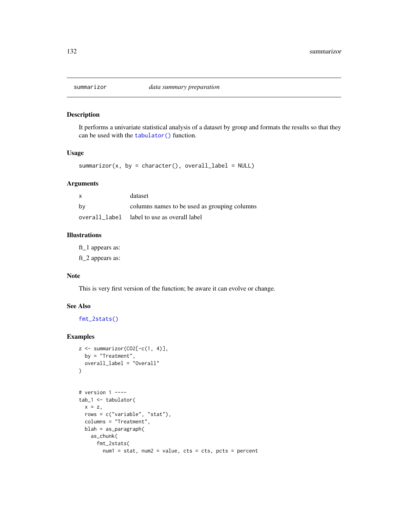<span id="page-131-0"></span>

## Description

It performs a univariate statistical analysis of a dataset by group and formats the results so that they can be used with the [tabulator\(\)](#page-134-0) function.

## Usage

summarizor(x, by = character(), overall\_label = NULL)

## Arguments

| x  | dataset                                      |
|----|----------------------------------------------|
| by | columns names to be used as grouping columns |
|    | overall_label label to use as overall label  |

## Illustrations

ft\_1 appears as:

ft\_2 appears as:

#### Note

This is very first version of the function; be aware it can evolve or change.

## See Also

[fmt\\_2stats\(\)](#page-73-0)

```
z \leftarrow summarizor(CO2[-c(1, 4)],
 by = "Treatment",
  overall_label = "Overall"
\mathcal{L}# version 1 ----
tab_1 <- tabulator(
  x = z,
  rows = c("variable", "stat"),
  columns = "Treatment",
  blah = as_paragraph(
```

```
as_chunk(
 fmt_2stats(
   num1 = stat, num2 = value, cts = cts, pcts = percent
```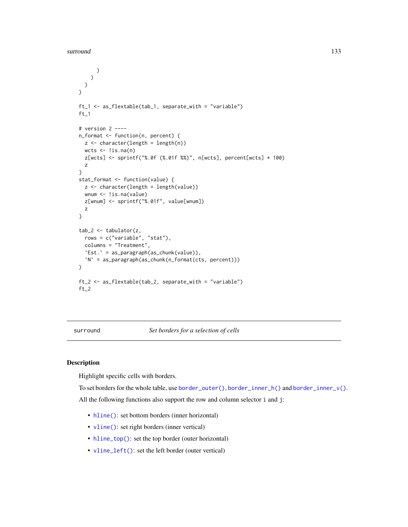```
)
    )
 )
\lambdaft_1 <- as_flextable(tab_1, separate_with = "variable")
ft_1# version 2 ----
n_format <- function(n, percent) {
  z \leq character(length = length(n))
  wcts < - !is.na(n)z[wcts] <- sprintf("%.0f (%.01f %%)", n[wcts], percent[wcts] * 100)
  z
}
stat_format <- function(value) {
  z <- character(length = length(value))
  wnum <- !is.na(value)
 z[wnum] <- sprintf("%.01f", value[wnum])
  z
}
tab_2 <- tabulator(z,
  rows = c("variable", "stat"),
  columns = "Treatment",
  `Est.` = as_paragraph(as_chunk(value)),
  `N` = as_paragraph(as_chunk(n_format(cts, percent)))
\mathcal{L}ft_2 <- as_flextable(tab_2, separate_with = "variable")
ft_2
```
surround *Set borders for a selection of cells*

## Description

Highlight specific cells with borders.

To set borders for the whole table, use [border\\_outer\(\)](#page-48-0), [border\\_inner\\_h\(\)](#page-46-0) and [border\\_inner\\_v\(\)](#page-47-0). All the following functions also support the row and column selector i and j:

- [hline\(\)](#page-86-0): set bottom borders (inner horizontal)
- [vline\(\)](#page-150-0): set right borders (inner vertical)
- [hline\\_top\(\)](#page-88-0): set the top border (outer horizontal)
- [vline\\_left\(\)](#page-151-0): set the left border (outer vertical)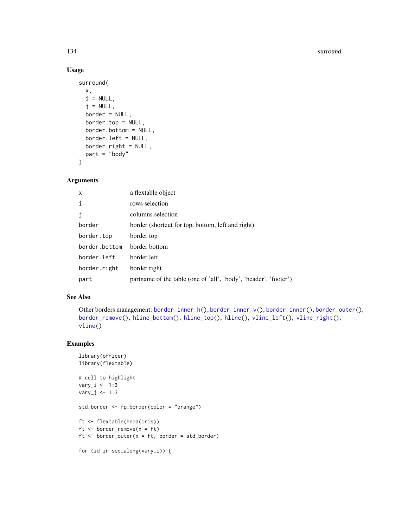#### 134 surround that the surround surround that the surround surround surround surround surround surround that the surround surround surround surround surround surround surround surround surround surround surround surround su

## Usage

```
surround(
 x,
 i = NULL,j = NULL,border = NULL,
 border.top = NULL,
 border.bottom = NULL,
 border.left = NULL,
 border.right = NULL,
 part = "body")
```
## Arguments

| x             | a flextable object                                               |
|---------------|------------------------------------------------------------------|
| i             | rows selection                                                   |
| j             | columns selection                                                |
| border        | border (shortcut for top, bottom, left and right)                |
| border.top    | border top                                                       |
| border.bottom | border bottom                                                    |
| border.left   | border left                                                      |
| border.right  | border right                                                     |
| part          | partname of the table (one of 'all', 'body', 'header', 'footer') |

## See Also

```
Other borders management: border_inner_h(), border_inner_v(), border_inner(), border_outer(),
border_remove(), hline_bottom(), hline_top(), hline(), vline_left(), vline_right(),
vline()
```

```
library(officer)
library(flextable)
# cell to highlight
vary_i <- 1:3
vary_j <- 1:3
std_border <- fp_border(color = "orange")
ft <- flextable(head(iris))
ft \le border_remove(x = ft)
ft \le border_outer(x = ft, border = std_border)
for (id in seq_along(vary_i)) {
```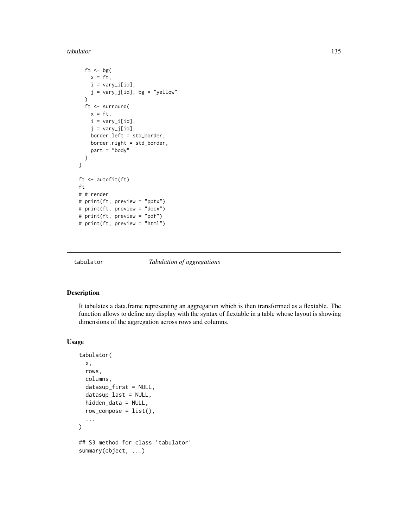tabulator 135

```
ft \leftarrow bg(
   x = ft,i = vary_i[id],j = vary_j[id], bg = "yellow")
  ft <- surround(
   x = ft,
   i = vary_i[id],j = vary_j[id],border.left = std_border,
   border.right = std_border,
   part = "body"
 )
}
ft <- autofit(ft)
ft
# # render
# print(ft, preview = "pptx")
# print(ft, preview = "docx")
# print(ft, preview = "pdf")
# print(ft, preview = "html")
```
<span id="page-134-0"></span>

tabulator *Tabulation of aggregations*

## Description

It tabulates a data.frame representing an aggregation which is then transformed as a flextable. The function allows to define any display with the syntax of flextable in a table whose layout is showing dimensions of the aggregation across rows and columns.

## Usage

```
tabulator(
 x,
 rows,
 columns,
 datasup_first = NULL,
  datasup_last = NULL,
 hidden_data = NULL,
  row\_composite = list(),
  ...
\lambda## S3 method for class 'tabulator'
summary(object, ...)
```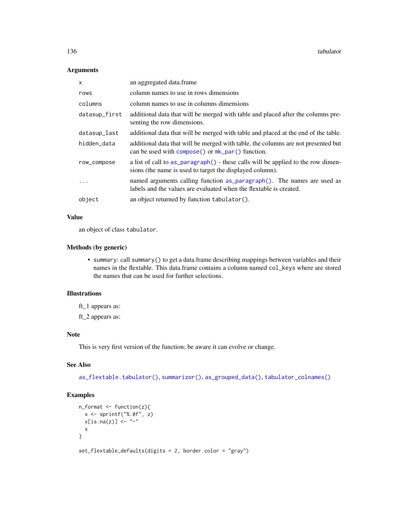## Arguments

| x             | an aggregated data.frame                                                                                                                                      |  |
|---------------|---------------------------------------------------------------------------------------------------------------------------------------------------------------|--|
| rows          | column names to use in rows dimensions                                                                                                                        |  |
| columns       | column names to use in columns dimensions                                                                                                                     |  |
| datasup_first | additional data that will be merged with table and placed after the columns pre-<br>senting the row dimensions.                                               |  |
| datasup_last  | additional data that will be merged with table and placed at the end of the table.                                                                            |  |
| hidden_data   | additional data that will be merged with table, the columns are not presented but<br>can be used with $\overline{\text{composite}}$ or $mk\_par$ () function. |  |
| row_compose   | a list of call to as paragraph () - these calls will be applied to the row dimen-<br>sions (the name is used to target the displayed column).                 |  |
| .             | named arguments calling function as paragraph(). The names are used as<br>labels and the values are evaluated when the flextable is created.                  |  |
| object        | an object returned by function tabulator().                                                                                                                   |  |

## Value

an object of class tabulator.

#### Methods (by generic)

• summary: call summary() to get a data.frame describing mappings between variables and their names in the flextable. This data.frame contains a column named col\_keys where are stored the names that can be used for further selections.

## Illustrations

ft\_1 appears as:

ft\_2 appears as:

## Note

This is very first version of the function; be aware it can evolve or change.

## See Also

[as\\_flextable.tabulator\(\)](#page-26-0), [summarizor\(\)](#page-131-0), [as\\_grouped\\_data\(\)](#page-30-0), [tabulator\\_colnames\(\)](#page-137-0)

```
n_fformat \leq function(z){
  x <- sprintf("%.0f", z)
  x[i s, na(z)] \leftarrow "-"
  x
}
set_flextable_defaults(digits = 2, border.color = "gray")
```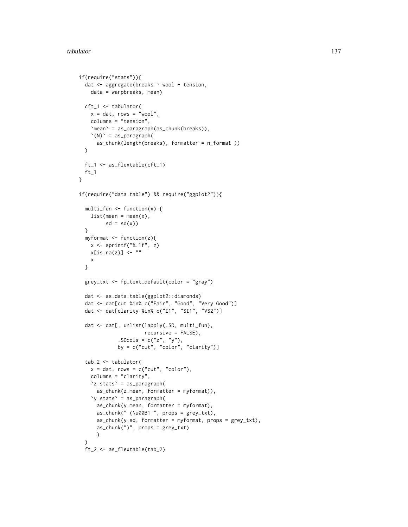```
if(require("stats")){
 dat <- aggregate(breaks ~ wool + tension,
   data = warpbreaks, mean)
 cft_1 <- tabulator(
   x = dat, rows = "wool",
   columns = "tension",
   `mean` = as_paragraph(as_chunk(breaks)),
   '(N)' = as\_paramph(as_chunk(length(breaks), formatter = n_format ))
 )
 ft_1 <- as_flextable(cft_1)
 ft_1}
if(require("data.table") && require("ggplot2")){
 multi_fun <- function(x) {
   list(mean = mean(x)),sd = sd(x)}
 myformat <- function(z){
   x \leftarrow sprintf("%.1f", z)
   x[i s, na(z)] \leftarrow "x
 }
 grey_txt <- fp_text_default(color = "gray")
 dat <- as.data.table(ggplot2::diamonds)
 dat <- dat[cut %in% c("Fair", "Good", "Very Good")]
 dat <- dat[clarity %in% c("I1", "SI1", "VS2")]
 dat <- dat[, unlist(lapply(.SD, multi_fun),
                      recursive = FALSE),
             SDCols = c("z", "y"),
             by = c("cut", "color", "clarity")]
 tab_2 <- tabulator(
   x = dat, rows = c("cut", "color"),
   columns = "clarity",
   `z stats` = as_paragraph(
     as_chunk(z.mean, formatter = myformat)),
    `y stats` = as_paragraph(
      as_chunk(y.mean, formatter = myformat),
      as_chunk(" (\u00B1 ", props = grey_txt),
      as_chunk(y.sd, formatter = myformat, props = grey_txt),
      as_chunk(")", props = grey_txt)
      )
  \lambdaft_2 <- as_flextable(tab_2)
```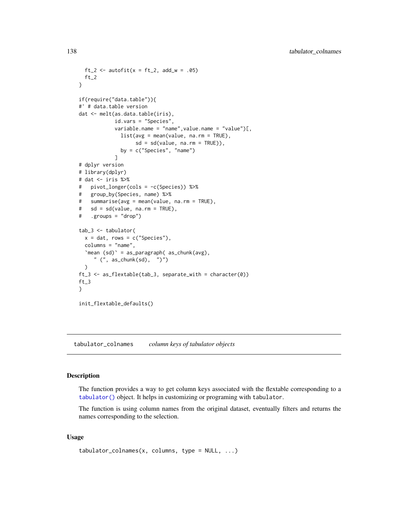```
ft_2 <- autofit(x = ft_2, add_w = .05)
  ft_2}
if(require("data.table")){
#' # data.table version
dat <- melt(as.data.table(iris),
           id.vars = "Species",
            variable.name = "name",value.name = "value")[,
             list(avg = mean(value, na.rm = TRUE),
                  sd = sd(value, na.rm = TRUE)),by = c("Species", "name")
            ]
# dplyr version
# library(dplyr)
# dat <- iris %>%
# pivot_longer(cols = -c(Species)) %>%
# group_by(Species, name) %>%
# summarise(avg = mean(value, na.rm = TRUE),
# sd = sd(value, na.rm = TRUE),
# .groups = "drop")
tab_3 <- tabulator(
  x = dat, rows = c("Species"),
  columns = "name",
  `mean (sd)` = as_paragraph( as_chunk(avg),
    " (", as_chunk(sd), ")")
  )
ft_3 <- as_flextable(tab_3, separate_with = character(0))
ft_3
}
init_flextable_defaults()
```
<span id="page-137-0"></span>tabulator\_colnames *column keys of tabulator objects*

## Description

The function provides a way to get column keys associated with the flextable corresponding to a [tabulator\(\)](#page-134-0) object. It helps in customizing or programing with tabulator.

The function is using column names from the original dataset, eventually filters and returns the names corresponding to the selection.

#### Usage

```
tabulator_{collames}(x, columns, type = NULL, ...)
```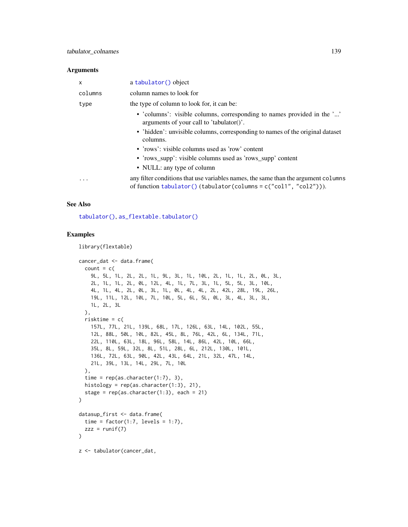#### Arguments

| X       | a tabulator () object                                                                                                                                          |  |
|---------|----------------------------------------------------------------------------------------------------------------------------------------------------------------|--|
| columns | column names to look for                                                                                                                                       |  |
| type    | the type of column to look for, it can be:                                                                                                                     |  |
|         | • 'columns': visible columns, corresponding to names provided in the ''<br>arguments of your call to 'tabulator()'.                                            |  |
|         | • 'hidden': unvisible columns, corresponding to names of the original dataset<br>columns.                                                                      |  |
|         | • 'rows': visible columns used as 'row' content                                                                                                                |  |
|         | • 'rows_supp': visible columns used as 'rows_supp' content                                                                                                     |  |
|         | • NULL: any type of column                                                                                                                                     |  |
| .       | any filter conditions that use variables names, the same than the argument columns<br>of function $tabulator()$ (tabulator (columns = $c("coll", "col2"))$ )). |  |

#### See Also

[tabulator\(\)](#page-134-0), [as\\_flextable.tabulator\(\)](#page-26-0)

```
library(flextable)
```

```
cancer_dat <- data.frame(
  count = c(9L, 5L, 1L, 2L, 2L, 1L, 9L, 3L, 1L, 10L, 2L, 1L, 1L, 2L, 0L, 3L,
   2L, 1L, 1L, 2L, 0L, 12L, 4L, 1L, 7L, 3L, 1L, 5L, 5L, 3L, 10L,
   4L, 1L, 4L, 2L, 0L, 3L, 1L, 0L, 4L, 4L, 2L, 42L, 28L, 19L, 26L,
   19L, 11L, 12L, 10L, 7L, 10L, 5L, 6L, 5L, 0L, 3L, 4L, 3L, 3L,
   1L, 2L, 3L
  ),
  risktime = c(
    157L, 77L, 21L, 139L, 68L, 17L, 126L, 63L, 14L, 102L, 55L,
    12L, 88L, 50L, 10L, 82L, 45L, 8L, 76L, 42L, 6L, 134L, 71L,
   22L, 110L, 63L, 18L, 96L, 58L, 14L, 86L, 42L, 10L, 66L,
   35L, 8L, 59L, 32L, 8L, 51L, 28L, 6L, 212L, 130L, 101L,
   136L, 72L, 63L, 90L, 42L, 43L, 64L, 21L, 32L, 47L, 14L,
   21L, 39L, 13L, 14L, 29L, 7L, 10L
  ),
  time = rep(as. character(1:7), 3),histology = rep(as.character(1:3), 21),
  stage = rep(as.character(1:3), each = 21)\mathcal{L}datasup_first <- data.frame(
  time = factor(1:7, levels = 1:7),
  zzz = runif(7))
z <- tabulator(cancer_dat,
```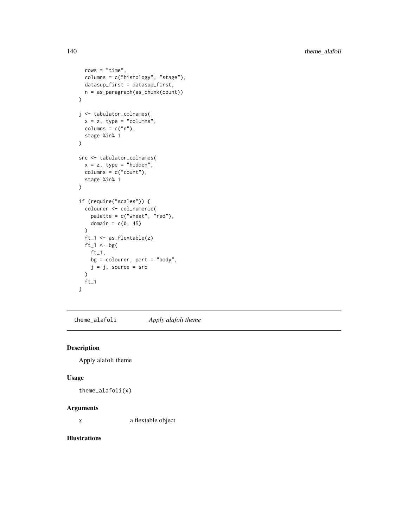```
rows = "time",columns = c("histology", "stage"),
  datasup_first = datasup_first,
  n = as_paragraph(as_chunk(count))
)
j <- tabulator_colnames(
  x = z, type = "columns",
  columns = c("n"),
  stage %in% 1
)
src <- tabulator_colnames(
  x = z, type = "hidden",
  columns = c("count"),
  stage %in% 1
)
if (require("scales")) {
  colourer <- col_numeric(
   palette = c("wheat", "red"),
   domain = c(\emptyset, 45))
  ft_1 <- as_flextable(z)
  ft_1 <- bg(ft_1,
   bg = colourer, part = "body",
   j = j, source = src
  )
  ft_1}
```
<span id="page-139-0"></span>theme\_alafoli *Apply alafoli theme*

## Description

Apply alafoli theme

## Usage

theme\_alafoli(x)

## Arguments

x a flextable object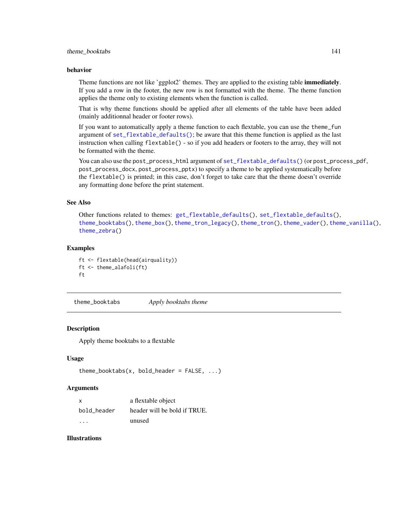## theme\_booktabs 141

#### behavior

Theme functions are not like 'ggplot2' themes. They are applied to the existing table **immediately**. If you add a row in the footer, the new row is not formatted with the theme. The theme function applies the theme only to existing elements when the function is called.

That is why theme functions should be applied after all elements of the table have been added (mainly additionnal header or footer rows).

If you want to automatically apply a theme function to each flextable, you can use the theme\_fun argument of [set\\_flextable\\_defaults\(\)](#page-122-0); be aware that this theme function is applied as the last instruction when calling flextable() - so if you add headers or footers to the array, they will not be formatted with the theme.

You can also use the post\_process\_html argument of [set\\_flextable\\_defaults\(\)](#page-122-0) (or post\_process\_pdf, post\_process\_docx, post\_process\_pptx) to specify a theme to be applied systematically before the flextable() is printed; in this case, don't forget to take care that the theme doesn't override any formatting done before the print statement.

## See Also

Other functions related to themes: [get\\_flextable\\_defaults\(](#page-81-0)), [set\\_flextable\\_defaults\(](#page-122-0)), [theme\\_booktabs\(](#page-140-0)), [theme\\_box\(](#page-141-0)), [theme\\_tron\\_legacy\(](#page-143-0)), [theme\\_tron\(](#page-142-0)), [theme\\_vader\(](#page-144-0)), [theme\\_vanilla\(](#page-145-0)), [theme\\_zebra\(](#page-146-0))

#### Examples

```
ft <- flextable(head(airquality))
ft <- theme_alafoli(ft)
ft
```
<span id="page-140-0"></span>theme\_booktabs *Apply booktabs theme*

## Description

Apply theme booktabs to a flextable

#### Usage

```
theme_booktabs(x, bold_header = FALSE, ...)
```
#### Arguments

| X           | a flextable object           |
|-------------|------------------------------|
| bold header | header will be bold if TRUE. |
| $\cdot$     | unused                       |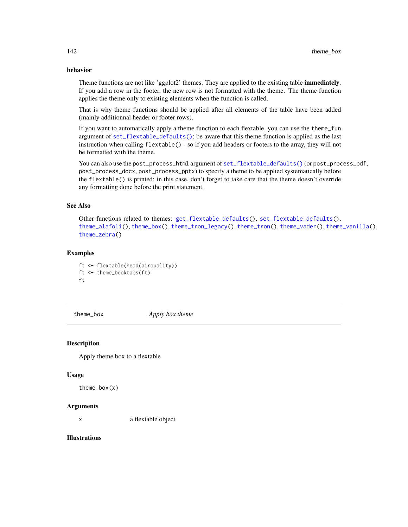## behavior

Theme functions are not like 'ggplot2' themes. They are applied to the existing table **immediately**. If you add a row in the footer, the new row is not formatted with the theme. The theme function applies the theme only to existing elements when the function is called.

That is why theme functions should be applied after all elements of the table have been added (mainly additionnal header or footer rows).

If you want to automatically apply a theme function to each flextable, you can use the theme\_fun argument of [set\\_flextable\\_defaults\(\)](#page-122-0); be aware that this theme function is applied as the last instruction when calling flextable() - so if you add headers or footers to the array, they will not be formatted with the theme.

You can also use the post\_process\_html argument of [set\\_flextable\\_defaults\(\)](#page-122-0) (or post\_process\_pdf, post\_process\_docx, post\_process\_pptx) to specify a theme to be applied systematically before the flextable() is printed; in this case, don't forget to take care that the theme doesn't override any formatting done before the print statement.

# See Also

Other functions related to themes: [get\\_flextable\\_defaults\(](#page-81-0)), [set\\_flextable\\_defaults\(](#page-122-0)), [theme\\_alafoli\(](#page-139-0)), [theme\\_box\(](#page-141-0)), [theme\\_tron\\_legacy\(](#page-143-0)), [theme\\_tron\(](#page-142-0)), [theme\\_vader\(](#page-144-0)), [theme\\_vanilla\(](#page-145-0)), [theme\\_zebra\(](#page-146-0))

## Examples

ft <- flextable(head(airquality)) ft <- theme\_booktabs(ft) ft

<span id="page-141-0"></span>theme\_box *Apply box theme*

#### Description

Apply theme box to a flextable

#### Usage

theme\_box(x)

#### Arguments

x a flextable object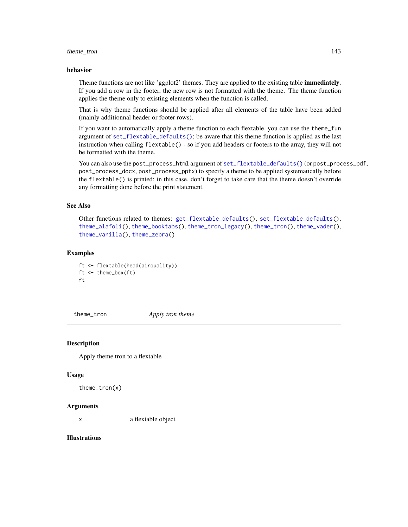## theme\_tron 143

#### behavior

Theme functions are not like 'ggplot2' themes. They are applied to the existing table **immediately**. If you add a row in the footer, the new row is not formatted with the theme. The theme function applies the theme only to existing elements when the function is called.

That is why theme functions should be applied after all elements of the table have been added (mainly additionnal header or footer rows).

If you want to automatically apply a theme function to each flextable, you can use the theme\_fun argument of [set\\_flextable\\_defaults\(\)](#page-122-0); be aware that this theme function is applied as the last instruction when calling flextable() - so if you add headers or footers to the array, they will not be formatted with the theme.

You can also use the post\_process\_html argument of [set\\_flextable\\_defaults\(\)](#page-122-0) (or post\_process\_pdf, post\_process\_docx, post\_process\_pptx) to specify a theme to be applied systematically before the flextable() is printed; in this case, don't forget to take care that the theme doesn't override any formatting done before the print statement.

#### See Also

```
Other functions related to themes: get_flextable_defaults(), set_flextable_defaults(),
theme_alafoli(), theme_booktabs(), theme_tron_legacy(), theme_tron(), theme_vader(),
theme_vanilla(), theme_zebra()
```
## Examples

ft <- flextable(head(airquality)) ft <- theme\_box(ft) ft

<span id="page-142-0"></span>theme\_tron *Apply tron theme*

#### Description

Apply theme tron to a flextable

#### Usage

```
theme_tron(x)
```
#### Arguments

x a flextable object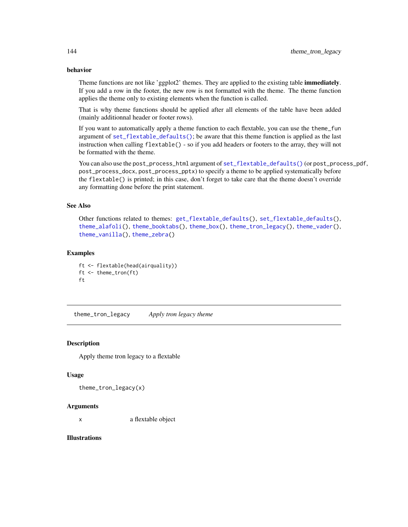## behavior

Theme functions are not like 'ggplot2' themes. They are applied to the existing table **immediately**. If you add a row in the footer, the new row is not formatted with the theme. The theme function applies the theme only to existing elements when the function is called.

That is why theme functions should be applied after all elements of the table have been added (mainly additionnal header or footer rows).

If you want to automatically apply a theme function to each flextable, you can use the theme\_fun argument of [set\\_flextable\\_defaults\(\)](#page-122-0); be aware that this theme function is applied as the last instruction when calling flextable() - so if you add headers or footers to the array, they will not be formatted with the theme.

You can also use the post\_process\_html argument of [set\\_flextable\\_defaults\(\)](#page-122-0) (or post\_process\_pdf, post\_process\_docx, post\_process\_pptx) to specify a theme to be applied systematically before the flextable() is printed; in this case, don't forget to take care that the theme doesn't override any formatting done before the print statement.

## See Also

```
Other functions related to themes: get_flextable_defaults(), set_flextable_defaults(),
theme_alafoli(), theme_booktabs(), theme_box(), theme_tron_legacy(), theme_vader(),
theme_vanilla(), theme_zebra()
```
## Examples

```
ft <- flextable(head(airquality))
ft <- theme_tron(ft)
ft
```
<span id="page-143-0"></span>theme\_tron\_legacy *Apply tron legacy theme*

#### Description

Apply theme tron legacy to a flextable

#### Usage

```
theme_tron_legacy(x)
```
#### Arguments

x a flextable object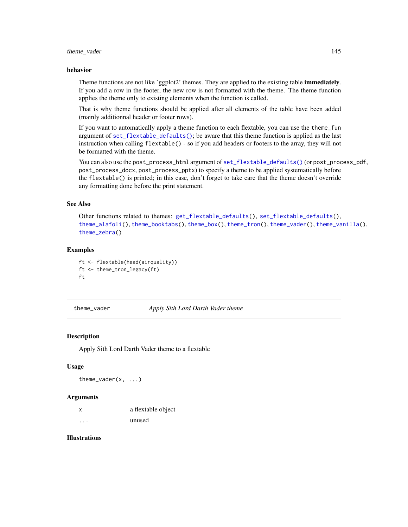#### <span id="page-144-1"></span>theme\_vader 145

#### behavior

Theme functions are not like 'ggplot2' themes. They are applied to the existing table **immediately**. If you add a row in the footer, the new row is not formatted with the theme. The theme function applies the theme only to existing elements when the function is called.

That is why theme functions should be applied after all elements of the table have been added (mainly additionnal header or footer rows).

If you want to automatically apply a theme function to each flextable, you can use the theme\_fun argument of [set\\_flextable\\_defaults\(\)](#page-122-0); be aware that this theme function is applied as the last instruction when calling flextable() - so if you add headers or footers to the array, they will not be formatted with the theme.

You can also use the post\_process\_html argument of [set\\_flextable\\_defaults\(\)](#page-122-0) (or post\_process\_pdf, post\_process\_docx, post\_process\_pptx) to specify a theme to be applied systematically before the flextable() is printed; in this case, don't forget to take care that the theme doesn't override any formatting done before the print statement.

#### See Also

Other functions related to themes: [get\\_flextable\\_defaults\(](#page-81-0)), [set\\_flextable\\_defaults\(](#page-122-0)), [theme\\_alafoli\(](#page-139-0)), [theme\\_booktabs\(](#page-140-0)), [theme\\_box\(](#page-141-0)), [theme\\_tron\(](#page-142-0)), [theme\\_vader\(](#page-144-0)), [theme\\_vanilla\(](#page-145-0)), [theme\\_zebra\(](#page-146-0))

#### Examples

```
ft <- flextable(head(airquality))
ft <- theme_tron_legacy(ft)
ft
```
<span id="page-144-0"></span>theme\_vader *Apply Sith Lord Darth Vader theme*

#### Description

Apply Sith Lord Darth Vader theme to a flextable

#### Usage

theme\_vader(x, ...)

#### Arguments

| X | a flextable object |
|---|--------------------|
| . | unused             |

#### Illustrations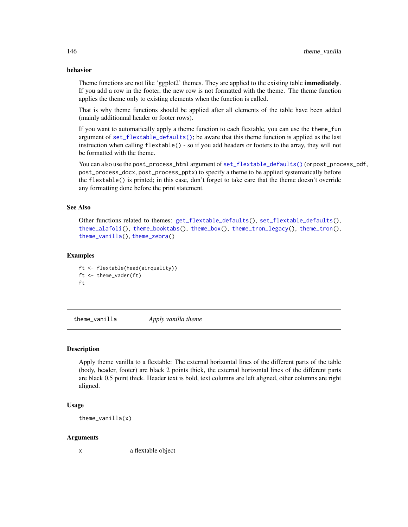#### <span id="page-145-1"></span>behavior

Theme functions are not like 'ggplot2' themes. They are applied to the existing table **immediately**. If you add a row in the footer, the new row is not formatted with the theme. The theme function applies the theme only to existing elements when the function is called.

That is why theme functions should be applied after all elements of the table have been added (mainly additionnal header or footer rows).

If you want to automatically apply a theme function to each flextable, you can use the theme\_fun argument of  $set_{\text{rel}}$  are  $dest_{\text{rel}}$  defaults(); be aware that this theme function is applied as the last instruction when calling flextable() - so if you add headers or footers to the array, they will not be formatted with the theme.

You can also use the post\_process\_html argument of [set\\_flextable\\_defaults\(\)](#page-122-0) (or post\_process\_pdf, post\_process\_docx, post\_process\_pptx) to specify a theme to be applied systematically before the flextable() is printed; in this case, don't forget to take care that the theme doesn't override any formatting done before the print statement.

#### See Also

```
Other functions related to themes: get_flextable_defaults(), set_flextable_defaults(),
theme_alafoli(), theme_booktabs(), theme_box(), theme_tron_legacy(), theme_tron(),
theme_vanilla(), theme_zebra()
```
#### Examples

```
ft <- flextable(head(airquality))
ft <- theme_vader(ft)
ft
```
<span id="page-145-0"></span>theme\_vanilla *Apply vanilla theme*

#### **Description**

Apply theme vanilla to a flextable: The external horizontal lines of the different parts of the table (body, header, footer) are black 2 points thick, the external horizontal lines of the different parts are black 0.5 point thick. Header text is bold, text columns are left aligned, other columns are right aligned.

### Usage

theme\_vanilla(x)

#### Arguments

x a flextable object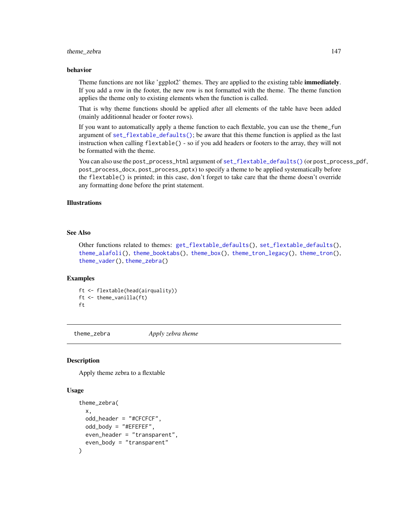#### <span id="page-146-1"></span>theme\_zebra 147

#### behavior

Theme functions are not like 'ggplot2' themes. They are applied to the existing table **immediately**. If you add a row in the footer, the new row is not formatted with the theme. The theme function applies the theme only to existing elements when the function is called.

That is why theme functions should be applied after all elements of the table have been added (mainly additionnal header or footer rows).

If you want to automatically apply a theme function to each flextable, you can use the theme\_fun argument of [set\\_flextable\\_defaults\(\)](#page-122-0); be aware that this theme function is applied as the last instruction when calling flextable() - so if you add headers or footers to the array, they will not be formatted with the theme.

You can also use the post\_process\_html argument of [set\\_flextable\\_defaults\(\)](#page-122-0) (or post\_process\_pdf, post\_process\_docx, post\_process\_pptx) to specify a theme to be applied systematically before the flextable() is printed; in this case, don't forget to take care that the theme doesn't override any formatting done before the print statement.

# Illustrations

#### See Also

Other functions related to themes: [get\\_flextable\\_defaults\(](#page-81-0)), [set\\_flextable\\_defaults\(](#page-122-0)), [theme\\_alafoli\(](#page-139-0)), [theme\\_booktabs\(](#page-140-0)), [theme\\_box\(](#page-141-0)), [theme\\_tron\\_legacy\(](#page-143-0)), [theme\\_tron\(](#page-142-0)), [theme\\_vader\(](#page-144-0)), [theme\\_zebra\(](#page-146-0))

#### Examples

ft <- flextable(head(airquality)) ft <- theme\_vanilla(ft) ft

<span id="page-146-0"></span>theme\_zebra *Apply zebra theme*

#### Description

Apply theme zebra to a flextable

#### Usage

```
theme_zebra(
  x,
  odd_header = "#CFCFCF",
  odd\_body = "HEFFEFF",
  even_header = "transparent",
  even_body = "transparent"
)
```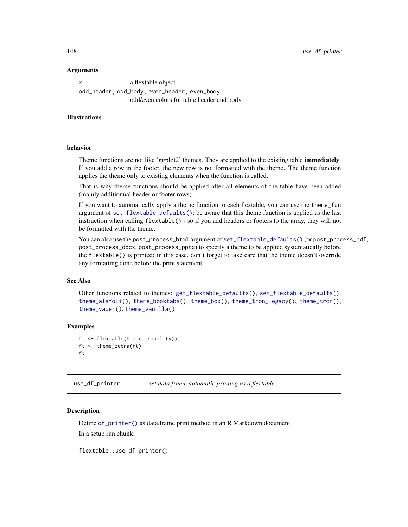<span id="page-147-1"></span>148 use\_df\_printer

#### Arguments

x a flextable object odd\_header, odd\_body, even\_header, even\_body odd/even colors for table header and body

#### Illustrations

#### behavior

Theme functions are not like 'ggplot2' themes. They are applied to the existing table **immediately**. If you add a row in the footer, the new row is not formatted with the theme. The theme function applies the theme only to existing elements when the function is called.

That is why theme functions should be applied after all elements of the table have been added (mainly additionnal header or footer rows).

If you want to automatically apply a theme function to each flextable, you can use the theme\_fun argument of [set\\_flextable\\_defaults\(\)](#page-122-0); be aware that this theme function is applied as the last instruction when calling flextable() - so if you add headers or footers to the array, they will not be formatted with the theme.

You can also use the post\_process\_html argument of [set\\_flextable\\_defaults\(\)](#page-122-0) (or post\_process\_pdf, post\_process\_docx, post\_process\_pptx) to specify a theme to be applied systematically before the flextable() is printed; in this case, don't forget to take care that the theme doesn't override any formatting done before the print statement.

#### See Also

Other functions related to themes: [get\\_flextable\\_defaults\(](#page-81-0)), [set\\_flextable\\_defaults\(](#page-122-0)), [theme\\_alafoli\(](#page-139-0)), [theme\\_booktabs\(](#page-140-0)), [theme\\_box\(](#page-141-0)), [theme\\_tron\\_legacy\(](#page-143-0)), [theme\\_tron\(](#page-142-0)), [theme\\_vader\(](#page-144-0)), [theme\\_vanilla\(](#page-145-0))

#### Examples

```
ft <- flextable(head(airquality))
ft <- theme_zebra(ft)
ft
```
<span id="page-147-0"></span>use\_df\_printer *set data.frame automatic printing as a flextable*

#### **Description**

Define [df\\_printer\(\)](#page-63-0) as data.frame print method in an R Markdown document.

In a setup run chunk:

flextable::use\_df\_printer()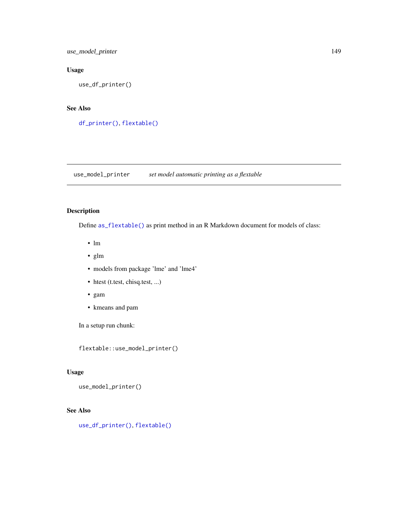<span id="page-148-0"></span>use\_model\_printer 149

# Usage

use\_df\_printer()

# See Also

[df\\_printer\(\)](#page-63-0), [flextable\(\)](#page-68-0)

use\_model\_printer *set model automatic printing as a flextable*

# Description

Define [as\\_flextable\(\)](#page-19-0) as print method in an R Markdown document for models of class:

- lm
- glm
- models from package 'lme' and 'lme4'
- htest (t.test, chisq.test, ...)
- gam
- kmeans and pam

In a setup run chunk:

flextable::use\_model\_printer()

# Usage

use\_model\_printer()

# See Also

[use\\_df\\_printer\(\)](#page-147-0), [flextable\(\)](#page-68-0)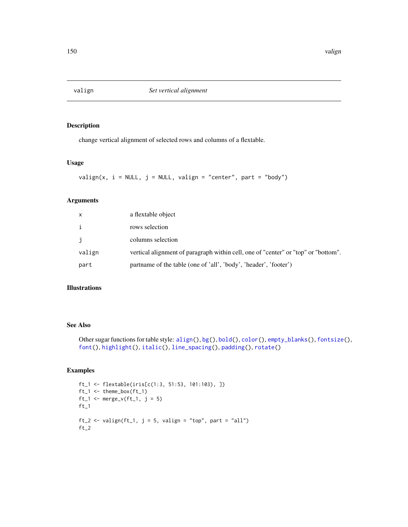<span id="page-149-0"></span>

change vertical alignment of selected rows and columns of a flextable.

#### Usage

```
valign(x, i = NULL, j = NULL, valign = "center", part = "body")
```
#### Arguments

| $\mathsf{x}$ | a flextable object                                                                 |
|--------------|------------------------------------------------------------------------------------|
| $\mathbf{i}$ | rows selection                                                                     |
| j.           | columns selection                                                                  |
| valign       | vertical alignment of paragraph within cell, one of "center" or "top" or "bottom". |
| part         | partname of the table (one of 'all', 'body', 'header', 'footer')                   |

#### Illustrations

## See Also

```
Other sugar functions for table style: align(), bg(), bold(), color(), empty_blanks(), fontsize(),
font(), highlight(), italic(), line_spacing(), padding(), rotate()
```

```
ft_1 <- flextable(iris[c(1:3, 51:53, 101:103), ])
ft_1 \leftarrow themebox(ft_1)ft_1 \leftarrow merge_v (ft_1, j = 5)ft_1ft_2 <- valign(ft_1, j = 5, valign = "top", part = "all")
ft_2
```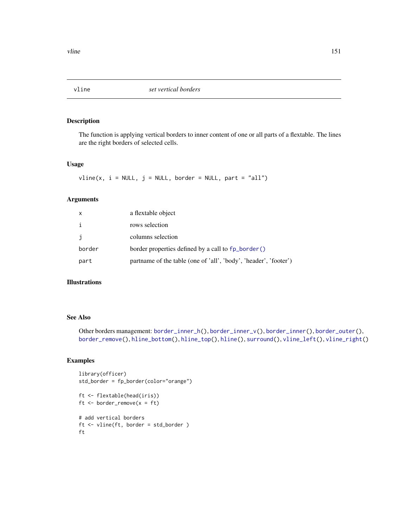<span id="page-150-1"></span><span id="page-150-0"></span>

The function is applying vertical borders to inner content of one or all parts of a flextable. The lines are the right borders of selected cells.

#### Usage

 $vline(x, i = NULL, j = NULL, border = NULL, part = "all")$ 

#### Arguments

| X            | a flextable object                                               |
|--------------|------------------------------------------------------------------|
| $\mathbf{i}$ | rows selection                                                   |
| j            | columns selection                                                |
| border       | border properties defined by a call to fp_border()               |
| part         | partname of the table (one of 'all', 'body', 'header', 'footer') |

# Illustrations

#### See Also

Other borders management: [border\\_inner\\_h\(](#page-46-0)), [border\\_inner\\_v\(](#page-47-0)), [border\\_inner\(](#page-45-1)), [border\\_outer\(](#page-48-0)), [border\\_remove\(](#page-49-0)), [hline\\_bottom\(](#page-87-0)), [hline\\_top\(](#page-88-0)), [hline\(](#page-86-0)), [surround\(](#page-132-0)), [vline\\_left\(](#page-151-0)), [vline\\_right\(](#page-152-0))

```
library(officer)
std_border = fp_border(color="orange")
ft <- flextable(head(iris))
ft <- border_remove(x = ft)
# add vertical borders
ft <- vline(ft, border = std_border )
ft
```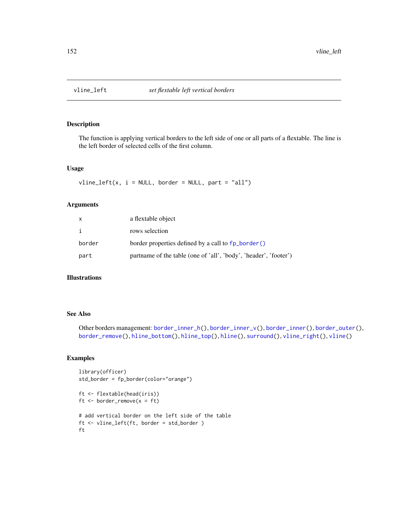<span id="page-151-1"></span><span id="page-151-0"></span>

The function is applying vertical borders to the left side of one or all parts of a flextable. The line is the left border of selected cells of the first column.

#### Usage

 $vline\_left(x, i = NULL, border = NULL, part = "all")$ 

# Arguments

| x      | a flextable object                                               |
|--------|------------------------------------------------------------------|
| i      | rows selection                                                   |
| border | border properties defined by a call to fp_border()               |
| part   | partname of the table (one of 'all', 'body', 'header', 'footer') |

# Illustrations

#### See Also

Other borders management: [border\\_inner\\_h\(](#page-46-0)), [border\\_inner\\_v\(](#page-47-0)), [border\\_inner\(](#page-45-1)), [border\\_outer\(](#page-48-0)), [border\\_remove\(](#page-49-0)), [hline\\_bottom\(](#page-87-0)), [hline\\_top\(](#page-88-0)), [hline\(](#page-86-0)), [surround\(](#page-132-0)), [vline\\_right\(](#page-152-0)), [vline\(](#page-150-0))

```
library(officer)
std_border = fp_border(color="orange")
ft <- flextable(head(iris))
ft \le border_remove(x = ft)
# add vertical border on the left side of the table
ft <- vline_left(ft, border = std_border )
ft
```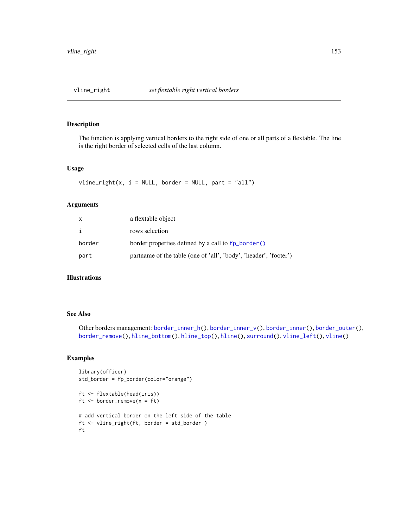<span id="page-152-1"></span><span id="page-152-0"></span>

The function is applying vertical borders to the right side of one or all parts of a flextable. The line is the right border of selected cells of the last column.

#### Usage

 $vline\_right(x, i = NULL, border = NULL, part = "all")$ 

# Arguments

| x      | a flextable object                                               |
|--------|------------------------------------------------------------------|
| i      | rows selection                                                   |
| border | border properties defined by a call to fp_border()               |
| part   | partname of the table (one of 'all', 'body', 'header', 'footer') |

# Illustrations

#### See Also

Other borders management: [border\\_inner\\_h\(](#page-46-0)), [border\\_inner\\_v\(](#page-47-0)), [border\\_inner\(](#page-45-1)), [border\\_outer\(](#page-48-0)), [border\\_remove\(](#page-49-0)), [hline\\_bottom\(](#page-87-0)), [hline\\_top\(](#page-88-0)), [hline\(](#page-86-0)), [surround\(](#page-132-0)), [vline\\_left\(](#page-151-0)), [vline\(](#page-150-0))

```
library(officer)
std_border = fp_border(color="orange")
ft <- flextable(head(iris))
ft \le border_remove(x = ft)
# add vertical border on the left side of the table
ft <- vline_right(ft, border = std_border )
ft
```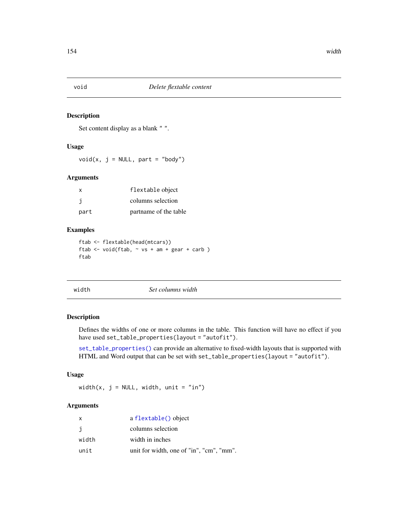<span id="page-153-0"></span>

Set content display as a blank " ".

# Usage

void(x,  $j = NULL$ , part = "body")

#### Arguments

| x    | flextable object      |
|------|-----------------------|
| j    | columns selection     |
| part | partname of the table |

#### Examples

```
ftab <- flextable(head(mtcars))
ftab <- void(ftab, ~ vs + am + gear + carb )
ftab
```

|  | width | Set columns width |  |
|--|-------|-------------------|--|
|--|-------|-------------------|--|

# Description

Defines the widths of one or more columns in the table. This function will have no effect if you have used set\_table\_properties(layout = "autofit").

[set\\_table\\_properties\(\)](#page-128-0) can provide an alternative to fixed-width layouts that is supported with HTML and Word output that can be set with set\_table\_properties(layout = "autofit").

# Usage

width(x,  $j = NULL$ , width, unit = "in")

# Arguments

| X     | a flextable() object                     |
|-------|------------------------------------------|
| j     | columns selection                        |
| width | width in inches                          |
| unit  | unit for width, one of "in", "cm", "mm". |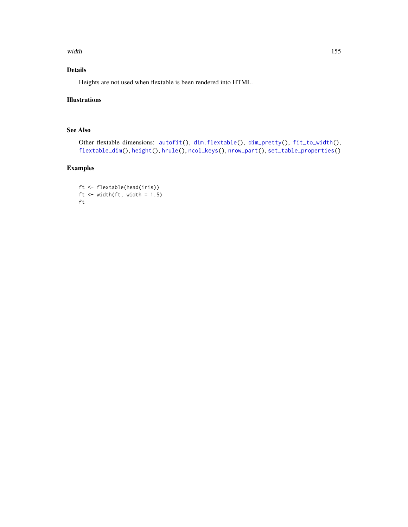<span id="page-154-0"></span>width the contract of the contract of the contract of the contract of the contract of the contract of the contract of the contract of the contract of the contract of the contract of the contract of the contract of the cont

# Details

Heights are not used when flextable is been rendered into HTML.

# Illustrations

# See Also

```
Other flextable dimensions: autofit(), dim.flextable(), dim_pretty(), fit_to_width(),
flextable_dim(), height(), hrule(), ncol_keys(), nrow_part(), set_table_properties()
```
# Examples

ft <- flextable(head(iris)) ft  $\le$  width(ft, width = 1.5) ft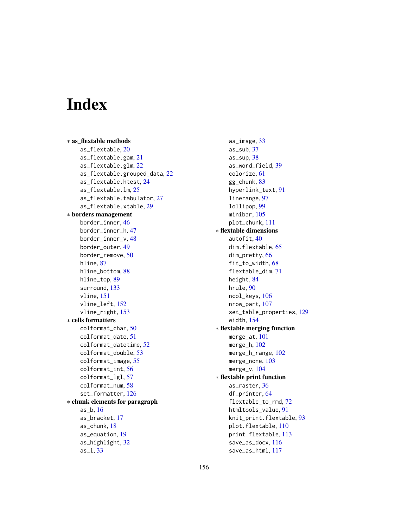# Index

∗ as\_flextable methods as\_flextable, [20](#page-19-1) as\_flextable.gam, [21](#page-20-0) as\_flextable.glm, [22](#page-21-0) as\_flextable.grouped\_data, [22](#page-21-0) as\_flextable.htest, [24](#page-23-0) as\_flextable.lm, [25](#page-24-0) as\_flextable.tabulator, [27](#page-26-0) as\_flextable.xtable, [29](#page-28-0) ∗ borders management border\_inner, [46](#page-45-2) border\_inner\_h, [47](#page-46-1) border\_inner\_v, [48](#page-47-1) border\_outer, [49](#page-48-1) border\_remove, [50](#page-49-1) hline, [87](#page-86-1) hline\_bottom, [88](#page-87-1) hline\_top, [89](#page-88-1) surround, [133](#page-132-1) vline, [151](#page-150-1) vline\_left, [152](#page-151-1) vline\_right, [153](#page-152-1) ∗ cells formatters colformat\_char, [50](#page-49-1) colformat\_date, [51](#page-50-0) colformat\_datetime, [52](#page-51-0) colformat\_double, [53](#page-52-0) colformat\_image, [55](#page-54-0) colformat\_int, [56](#page-55-0) colformat\_lgl, [57](#page-56-0) colformat\_num, [58](#page-57-0) set\_formatter, [126](#page-125-0) ∗ chunk elements for paragraph as\_b, [16](#page-15-0) as\_bracket, [17](#page-16-0) as\_chunk, [18](#page-17-0) as\_equation, [19](#page-18-0) as\_highlight, [32](#page-31-0) as\_i, [33](#page-32-0)

as\_image, [33](#page-32-0) as\_sub, [37](#page-36-0) as\_sup, [38](#page-37-0) as\_word\_field, [39](#page-38-0) colorize, [61](#page-60-0) gg\_chunk, [83](#page-82-0) hyperlink\_text, [91](#page-90-0) linerange, [97](#page-96-0) lollipop, [99](#page-98-0) minibar, [105](#page-104-0) plot\_chunk, [111](#page-110-0) ∗ flextable dimensions autofit, [40](#page-39-1) dim.flextable, [65](#page-64-1) dim\_pretty, [66](#page-65-1) fit\_to\_width, [68](#page-67-1) flextable\_dim, [71](#page-70-1) height, [84](#page-83-1) hrule, [90](#page-89-1) ncol\_keys, [106](#page-105-1) nrow\_part, [107](#page-106-1) set\_table\_properties, [129](#page-128-1) width, [154](#page-153-0) ∗ flextable merging function merge\_at, [101](#page-100-0) merge\_h, [102](#page-101-0) merge\_h\_range, [102](#page-101-0) merge\_none, [103](#page-102-0) merge\_v, [104](#page-103-0) ∗ flextable print function as\_raster, [36](#page-35-0) df\_printer, [64](#page-63-1) flextable\_to\_rmd, [72](#page-71-0) htmltools\_value, [91](#page-90-0) knit\_print.flextable, [93](#page-92-0) plot.flextable, [110](#page-109-0) print.flextable, [113](#page-112-0) save\_as\_docx, [116](#page-115-0) save\_as\_html, [117](#page-116-0)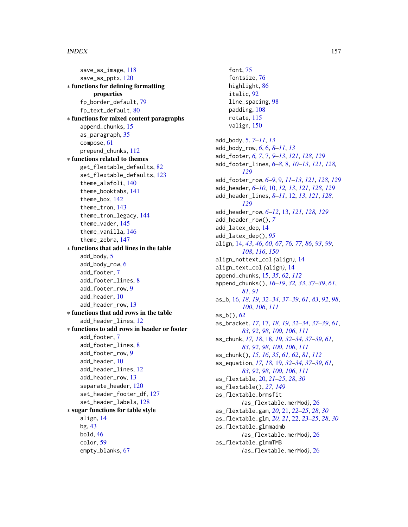save\_as\_image, [118](#page-117-0) save\_as\_pptx, [120](#page-119-0) ∗ functions for defining formatting properties fp\_border\_default, [79](#page-78-0) fp\_text\_default, [80](#page-79-0) ∗ functions for mixed content paragraphs append\_chunks, [15](#page-14-0) as\_paragraph, [35](#page-34-0) compose, [61](#page-60-0) prepend\_chunks, [112](#page-111-0) ∗ functions related to themes get\_flextable\_defaults, [82](#page-81-1) set\_flextable\_defaults, [123](#page-122-1) theme\_alafoli, [140](#page-139-1) theme\_booktabs, [141](#page-140-1) theme\_box, [142](#page-141-1) theme\_tron, [143](#page-142-1) theme\_tron\_legacy, [144](#page-143-1) theme\_vader, [145](#page-144-1) theme\_vanilla, [146](#page-145-1) theme\_zebra, [147](#page-146-1) ∗ functions that add lines in the table add\_body, [5](#page-4-0) add\_body\_row, [6](#page-5-0) add\_footer, [7](#page-6-0) add\_footer\_lines, [8](#page-7-0) add\_footer\_row, [9](#page-8-0) add\_header, [10](#page-9-0) add\_header\_row, [13](#page-12-0) ∗ functions that add rows in the table add\_header\_lines, [12](#page-11-0) ∗ functions to add rows in header or footer add\_footer, [7](#page-6-0) add\_footer\_lines, [8](#page-7-0) add\_footer\_row, [9](#page-8-0) add\_header, [10](#page-9-0) add\_header\_lines, [12](#page-11-0) add\_header\_row, [13](#page-12-0) separate\_header, [120](#page-119-0) set\_header\_footer\_df, [127](#page-126-0) set\_header\_labels, [128](#page-127-0) ∗ sugar functions for table style align, [14](#page-13-1) bg, [43](#page-42-1) bold, [46](#page-45-2) color, [59](#page-58-1) empty\_blanks, [67](#page-66-1)

font, [75](#page-74-1) fontsize, [76](#page-75-1) highlight, [86](#page-85-1) italic, [92](#page-91-1) line\_spacing, [98](#page-97-1) padding, [108](#page-107-1) rotate, [115](#page-114-1) valign, [150](#page-149-0) add\_body, [5,](#page-4-0) *[7](#page-6-0)[–11](#page-10-0)*, *[13](#page-12-0)* add\_body\_row, *[6](#page-5-0)*, [6,](#page-5-0) *[8](#page-7-0)[–11](#page-10-0)*, *[13](#page-12-0)* add\_footer, *[6,](#page-5-0) [7](#page-6-0)*, [7,](#page-6-0) *[9](#page-8-0)[–13](#page-12-0)*, *[121](#page-120-0)*, *[128,](#page-127-0) [129](#page-128-1)* add\_footer\_lines, *[6](#page-5-0)[–8](#page-7-0)*, [8,](#page-7-0) *[10](#page-9-0)[–13](#page-12-0)*, *[121](#page-120-0)*, *[128,](#page-127-0) [129](#page-128-1)* add\_footer\_row, *[6](#page-5-0)[–9](#page-8-0)*, [9,](#page-8-0) *[11–](#page-10-0)[13](#page-12-0)*, *[121](#page-120-0)*, *[128,](#page-127-0) [129](#page-128-1)* add\_header, *[6](#page-5-0)[–10](#page-9-0)*, [10,](#page-9-0) *[12,](#page-11-0) [13](#page-12-0)*, *[121](#page-120-0)*, *[128,](#page-127-0) [129](#page-128-1)* add\_header\_lines, *[8](#page-7-0)[–11](#page-10-0)*, [12,](#page-11-0) *[13](#page-12-0)*, *[121](#page-120-0)*, *[128,](#page-127-0) [129](#page-128-1)* add\_header\_row, *[6](#page-5-0)[–12](#page-11-0)*, [13,](#page-12-0) *[121](#page-120-0)*, *[128,](#page-127-0) [129](#page-128-1)* add\_header\_row(), *[7](#page-6-0)* add\_latex\_dep, [14](#page-13-1) add\_latex\_dep(), *[95](#page-94-0)* align, [14,](#page-13-1) *[43](#page-42-1)*, *[46](#page-45-2)*, *[60](#page-59-0)*, *[67](#page-66-1)*, *[76,](#page-75-1) [77](#page-76-0)*, *[86](#page-85-1)*, *[93](#page-92-0)*, *[99](#page-98-0)*, *[108](#page-107-1)*, *[116](#page-115-0)*, *[150](#page-149-0)* align\_nottext\_col *(*align*)*, [14](#page-13-1) align\_text\_col *(*align*)*, [14](#page-13-1) append\_chunks, [15,](#page-14-0) *[35](#page-34-0)*, *[62](#page-61-0)*, *[112](#page-111-0)* append\_chunks(), *[16](#page-15-0)[–19](#page-18-0)*, *[32,](#page-31-0) [33](#page-32-0)*, *[37](#page-36-0)[–39](#page-38-0)*, *[61](#page-60-0)*, *[81](#page-80-0)*, *[91](#page-90-0)* as\_b, [16,](#page-15-0) *[18,](#page-17-0) [19](#page-18-0)*, *[32](#page-31-0)[–34](#page-33-0)*, *[37](#page-36-0)[–39](#page-38-0)*, *[61](#page-60-0)*, *[83](#page-82-0)*, *[92](#page-91-1)*, *[98](#page-97-1)*, *[100](#page-99-0)*, *[106](#page-105-1)*, *[111](#page-110-0)* as\_b(), *[62](#page-61-0)* as\_bracket, *[17](#page-16-0)*, [17,](#page-16-0) *[18,](#page-17-0) [19](#page-18-0)*, *[32](#page-31-0)[–34](#page-33-0)*, *[37](#page-36-0)[–39](#page-38-0)*, *[61](#page-60-0)*, *[83](#page-82-0)*, *[92](#page-91-1)*, *[98](#page-97-1)*, *[100](#page-99-0)*, *[106](#page-105-1)*, *[111](#page-110-0)* as\_chunk, *[17,](#page-16-0) [18](#page-17-0)*, [18,](#page-17-0) *[19](#page-18-0)*, *[32](#page-31-0)[–34](#page-33-0)*, *[37](#page-36-0)[–39](#page-38-0)*, *[61](#page-60-0)*, *[83](#page-82-0)*, *[92](#page-91-1)*, *[98](#page-97-1)*, *[100](#page-99-0)*, *[106](#page-105-1)*, *[111](#page-110-0)* as\_chunk(), *[15,](#page-14-0) [16](#page-15-0)*, *[35](#page-34-0)*, *[61,](#page-60-0) [62](#page-61-0)*, *[81](#page-80-0)*, *[112](#page-111-0)* as\_equation, *[17,](#page-16-0) [18](#page-17-0)*, [19,](#page-18-0) *[32](#page-31-0)[–34](#page-33-0)*, *[37](#page-36-0)[–39](#page-38-0)*, *[61](#page-60-0)*, *[83](#page-82-0)*, *[92](#page-91-1)*, *[98](#page-97-1)*, *[100](#page-99-0)*, *[106](#page-105-1)*, *[111](#page-110-0)* as\_flextable, [20,](#page-19-1) *[21](#page-20-0)[–25](#page-24-0)*, *[28](#page-27-0)*, *[30](#page-29-0)* as\_flextable(), *[27](#page-26-0)*, *[149](#page-148-0)* as\_flextable.brmsfit *(*as\_flextable.merMod*)*, [26](#page-25-0) as\_flextable.gam, *[20](#page-19-1)*, [21,](#page-20-0) *[22](#page-21-0)[–25](#page-24-0)*, *[28](#page-27-0)*, *[30](#page-29-0)* as\_flextable.glm, *[20,](#page-19-1) [21](#page-20-0)*, [22,](#page-21-0) *[23](#page-22-0)[–25](#page-24-0)*, *[28](#page-27-0)*, *[30](#page-29-0)* as\_flextable.glmmadmb *(*as\_flextable.merMod*)*, [26](#page-25-0) as\_flextable.glmmTMB *(*as\_flextable.merMod*)*, [26](#page-25-0)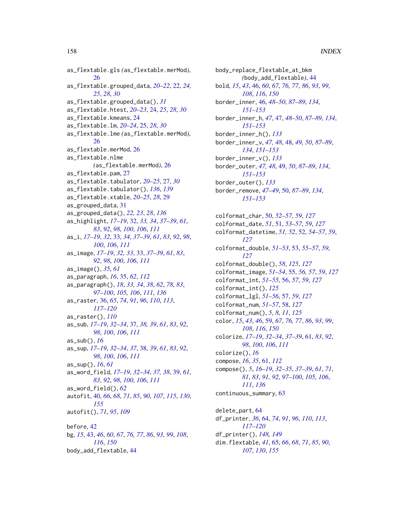as\_flextable.gls *(*as\_flextable.merMod*)*, [26](#page-25-0) as\_flextable.grouped\_data, *[20–](#page-19-1)[22](#page-21-0)*, [22,](#page-21-0) *[24,](#page-23-0) [25](#page-24-0)*, *[28](#page-27-0)*, *[30](#page-29-0)* as\_flextable.grouped\_data(), *[31](#page-30-0)* as\_flextable.htest, *[20–](#page-19-1)[23](#page-22-0)*, [24,](#page-23-0) *[25](#page-24-0)*, *[28](#page-27-0)*, *[30](#page-29-0)* as\_flextable.kmeans, [24](#page-23-0) as\_flextable.lm, *[20](#page-19-1)[–24](#page-23-0)*, [25,](#page-24-0) *[28](#page-27-0)*, *[30](#page-29-0)* as\_flextable.lme *(*as\_flextable.merMod*)*, [26](#page-25-0) as\_flextable.merMod, [26](#page-25-0) as\_flextable.nlme *(*as\_flextable.merMod*)*, [26](#page-25-0) as\_flextable.pam, [27](#page-26-0) as\_flextable.tabulator, *[20–](#page-19-1)[25](#page-24-0)*, [27,](#page-26-0) *[30](#page-29-0)* as\_flextable.tabulator(), *[136](#page-135-0)*, *[139](#page-138-0)* as\_flextable.xtable, *[20–](#page-19-1)[25](#page-24-0)*, *[28](#page-27-0)*, [29](#page-28-0) as\_grouped\_data, [31](#page-30-0) as\_grouped\_data(), *[22,](#page-21-0) [23](#page-22-0)*, *[28](#page-27-0)*, *[136](#page-135-0)* as\_highlight, *[17](#page-16-0)[–19](#page-18-0)*, [32,](#page-31-0) *[33,](#page-32-0) [34](#page-33-0)*, *[37–](#page-36-0)[39](#page-38-0)*, *[61](#page-60-0)*, *[83](#page-82-0)*, *[92](#page-91-1)*, *[98](#page-97-1)*, *[100](#page-99-0)*, *[106](#page-105-1)*, *[111](#page-110-0)* as\_i, *[17](#page-16-0)[–19](#page-18-0)*, *[32](#page-31-0)*, [33,](#page-32-0) *[34](#page-33-0)*, *[37–](#page-36-0)[39](#page-38-0)*, *[61](#page-60-0)*, *[83](#page-82-0)*, *[92](#page-91-1)*, *[98](#page-97-1)*, *[100](#page-99-0)*, *[106](#page-105-1)*, *[111](#page-110-0)* as\_image, *[17](#page-16-0)[–19](#page-18-0)*, *[32,](#page-31-0) [33](#page-32-0)*, [33,](#page-32-0) *[37–](#page-36-0)[39](#page-38-0)*, *[61](#page-60-0)*, *[83](#page-82-0)*, *[92](#page-91-1)*, *[98](#page-97-1)*, *[100](#page-99-0)*, *[106](#page-105-1)*, *[111](#page-110-0)* as\_image(), *[35](#page-34-0)*, *[61](#page-60-0)* as\_paragraph, *[16](#page-15-0)*, [35,](#page-34-0) *[62](#page-61-0)*, *[112](#page-111-0)* as\_paragraph(), *[18](#page-17-0)*, *[33,](#page-32-0) [34](#page-33-0)*, *[38](#page-37-0)*, *[62](#page-61-0)*, *[78](#page-77-0)*, *[83](#page-82-0)*, *[97](#page-96-0)[–100](#page-99-0)*, *[105,](#page-104-0) [106](#page-105-1)*, *[111](#page-110-0)*, *[136](#page-135-0)* as\_raster, [36,](#page-35-0) *[65](#page-64-1)*, *[74](#page-73-0)*, *[91](#page-90-0)*, *[96](#page-95-0)*, *[110](#page-109-0)*, *[113](#page-112-0)*, *[117](#page-116-0)[–120](#page-119-0)* as\_raster(), *[110](#page-109-0)* as\_sub, *[17](#page-16-0)[–19](#page-18-0)*, *[32](#page-31-0)[–34](#page-33-0)*, [37,](#page-36-0) *[38,](#page-37-0) [39](#page-38-0)*, *[61](#page-60-0)*, *[83](#page-82-0)*, *[92](#page-91-1)*, *[98](#page-97-1)*, *[100](#page-99-0)*, *[106](#page-105-1)*, *[111](#page-110-0)* as\_sub(), *[16](#page-15-0)* as\_sup, *[17](#page-16-0)[–19](#page-18-0)*, *[32](#page-31-0)[–34](#page-33-0)*, *[37](#page-36-0)*, [38,](#page-37-0) *[39](#page-38-0)*, *[61](#page-60-0)*, *[83](#page-82-0)*, *[92](#page-91-1)*, *[98](#page-97-1)*, *[100](#page-99-0)*, *[106](#page-105-1)*, *[111](#page-110-0)* as\_sup(), *[16](#page-15-0)*, *[61](#page-60-0)* as\_word\_field, *[17](#page-16-0)[–19](#page-18-0)*, *[32–](#page-31-0)[34](#page-33-0)*, *[37,](#page-36-0) [38](#page-37-0)*, [39,](#page-38-0) *[61](#page-60-0)*, *[83](#page-82-0)*, *[92](#page-91-1)*, *[98](#page-97-1)*, *[100](#page-99-0)*, *[106](#page-105-1)*, *[111](#page-110-0)* as\_word\_field(), *[62](#page-61-0)* autofit, [40,](#page-39-1) *[66](#page-65-1)*, *[68](#page-67-1)*, *[71](#page-70-1)*, *[85](#page-84-0)*, *[90](#page-89-1)*, *[107](#page-106-1)*, *[115](#page-114-1)*, *[130](#page-129-0)*, *[155](#page-154-0)* autofit(), *[71](#page-70-1)*, *[95](#page-94-0)*, *[109](#page-108-0)* before, [42](#page-41-0) bg, *[15](#page-14-0)*, [43,](#page-42-1) *[46](#page-45-2)*, *[60](#page-59-0)*, *[67](#page-66-1)*, *[76,](#page-75-1) [77](#page-76-0)*, *[86](#page-85-1)*, *[93](#page-92-0)*, *[99](#page-98-0)*, *[108](#page-107-1)*, *[116](#page-115-0)*, *[150](#page-149-0)*

body\_add\_flextable, [44](#page-43-0)

body\_replace\_flextable\_at\_bkm *(*body\_add\_flextable*)*, [44](#page-43-0) bold, *[15](#page-14-0)*, *[43](#page-42-1)*, [46,](#page-45-2) *[60](#page-59-0)*, *[67](#page-66-1)*, *[76,](#page-75-1) [77](#page-76-0)*, *[86](#page-85-1)*, *[93](#page-92-0)*, *[99](#page-98-0)*, *[108](#page-107-1)*, *[116](#page-115-0)*, *[150](#page-149-0)* border\_inner, [46,](#page-45-2) *[48](#page-47-1)[–50](#page-49-1)*, *[87](#page-86-1)[–89](#page-88-1)*, *[134](#page-133-0)*, *[151](#page-150-1)[–153](#page-152-1)* border\_inner\_h, *[47](#page-46-1)*, [47,](#page-46-1) *[48](#page-47-1)[–50](#page-49-1)*, *[87](#page-86-1)[–89](#page-88-1)*, *[134](#page-133-0)*, *[151](#page-150-1)[–153](#page-152-1)* border\_inner\_h(), *[133](#page-132-1)* border\_inner\_v, *[47,](#page-46-1) [48](#page-47-1)*, [48,](#page-47-1) *[49,](#page-48-1) [50](#page-49-1)*, *[87](#page-86-1)[–89](#page-88-1)*, *[134](#page-133-0)*, *[151](#page-150-1)[–153](#page-152-1)* border\_inner\_v(), *[133](#page-132-1)* border\_outer, *[47,](#page-46-1) [48](#page-47-1)*, [49,](#page-48-1) *[50](#page-49-1)*, *[87](#page-86-1)[–89](#page-88-1)*, *[134](#page-133-0)*, *[151](#page-150-1)[–153](#page-152-1)* border\_outer(), *[133](#page-132-1)* border\_remove, *[47](#page-46-1)[–49](#page-48-1)*, [50,](#page-49-1) *[87](#page-86-1)[–89](#page-88-1)*, *[134](#page-133-0)*, *[151](#page-150-1)[–153](#page-152-1)* colformat\_char, [50,](#page-49-1) *[52](#page-51-0)[–57](#page-56-0)*, *[59](#page-58-1)*, *[127](#page-126-0)* colformat\_date, *[51](#page-50-0)*, [51,](#page-50-0) *[53](#page-52-0)[–57](#page-56-0)*, *[59](#page-58-1)*, *[127](#page-126-0)* colformat\_datetime, *[51,](#page-50-0) [52](#page-51-0)*, [52,](#page-51-0) *[54](#page-53-0)[–57](#page-56-0)*, *[59](#page-58-1)*, *[127](#page-126-0)* colformat\_double, *[51](#page-50-0)[–53](#page-52-0)*, [53,](#page-52-0) *[55](#page-54-0)[–57](#page-56-0)*, *[59](#page-58-1)*, *[127](#page-126-0)* colformat\_double(), *[58](#page-57-0)*, *[125](#page-124-0)*, *[127](#page-126-0)* colformat\_image, *[51](#page-50-0)[–54](#page-53-0)*, [55,](#page-54-0) *[56,](#page-55-0) [57](#page-56-0)*, *[59](#page-58-1)*, *[127](#page-126-0)* colformat\_int, *[51](#page-50-0)[–55](#page-54-0)*, [56,](#page-55-0) *[57](#page-56-0)*, *[59](#page-58-1)*, *[127](#page-126-0)* colformat\_int(), *[125](#page-124-0)* colformat\_lgl, *[51](#page-50-0)[–56](#page-55-0)*, [57,](#page-56-0) *[59](#page-58-1)*, *[127](#page-126-0)* colformat\_num, *[51](#page-50-0)[–57](#page-56-0)*, [58,](#page-57-0) *[127](#page-126-0)* colformat\_num(), *[5](#page-4-0)*, *[8](#page-7-0)*, *[11](#page-10-0)*, *[125](#page-124-0)* color, *[15](#page-14-0)*, *[43](#page-42-1)*, *[46](#page-45-2)*, [59,](#page-58-1) *[67](#page-66-1)*, *[76,](#page-75-1) [77](#page-76-0)*, *[86](#page-85-1)*, *[93](#page-92-0)*, *[99](#page-98-0)*, *[108](#page-107-1)*, *[116](#page-115-0)*, *[150](#page-149-0)* colorize, *[17](#page-16-0)[–19](#page-18-0)*, *[32](#page-31-0)[–34](#page-33-0)*, *[37](#page-36-0)[–39](#page-38-0)*, [61,](#page-60-0) *[83](#page-82-0)*, *[92](#page-91-1)*, *[98](#page-97-1)*, *[100](#page-99-0)*, *[106](#page-105-1)*, *[111](#page-110-0)* colorize(), *[16](#page-15-0)* compose, *[16](#page-15-0)*, *[35](#page-34-0)*, [61,](#page-60-0) *[112](#page-111-0)* compose(), *[5](#page-4-0)*, *[16](#page-15-0)[–19](#page-18-0)*, *[32](#page-31-0)[–35](#page-34-0)*, *[37](#page-36-0)[–39](#page-38-0)*, *[61](#page-60-0)*, *[71](#page-70-1)*, *[81](#page-80-0)*, *[83](#page-82-0)*, *[91,](#page-90-0) [92](#page-91-1)*, *[97](#page-96-0)[–100](#page-99-0)*, *[105,](#page-104-0) [106](#page-105-1)*, *[111](#page-110-0)*, *[136](#page-135-0)* continuous\_summary, [63](#page-62-0) delete\_part, [64](#page-63-1)

df\_printer, *[36](#page-35-0)*, [64,](#page-63-1) *[74](#page-73-0)*, *[91](#page-90-0)*, *[96](#page-95-0)*, *[110](#page-109-0)*, *[113](#page-112-0)*, *[117](#page-116-0)[–120](#page-119-0)* df\_printer(), *[148,](#page-147-1) [149](#page-148-0)* dim.flextable, *[41](#page-40-0)*, [65,](#page-64-1) *[66](#page-65-1)*, *[68](#page-67-1)*, *[71](#page-70-1)*, *[85](#page-84-0)*, *[90](#page-89-1)*, *[107](#page-106-1)*, *[130](#page-129-0)*, *[155](#page-154-0)*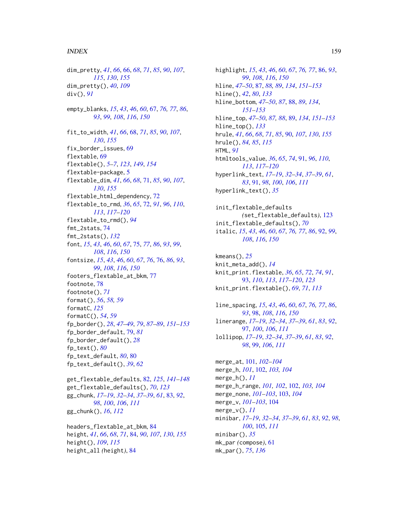dim\_pretty, *[41](#page-40-0)*, *[66](#page-65-1)*, [66,](#page-65-1) *[68](#page-67-1)*, *[71](#page-70-1)*, *[85](#page-84-0)*, *[90](#page-89-1)*, *[107](#page-106-1)*, *[115](#page-114-1)*, *[130](#page-129-0)*, *[155](#page-154-0)* dim\_pretty(), *[40](#page-39-1)*, *[109](#page-108-0)* div(), *[91](#page-90-0)* empty\_blanks, *[15](#page-14-0)*, *[43](#page-42-1)*, *[46](#page-45-2)*, *[60](#page-59-0)*, [67,](#page-66-1) *[76,](#page-75-1) [77](#page-76-0)*, *[86](#page-85-1)*, *[93](#page-92-0)*, *[99](#page-98-0)*, *[108](#page-107-1)*, *[116](#page-115-0)*, *[150](#page-149-0)* fit\_to\_width, *[41](#page-40-0)*, *[66](#page-65-1)*, [68,](#page-67-1) *[71](#page-70-1)*, *[85](#page-84-0)*, *[90](#page-89-1)*, *[107](#page-106-1)*, *[130](#page-129-0)*, *[155](#page-154-0)* fix\_border\_issues, [69](#page-68-1) flextable, [69](#page-68-1) flextable(), *[5](#page-4-0)[–7](#page-6-0)*, *[123](#page-122-1)*, *[149](#page-148-0)*, *[154](#page-153-0)* flextable-package, [5](#page-4-0) flextable\_dim, *[41](#page-40-0)*, *[66](#page-65-1)*, *[68](#page-67-1)*, [71,](#page-70-1) *[85](#page-84-0)*, *[90](#page-89-1)*, *[107](#page-106-1)*, *[130](#page-129-0)*, *[155](#page-154-0)* flextable\_html\_dependency, [72](#page-71-0) flextable\_to\_rmd, *[36](#page-35-0)*, *[65](#page-64-1)*, [72,](#page-71-0) *[91](#page-90-0)*, *[96](#page-95-0)*, *[110](#page-109-0)*, *[113](#page-112-0)*, *[117](#page-116-0)[–120](#page-119-0)* flextable\_to\_rmd(), *[94](#page-93-0)* fmt\_2stats, [74](#page-73-0) fmt\_2stats(), *[132](#page-131-0)* font, *[15](#page-14-0)*, *[43](#page-42-1)*, *[46](#page-45-2)*, *[60](#page-59-0)*, *[67](#page-66-1)*, [75,](#page-74-1) *[77](#page-76-0)*, *[86](#page-85-1)*, *[93](#page-92-0)*, *[99](#page-98-0)*, *[108](#page-107-1)*, *[116](#page-115-0)*, *[150](#page-149-0)* fontsize, *[15](#page-14-0)*, *[43](#page-42-1)*, *[46](#page-45-2)*, *[60](#page-59-0)*, *[67](#page-66-1)*, *[76](#page-75-1)*, [76,](#page-75-1) *[86](#page-85-1)*, *[93](#page-92-0)*, *[99](#page-98-0)*, *[108](#page-107-1)*, *[116](#page-115-0)*, *[150](#page-149-0)* footers\_flextable\_at\_bkm, [77](#page-76-0) footnote, [78](#page-77-0) footnote(), *[71](#page-70-1)* format(), *[56](#page-55-0)*, *[58,](#page-57-0) [59](#page-58-1)* formatC, *[125](#page-124-0)* formatC(), *[54](#page-53-0)*, *[59](#page-58-1)* fp\_border(), *[28](#page-27-0)*, *[47](#page-46-1)[–49](#page-48-1)*, *[79](#page-78-0)*, *[87–](#page-86-1)[89](#page-88-1)*, *[151–](#page-150-1)[153](#page-152-1)* fp\_border\_default, [79,](#page-78-0) *[81](#page-80-0)* fp\_border\_default(), *[28](#page-27-0)* fp\_text(), *[80](#page-79-0)* fp\_text\_default, *[80](#page-79-0)*, [80](#page-79-0) fp\_text\_default(), *[39](#page-38-0)*, *[62](#page-61-0)*

get\_flextable\_defaults, [82,](#page-81-1) *[125](#page-124-0)*, *[141–](#page-140-1)[148](#page-147-1)* get\_flextable\_defaults(), *[70](#page-69-0)*, *[123](#page-122-1)* gg\_chunk, *[17](#page-16-0)[–19](#page-18-0)*, *[32](#page-31-0)[–34](#page-33-0)*, *[37–](#page-36-0)[39](#page-38-0)*, *[61](#page-60-0)*, [83,](#page-82-0) *[92](#page-91-1)*, *[98](#page-97-1)*, *[100](#page-99-0)*, *[106](#page-105-1)*, *[111](#page-110-0)* gg\_chunk(), *[16](#page-15-0)*, *[112](#page-111-0)*

headers\_flextable\_at\_bkm, [84](#page-83-1) height, *[41](#page-40-0)*, *[66](#page-65-1)*, *[68](#page-67-1)*, *[71](#page-70-1)*, [84,](#page-83-1) *[90](#page-89-1)*, *[107](#page-106-1)*, *[130](#page-129-0)*, *[155](#page-154-0)* height(), *[109](#page-108-0)*, *[115](#page-114-1)* height\_all *(*height*)*, [84](#page-83-1)

highlight, *[15](#page-14-0)*, *[43](#page-42-1)*, *[46](#page-45-2)*, *[60](#page-59-0)*, *[67](#page-66-1)*, *[76,](#page-75-1) [77](#page-76-0)*, [86,](#page-85-1) *[93](#page-92-0)*, *[99](#page-98-0)*, *[108](#page-107-1)*, *[116](#page-115-0)*, *[150](#page-149-0)* hline, *[47](#page-46-1)[–50](#page-49-1)*, [87,](#page-86-1) *[88,](#page-87-1) [89](#page-88-1)*, *[134](#page-133-0)*, *[151](#page-150-1)[–153](#page-152-1)* hline(), *[42](#page-41-0)*, *[80](#page-79-0)*, *[133](#page-132-1)* hline\_bottom, *[47](#page-46-1)[–50](#page-49-1)*, *[87](#page-86-1)*, [88,](#page-87-1) *[89](#page-88-1)*, *[134](#page-133-0)*, *[151](#page-150-1)[–153](#page-152-1)* hline\_top, *[47](#page-46-1)[–50](#page-49-1)*, *[87,](#page-86-1) [88](#page-87-1)*, [89,](#page-88-1) *[134](#page-133-0)*, *[151](#page-150-1)[–153](#page-152-1)* hline\_top(), *[133](#page-132-1)* hrule, *[41](#page-40-0)*, *[66](#page-65-1)*, *[68](#page-67-1)*, *[71](#page-70-1)*, *[85](#page-84-0)*, [90,](#page-89-1) *[107](#page-106-1)*, *[130](#page-129-0)*, *[155](#page-154-0)* hrule(), *[84,](#page-83-1) [85](#page-84-0)*, *[115](#page-114-1)* HTML, *[91](#page-90-0)* htmltools\_value, *[36](#page-35-0)*, *[65](#page-64-1)*, *[74](#page-73-0)*, [91,](#page-90-0) *[96](#page-95-0)*, *[110](#page-109-0)*, *[113](#page-112-0)*, *[117](#page-116-0)[–120](#page-119-0)* hyperlink\_text, *[17](#page-16-0)[–19](#page-18-0)*, *[32](#page-31-0)[–34](#page-33-0)*, *[37](#page-36-0)[–39](#page-38-0)*, *[61](#page-60-0)*, *[83](#page-82-0)*, [91,](#page-90-0) *[98](#page-97-1)*, *[100](#page-99-0)*, *[106](#page-105-1)*, *[111](#page-110-0)* hyperlink\_text(), *[35](#page-34-0)*

init\_flextable\_defaults *(*set\_flextable\_defaults*)*, [123](#page-122-1) init\_flextable\_defaults(), *[70](#page-69-0)* italic, *[15](#page-14-0)*, *[43](#page-42-1)*, *[46](#page-45-2)*, *[60](#page-59-0)*, *[67](#page-66-1)*, *[76,](#page-75-1) [77](#page-76-0)*, *[86](#page-85-1)*, [92,](#page-91-1) *[99](#page-98-0)*, *[108](#page-107-1)*, *[116](#page-115-0)*, *[150](#page-149-0)*

kmeans(), *[25](#page-24-0)* knit\_meta\_add(), *[14](#page-13-1)* knit\_print.flextable, *[36](#page-35-0)*, *[65](#page-64-1)*, *[72](#page-71-0)*, *[74](#page-73-0)*, *[91](#page-90-0)*, [93,](#page-92-0) *[110](#page-109-0)*, *[113](#page-112-0)*, *[117](#page-116-0)[–120](#page-119-0)*, *[123](#page-122-1)* knit\_print.flextable(), *[69](#page-68-1)*, *[71](#page-70-1)*, *[113](#page-112-0)*

line\_spacing, *[15](#page-14-0)*, *[43](#page-42-1)*, *[46](#page-45-2)*, *[60](#page-59-0)*, *[67](#page-66-1)*, *[76,](#page-75-1) [77](#page-76-0)*, *[86](#page-85-1)*, *[93](#page-92-0)*, [98,](#page-97-1) *[108](#page-107-1)*, *[116](#page-115-0)*, *[150](#page-149-0)* linerange, *[17](#page-16-0)[–19](#page-18-0)*, *[32](#page-31-0)[–34](#page-33-0)*, *[37](#page-36-0)[–39](#page-38-0)*, *[61](#page-60-0)*, *[83](#page-82-0)*, *[92](#page-91-1)*, [97,](#page-96-0) *[100](#page-99-0)*, *[106](#page-105-1)*, *[111](#page-110-0)* lollipop, *[17](#page-16-0)[–19](#page-18-0)*, *[32](#page-31-0)[–34](#page-33-0)*, *[37](#page-36-0)[–39](#page-38-0)*, *[61](#page-60-0)*, *[83](#page-82-0)*, *[92](#page-91-1)*, *[98](#page-97-1)*, [99,](#page-98-0) *[106](#page-105-1)*, *[111](#page-110-0)*

merge\_at, [101,](#page-100-0) *[102](#page-101-0)[–104](#page-103-0)* merge\_h, *[101](#page-100-0)*, [102,](#page-101-0) *[103,](#page-102-0) [104](#page-103-0)* merge\_h(), *[11](#page-10-0)* merge\_h\_range, *[101,](#page-100-0) [102](#page-101-0)*, [102,](#page-101-0) *[103,](#page-102-0) [104](#page-103-0)* merge\_none, *[101](#page-100-0)[–103](#page-102-0)*, [103,](#page-102-0) *[104](#page-103-0)* merge\_v, *[101](#page-100-0)[–103](#page-102-0)*, [104](#page-103-0) merge\_v(), *[11](#page-10-0)* minibar, *[17](#page-16-0)[–19](#page-18-0)*, *[32](#page-31-0)[–34](#page-33-0)*, *[37](#page-36-0)[–39](#page-38-0)*, *[61](#page-60-0)*, *[83](#page-82-0)*, *[92](#page-91-1)*, *[98](#page-97-1)*, *[100](#page-99-0)*, [105,](#page-104-0) *[111](#page-110-0)* minibar(), *[35](#page-34-0)* mk\_par *(*compose*)*, [61](#page-60-0) mk\_par(), *[75](#page-74-1)*, *[136](#page-135-0)*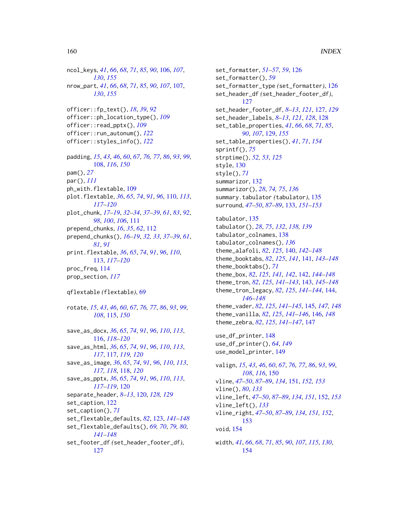ncol\_keys, *[41](#page-40-0)*, *[66](#page-65-1)*, *[68](#page-67-1)*, *[71](#page-70-1)*, *[85](#page-84-0)*, *[90](#page-89-1)*, [106,](#page-105-1) *[107](#page-106-1)*, *[130](#page-129-0)*, *[155](#page-154-0)* nrow\_part, *[41](#page-40-0)*, *[66](#page-65-1)*, *[68](#page-67-1)*, *[71](#page-70-1)*, *[85](#page-84-0)*, *[90](#page-89-1)*, *[107](#page-106-1)*, [107,](#page-106-1) *[130](#page-129-0)*, *[155](#page-154-0)* officer::fp\_text(), *[18](#page-17-0)*, *[39](#page-38-0)*, *[92](#page-91-1)* officer::ph\_location\_type(), *[109](#page-108-0)* officer::read\_pptx(), *[109](#page-108-0)* officer::run\_autonum(), *[122](#page-121-0)* officer::styles\_info(), *[122](#page-121-0)* padding, *[15](#page-14-0)*, *[43](#page-42-1)*, *[46](#page-45-2)*, *[60](#page-59-0)*, *[67](#page-66-1)*, *[76,](#page-75-1) [77](#page-76-0)*, *[86](#page-85-1)*, *[93](#page-92-0)*, *[99](#page-98-0)*, [108,](#page-107-1) *[116](#page-115-0)*, *[150](#page-149-0)* pam(), *[27](#page-26-0)* par(), *[111](#page-110-0)* ph\_with.flextable, [109](#page-108-0) plot.flextable, *[36](#page-35-0)*, *[65](#page-64-1)*, *[74](#page-73-0)*, *[91](#page-90-0)*, *[96](#page-95-0)*, [110,](#page-109-0) *[113](#page-112-0)*, *[117](#page-116-0)[–120](#page-119-0)* plot\_chunk, *[17](#page-16-0)[–19](#page-18-0)*, *[32–](#page-31-0)[34](#page-33-0)*, *[37–](#page-36-0)[39](#page-38-0)*, *[61](#page-60-0)*, *[83](#page-82-0)*, *[92](#page-91-1)*, *[98](#page-97-1)*, *[100](#page-99-0)*, *[106](#page-105-1)*, [111](#page-110-0) prepend\_chunks, *[16](#page-15-0)*, *[35](#page-34-0)*, *[62](#page-61-0)*, [112](#page-111-0) prepend\_chunks(), *[16–](#page-15-0)[19](#page-18-0)*, *[32,](#page-31-0) [33](#page-32-0)*, *[37–](#page-36-0)[39](#page-38-0)*, *[61](#page-60-0)*, *[81](#page-80-0)*, *[91](#page-90-0)* print.flextable, *[36](#page-35-0)*, *[65](#page-64-1)*, *[74](#page-73-0)*, *[91](#page-90-0)*, *[96](#page-95-0)*, *[110](#page-109-0)*, [113,](#page-112-0) *[117](#page-116-0)[–120](#page-119-0)* proc\_freq, [114](#page-113-0) prop\_section, *[117](#page-116-0)* qflextable *(*flextable*)*, [69](#page-68-1) rotate, *[15](#page-14-0)*, *[43](#page-42-1)*, *[46](#page-45-2)*, *[60](#page-59-0)*, *[67](#page-66-1)*, *[76,](#page-75-1) [77](#page-76-0)*, *[86](#page-85-1)*, *[93](#page-92-0)*, *[99](#page-98-0)*, *[108](#page-107-1)*, [115,](#page-114-1) *[150](#page-149-0)* save\_as\_docx, *[36](#page-35-0)*, *[65](#page-64-1)*, *[74](#page-73-0)*, *[91](#page-90-0)*, *[96](#page-95-0)*, *[110](#page-109-0)*, *[113](#page-112-0)*, [116,](#page-115-0) *[118](#page-117-0)[–120](#page-119-0)* save\_as\_html, *[36](#page-35-0)*, *[65](#page-64-1)*, *[74](#page-73-0)*, *[91](#page-90-0)*, *[96](#page-95-0)*, *[110](#page-109-0)*, *[113](#page-112-0)*, *[117](#page-116-0)*, [117,](#page-116-0) *[119,](#page-118-0) [120](#page-119-0)* save\_as\_image, *[36](#page-35-0)*, *[65](#page-64-1)*, *[74](#page-73-0)*, *[91](#page-90-0)*, *[96](#page-95-0)*, *[110](#page-109-0)*, *[113](#page-112-0)*, *[117,](#page-116-0) [118](#page-117-0)*, [118,](#page-117-0) *[120](#page-119-0)* save\_as\_pptx, *[36](#page-35-0)*, *[65](#page-64-1)*, *[74](#page-73-0)*, *[91](#page-90-0)*, *[96](#page-95-0)*, *[110](#page-109-0)*, *[113](#page-112-0)*, *[117](#page-116-0)[–119](#page-118-0)*, [120](#page-119-0) separate\_header, *[8](#page-7-0)[–13](#page-12-0)*, [120,](#page-119-0) *[128,](#page-127-0) [129](#page-128-1)* set\_caption, [122](#page-121-0) set\_caption(), *[71](#page-70-1)* set\_flextable\_defaults, *[82](#page-81-1)*, [123,](#page-122-1) *[141–](#page-140-1)[148](#page-147-1)* set\_flextable\_defaults(), *[69,](#page-68-1) [70](#page-69-0)*, *[79,](#page-78-0) [80](#page-79-0)*, *[141](#page-140-1)[–148](#page-147-1)* set\_footer\_df *(*set\_header\_footer\_df*)*, [127](#page-126-0)

set\_formatter, *[51](#page-50-0)[–57](#page-56-0)*, *[59](#page-58-1)*, [126](#page-125-0) set\_formatter(), *[59](#page-58-1)* set\_formatter\_type *(*set\_formatter*)*, [126](#page-125-0) set\_header\_df *(*set\_header\_footer\_df*)*, [127](#page-126-0) set\_header\_footer\_df, *[8](#page-7-0)[–13](#page-12-0)*, *[121](#page-120-0)*, [127,](#page-126-0) *[129](#page-128-1)* set\_header\_labels, *[8](#page-7-0)[–13](#page-12-0)*, *[121](#page-120-0)*, *[128](#page-127-0)*, [128](#page-127-0) set\_table\_properties, *[41](#page-40-0)*, *[66](#page-65-1)*, *[68](#page-67-1)*, *[71](#page-70-1)*, *[85](#page-84-0)*, *[90](#page-89-1)*, *[107](#page-106-1)*, [129,](#page-128-1) *[155](#page-154-0)* set\_table\_properties(), *[41](#page-40-0)*, *[71](#page-70-1)*, *[154](#page-153-0)* sprintf(), *[75](#page-74-1)* strptime(), *[52,](#page-51-0) [53](#page-52-0)*, *[125](#page-124-0)* style, [130](#page-129-0) style(), *[71](#page-70-1)* summarizor, [132](#page-131-0) summarizor(), *[28](#page-27-0)*, *[74,](#page-73-0) [75](#page-74-1)*, *[136](#page-135-0)* summary.tabulator *(*tabulator*)*, [135](#page-134-0) surround, *[47](#page-46-1)[–50](#page-49-1)*, *[87](#page-86-1)[–89](#page-88-1)*, [133,](#page-132-1) *[151](#page-150-1)[–153](#page-152-1)* tabulator, [135](#page-134-0) tabulator(), *[28](#page-27-0)*, *[75](#page-74-1)*, *[132](#page-131-0)*, *[138,](#page-137-0) [139](#page-138-0)* tabulator\_colnames, [138](#page-137-0) tabulator\_colnames(), *[136](#page-135-0)* theme\_alafoli, *[82](#page-81-1)*, *[125](#page-124-0)*, [140,](#page-139-1) *[142](#page-141-1)[–148](#page-147-1)* theme\_booktabs, *[82](#page-81-1)*, *[125](#page-124-0)*, *[141](#page-140-1)*, [141,](#page-140-1) *[143](#page-142-1)[–148](#page-147-1)* theme\_booktabs(), *[71](#page-70-1)* theme\_box, *[82](#page-81-1)*, *[125](#page-124-0)*, *[141,](#page-140-1) [142](#page-141-1)*, [142,](#page-141-1) *[144](#page-143-1)[–148](#page-147-1)* theme\_tron, *[82](#page-81-1)*, *[125](#page-124-0)*, *[141](#page-140-1)[–143](#page-142-1)*, [143,](#page-142-1) *[145](#page-144-1)[–148](#page-147-1)* theme\_tron\_legacy, *[82](#page-81-1)*, *[125](#page-124-0)*, *[141](#page-140-1)[–144](#page-143-1)*, [144,](#page-143-1) *[146](#page-145-1)[–148](#page-147-1)* theme\_vader, *[82](#page-81-1)*, *[125](#page-124-0)*, *[141–](#page-140-1)[145](#page-144-1)*, [145,](#page-144-1) *[147,](#page-146-1) [148](#page-147-1)* theme\_vanilla, *[82](#page-81-1)*, *[125](#page-124-0)*, *[141](#page-140-1)[–146](#page-145-1)*, [146,](#page-145-1) *[148](#page-147-1)* theme\_zebra, *[82](#page-81-1)*, *[125](#page-124-0)*, *[141](#page-140-1)[–147](#page-146-1)*, [147](#page-146-1) use\_df\_printer, [148](#page-147-1) use\_df\_printer(), *[64](#page-63-1)*, *[149](#page-148-0)* use\_model\_printer, [149](#page-148-0) valign, *[15](#page-14-0)*, *[43](#page-42-1)*, *[46](#page-45-2)*, *[60](#page-59-0)*, *[67](#page-66-1)*, *[76,](#page-75-1) [77](#page-76-0)*, *[86](#page-85-1)*, *[93](#page-92-0)*, *[99](#page-98-0)*, *[108](#page-107-1)*, *[116](#page-115-0)*, [150](#page-149-0) vline, *[47](#page-46-1)[–50](#page-49-1)*, *[87](#page-86-1)[–89](#page-88-1)*, *[134](#page-133-0)*, [151,](#page-150-1) *[152,](#page-151-1) [153](#page-152-1)* vline(), *[80](#page-79-0)*, *[133](#page-132-1)* vline\_left, *[47](#page-46-1)[–50](#page-49-1)*, *[87](#page-86-1)[–89](#page-88-1)*, *[134](#page-133-0)*, *[151](#page-150-1)*, [152,](#page-151-1) *[153](#page-152-1)* vline\_left(), *[133](#page-132-1)* vline\_right, *[47](#page-46-1)[–50](#page-49-1)*, *[87](#page-86-1)[–89](#page-88-1)*, *[134](#page-133-0)*, *[151,](#page-150-1) [152](#page-151-1)*, [153](#page-152-1) void, [154](#page-153-0) width, *[41](#page-40-0)*, *[66](#page-65-1)*, *[68](#page-67-1)*, *[71](#page-70-1)*, *[85](#page-84-0)*, *[90](#page-89-1)*, *[107](#page-106-1)*, *[115](#page-114-1)*, *[130](#page-129-0)*, [154](#page-153-0)